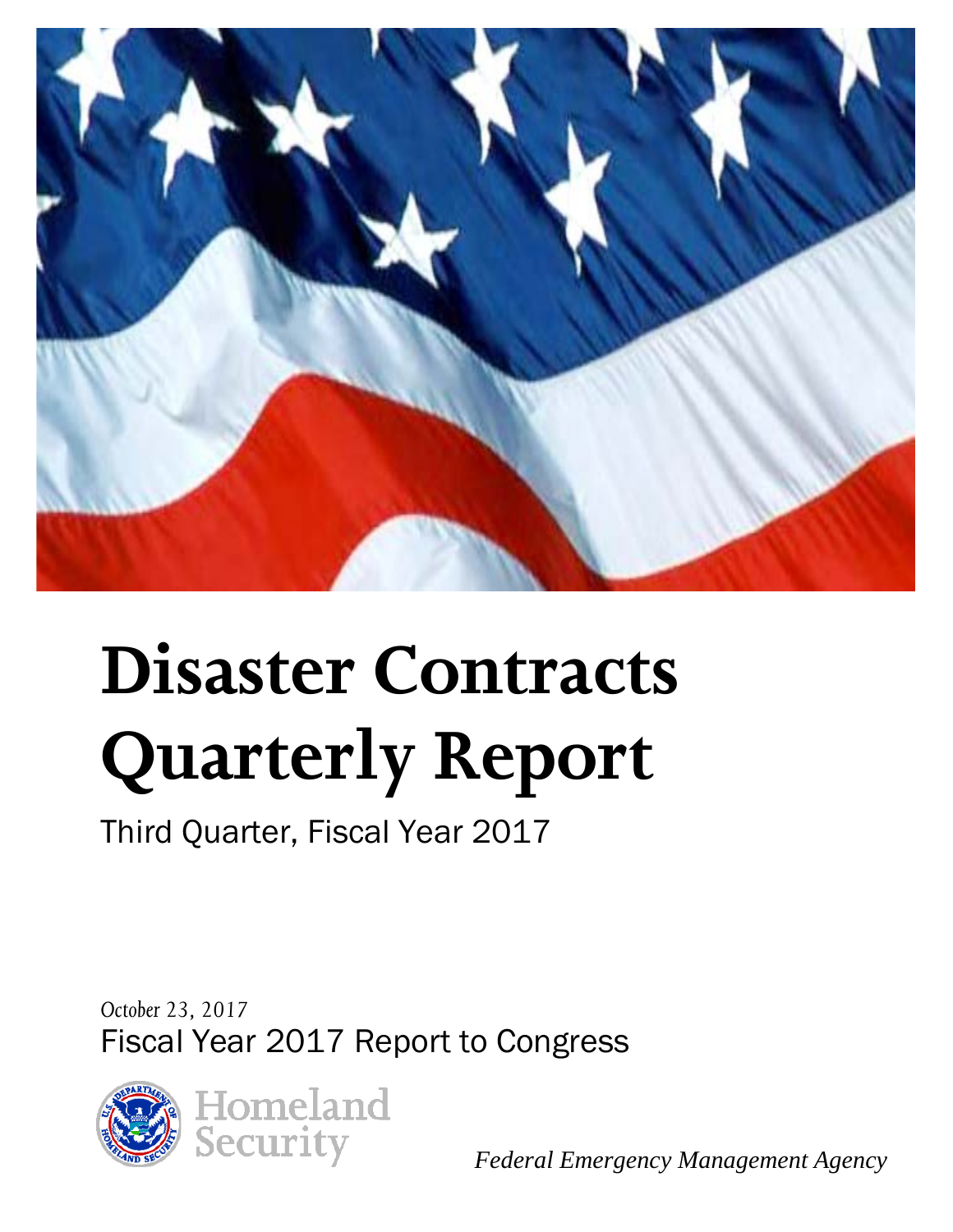

# **Disaster Contracts Quarterly Report**

Third Quarter, Fiscal Year 2017

*October 23, 2017* Fiscal Year 2017 Report to Congress





*Federal Emergency Management Agency*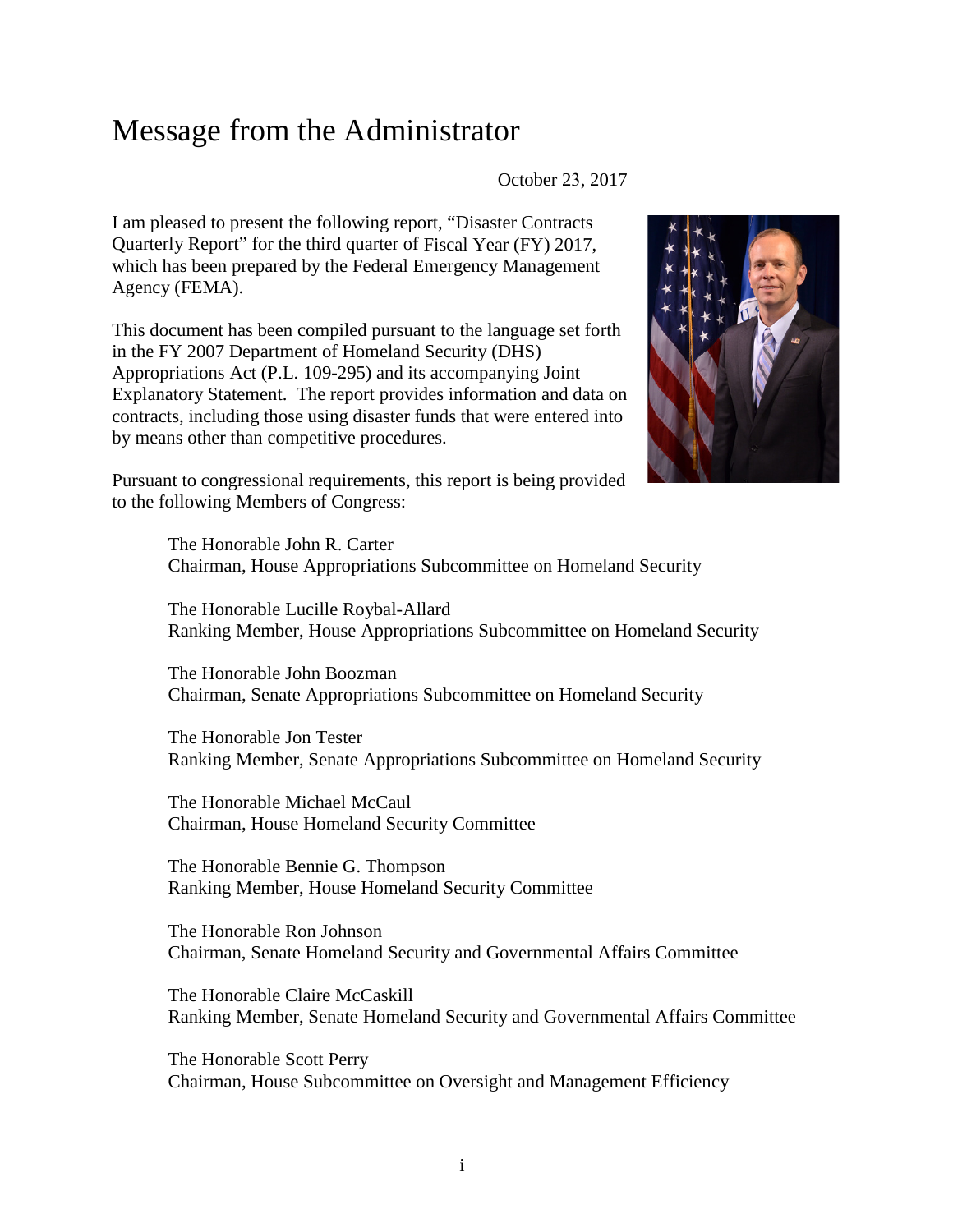## Message from the Administrator

October 23, 2017

I am pleased to present the following report, "Disaster Contracts Quarterly Report" for the third quarter of Fiscal Year (FY) 2017, which has been prepared by the Federal Emergency Management Agency (FEMA).

This document has been compiled pursuant to the language set forth in the FY 2007 Department of Homeland Security (DHS) Appropriations Act (P.L. 109-295) and its accompanying Joint Explanatory Statement. The report provides information and data on contracts, including those using disaster funds that were entered into by means other than competitive procedures.



Pursuant to congressional requirements, this report is being provided to the following Members of Congress:

> The Honorable John R. Carter Chairman, House Appropriations Subcommittee on Homeland Security

The Honorable Lucille Roybal-Allard Ranking Member, House Appropriations Subcommittee on Homeland Security

The Honorable John Boozman Chairman, Senate Appropriations Subcommittee on Homeland Security

The Honorable Jon Tester Ranking Member, Senate Appropriations Subcommittee on Homeland Security

The Honorable Michael McCaul Chairman, House Homeland Security Committee

The Honorable Bennie G. Thompson Ranking Member, House Homeland Security Committee

The Honorable Ron Johnson Chairman, Senate Homeland Security and Governmental Affairs Committee

The Honorable Claire McCaskill Ranking Member, Senate Homeland Security and Governmental Affairs Committee

The Honorable Scott Perry Chairman, House Subcommittee on Oversight and Management Efficiency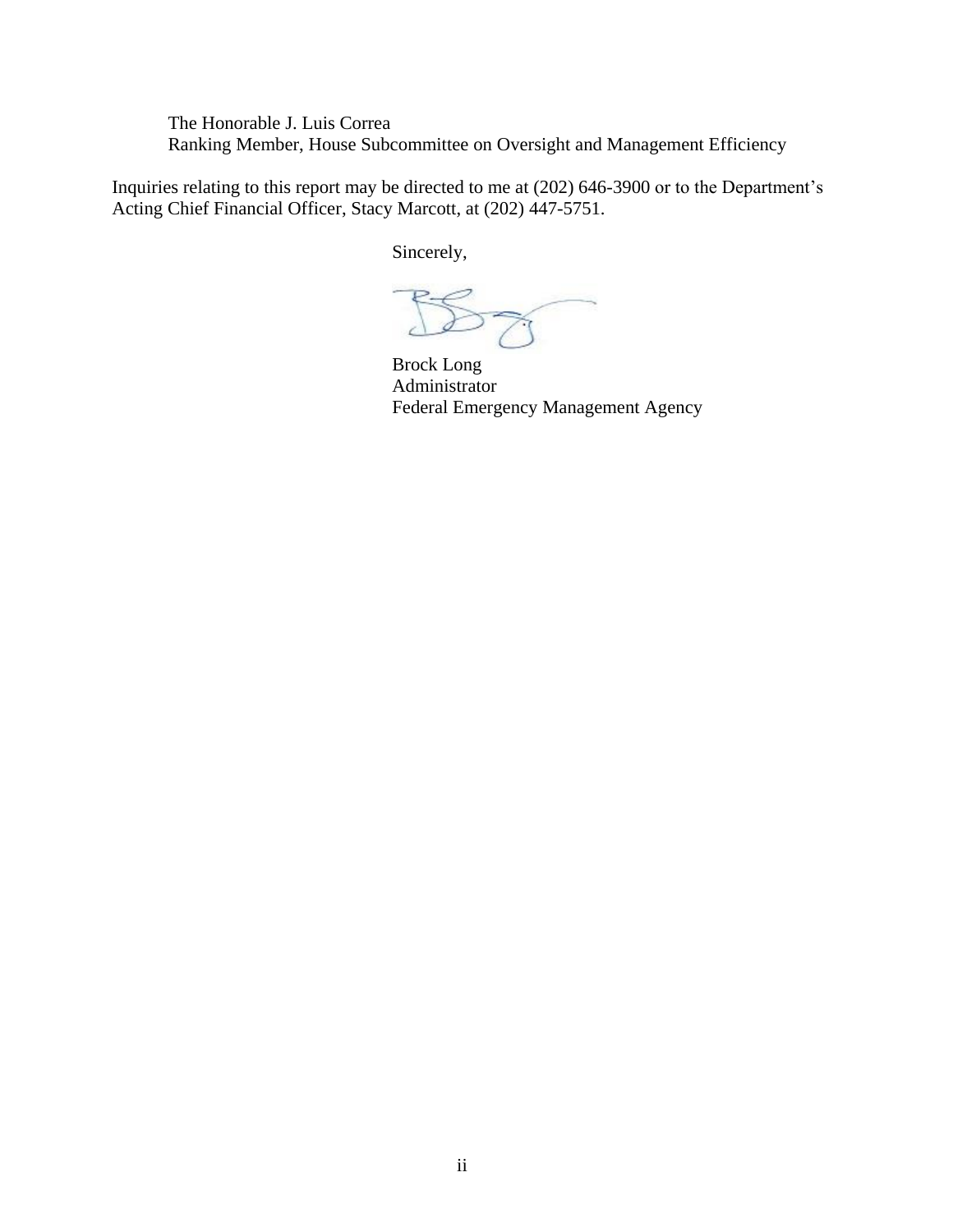The Honorable J. Luis Correa Ranking Member, House Subcommittee on Oversight and Management Efficiency

Inquiries relating to this report may be directed to me at (202) 646-3900 or to the Department's Acting Chief Financial Officer, Stacy Marcott, at (202) 447-5751.

Sincerely,

 $57$ 

Brock Long Administrator Federal Emergency Management Agency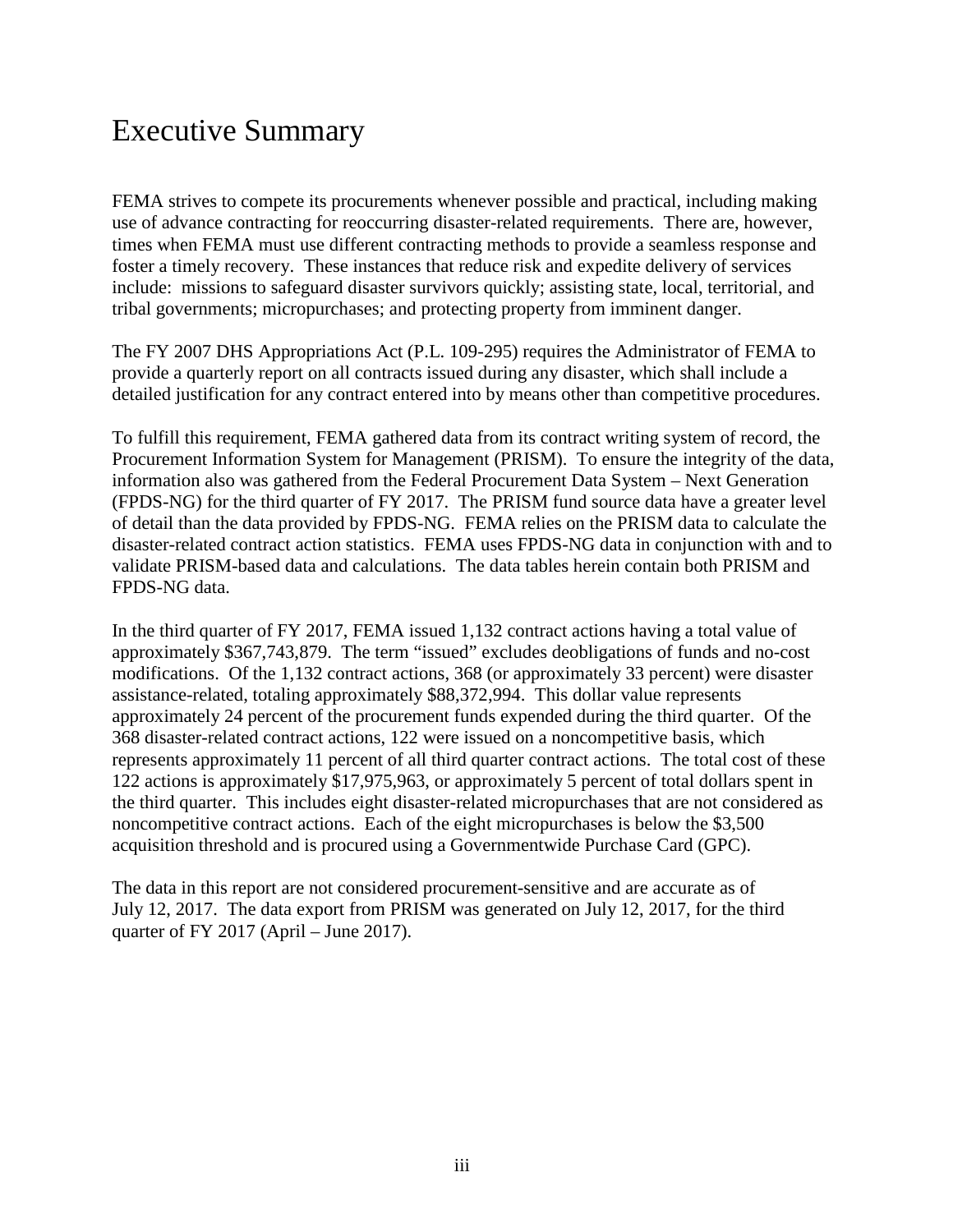# Executive Summary

FEMA strives to compete its procurements whenever possible and practical, including making use of advance contracting for reoccurring disaster-related requirements. There are, however, times when FEMA must use different contracting methods to provide a seamless response and foster a timely recovery. These instances that reduce risk and expedite delivery of services include: missions to safeguard disaster survivors quickly; assisting state, local, territorial, and tribal governments; micropurchases; and protecting property from imminent danger.

The FY 2007 DHS Appropriations Act (P.L. 109-295) requires the Administrator of FEMA to provide a quarterly report on all contracts issued during any disaster, which shall include a detailed justification for any contract entered into by means other than competitive procedures.

To fulfill this requirement, FEMA gathered data from its contract writing system of record, the Procurement Information System for Management (PRISM). To ensure the integrity of the data, information also was gathered from the Federal Procurement Data System – Next Generation (FPDS-NG) for the third quarter of FY 2017. The PRISM fund source data have a greater level of detail than the data provided by FPDS-NG. FEMA relies on the PRISM data to calculate the disaster-related contract action statistics. FEMA uses FPDS-NG data in conjunction with and to validate PRISM-based data and calculations. The data tables herein contain both PRISM and FPDS-NG data.

In the third quarter of FY 2017, FEMA issued 1,132 contract actions having a total value of approximately \$367,743,879. The term "issued" excludes deobligations of funds and no-cost modifications. Of the 1,132 contract actions, 368 (or approximately 33 percent) were disaster assistance-related, totaling approximately \$88,372,994. This dollar value represents approximately 24 percent of the procurement funds expended during the third quarter. Of the 368 disaster-related contract actions, 122 were issued on a noncompetitive basis, which represents approximately 11 percent of all third quarter contract actions. The total cost of these 122 actions is approximately \$17,975,963, or approximately 5 percent of total dollars spent in the third quarter. This includes eight disaster-related micropurchases that are not considered as noncompetitive contract actions. Each of the eight micropurchases is below the \$3,500 acquisition threshold and is procured using a Governmentwide Purchase Card (GPC).

The data in this report are not considered procurement-sensitive and are accurate as of July 12, 2017. The data export from PRISM was generated on July 12, 2017, for the third quarter of FY 2017 (April – June 2017).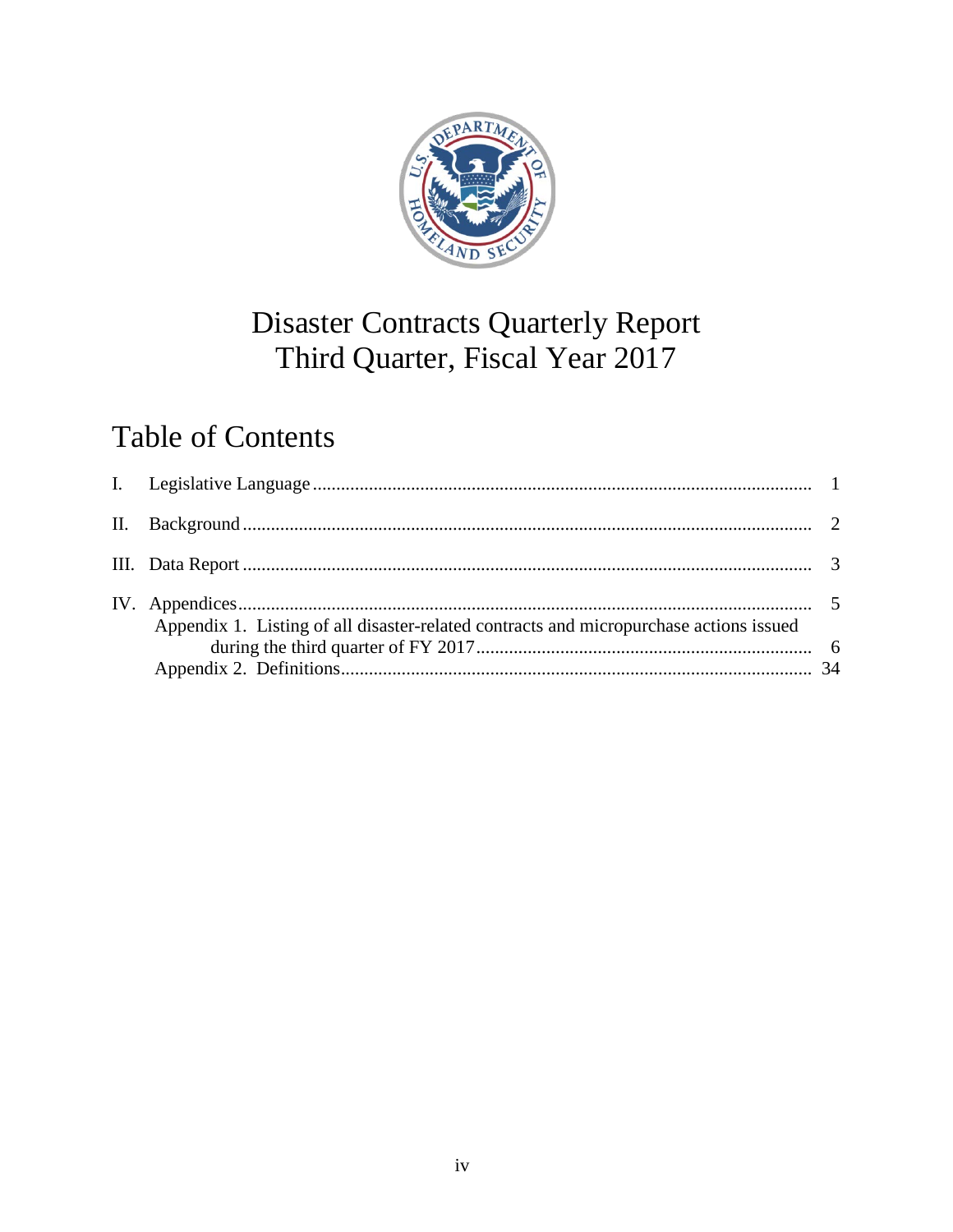

# **Disaster Contracts Quarterly Report** Third Quarter, Fiscal Year 2017

# **Table of Contents**

| Appendix 1. Listing of all disaster-related contracts and micropurchase actions issued |  |
|----------------------------------------------------------------------------------------|--|
|                                                                                        |  |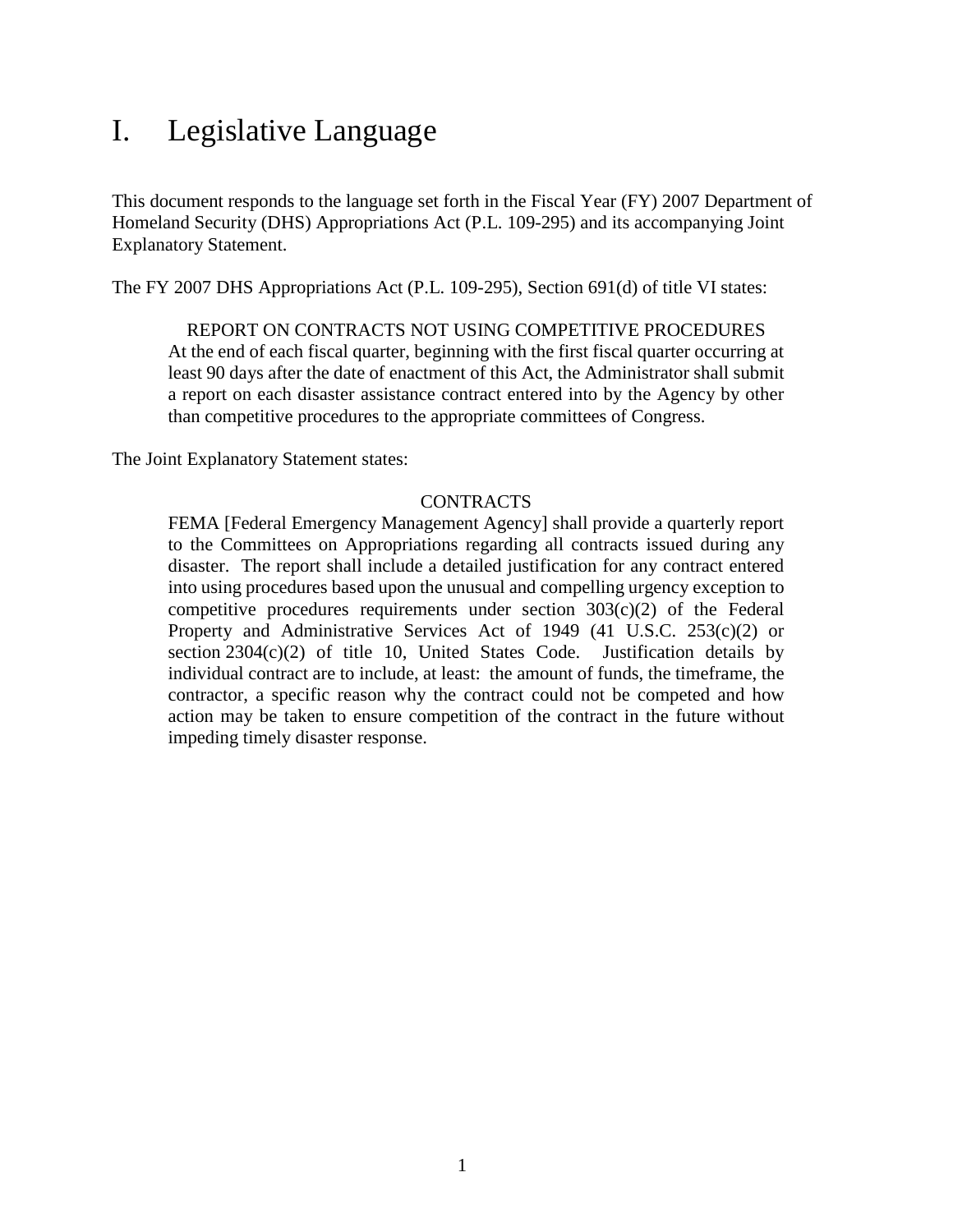# <span id="page-5-0"></span>I. Legislative Language

This document responds to the language set forth in the Fiscal Year (FY) 2007 Department of Homeland Security (DHS) Appropriations Act (P.L. 109-295) and its accompanying Joint Explanatory Statement.

The FY 2007 DHS Appropriations Act (P.L. 109-295), Section 691(d) of title VI states:

#### REPORT ON CONTRACTS NOT USING COMPETITIVE PROCEDURES

At the end of each fiscal quarter, beginning with the first fiscal quarter occurring at least 90 days after the date of enactment of this Act, the Administrator shall submit a report on each disaster assistance contract entered into by the Agency by other than competitive procedures to the appropriate committees of Congress.

The Joint Explanatory Statement states:

#### **CONTRACTS**

FEMA [Federal Emergency Management Agency] shall provide a quarterly report to the Committees on Appropriations regarding all contracts issued during any disaster. The report shall include a detailed justification for any contract entered into using procedures based upon the unusual and compelling urgency exception to competitive procedures requirements under section  $303(c)(2)$  of the Federal Property and Administrative Services Act of 1949 (41 U.S.C. 253(c)(2) or section  $2304(c)(2)$  of title 10, United States Code. Justification details by individual contract are to include, at least: the amount of funds, the timeframe, the contractor, a specific reason why the contract could not be competed and how action may be taken to ensure competition of the contract in the future without impeding timely disaster response.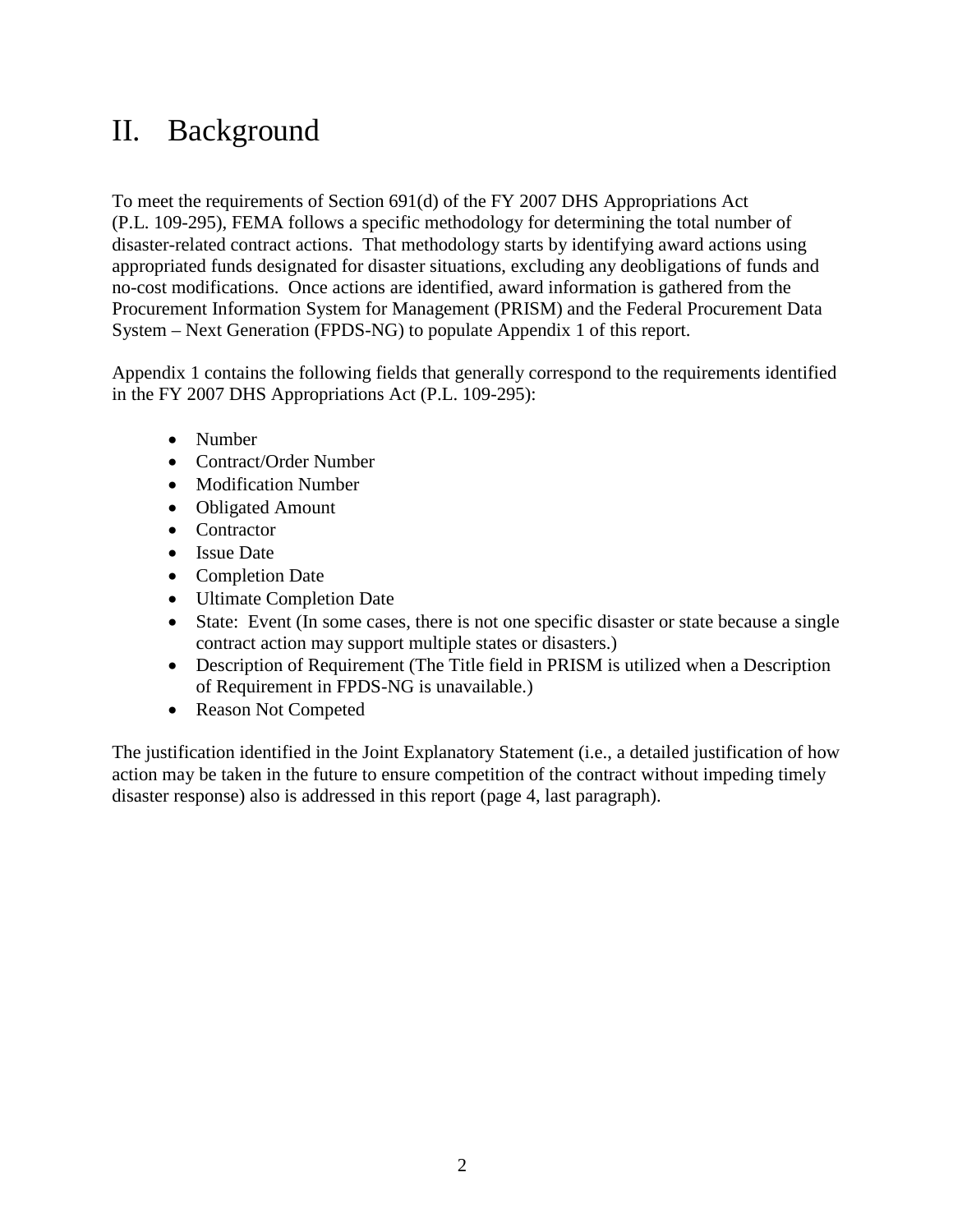# <span id="page-6-0"></span>II. Background

To meet the requirements of Section 691(d) of the FY 2007 DHS Appropriations Act (P.L. 109-295), FEMA follows a specific methodology for determining the total number of disaster-related contract actions. That methodology starts by identifying award actions using appropriated funds designated for disaster situations, excluding any deobligations of funds and no-cost modifications. Once actions are identified, award information is gathered from the Procurement Information System for Management (PRISM) and the Federal Procurement Data System – Next Generation (FPDS-NG) to populate Appendix 1 of this report.

Appendix 1 contains the following fields that generally correspond to the requirements identified in the FY 2007 DHS Appropriations Act (P.L. 109-295):

- Number
- Contract/Order Number
- Modification Number
- Obligated Amount
- Contractor
- Issue Date
- Completion Date
- Ultimate Completion Date
- State: Event (In some cases, there is not one specific disaster or state because a single contract action may support multiple states or disasters.)
- Description of Requirement (The Title field in PRISM is utilized when a Description of Requirement in FPDS-NG is unavailable.)
- Reason Not Competed

The justification identified in the Joint Explanatory Statement (i.e., a detailed justification of how action may be taken in the future to ensure competition of the contract without impeding timely disaster response) also is addressed in this report (page 4, last paragraph).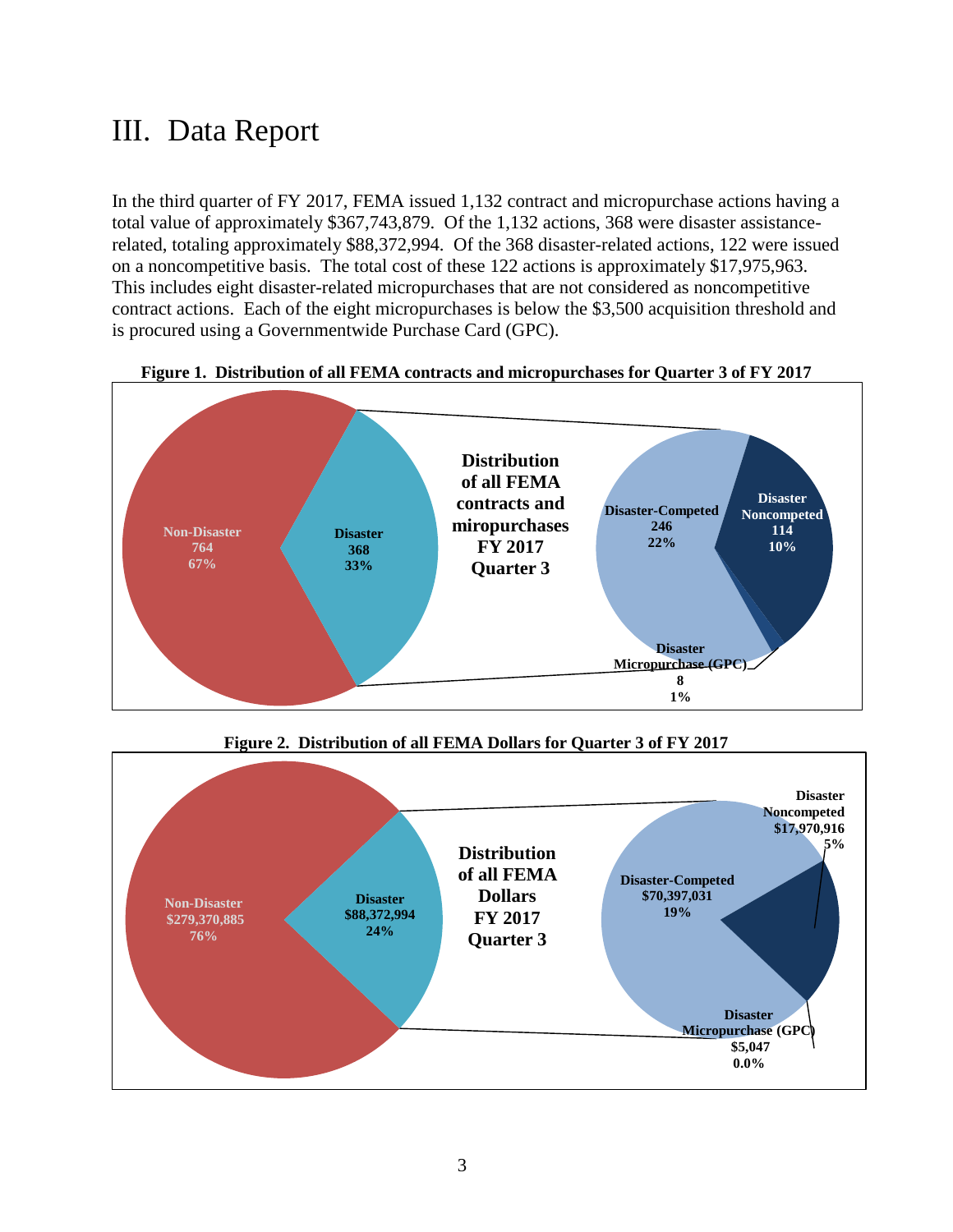# <span id="page-7-0"></span>III. Data Report

In the third quarter of FY 2017, FEMA issued 1,132 contract and micropurchase actions having a total value of approximately \$367,743,879. Of the 1,132 actions, 368 were disaster assistancerelated, totaling approximately \$88,372,994. Of the 368 disaster-related actions, 122 were issued on a noncompetitive basis. The total cost of these 122 actions is approximately \$17,975,963. This includes eight disaster-related micropurchases that are not considered as noncompetitive contract actions. Each of the eight micropurchases is below the \$3,500 acquisition threshold and is procured using a Governmentwide Purchase Card (GPC).



**Figure 1. Distribution of all FEMA contracts and micropurchases for Quarter 3 of FY 2017**

**Figure 2. Distribution of all FEMA Dollars for Quarter 3 of FY 2017** 

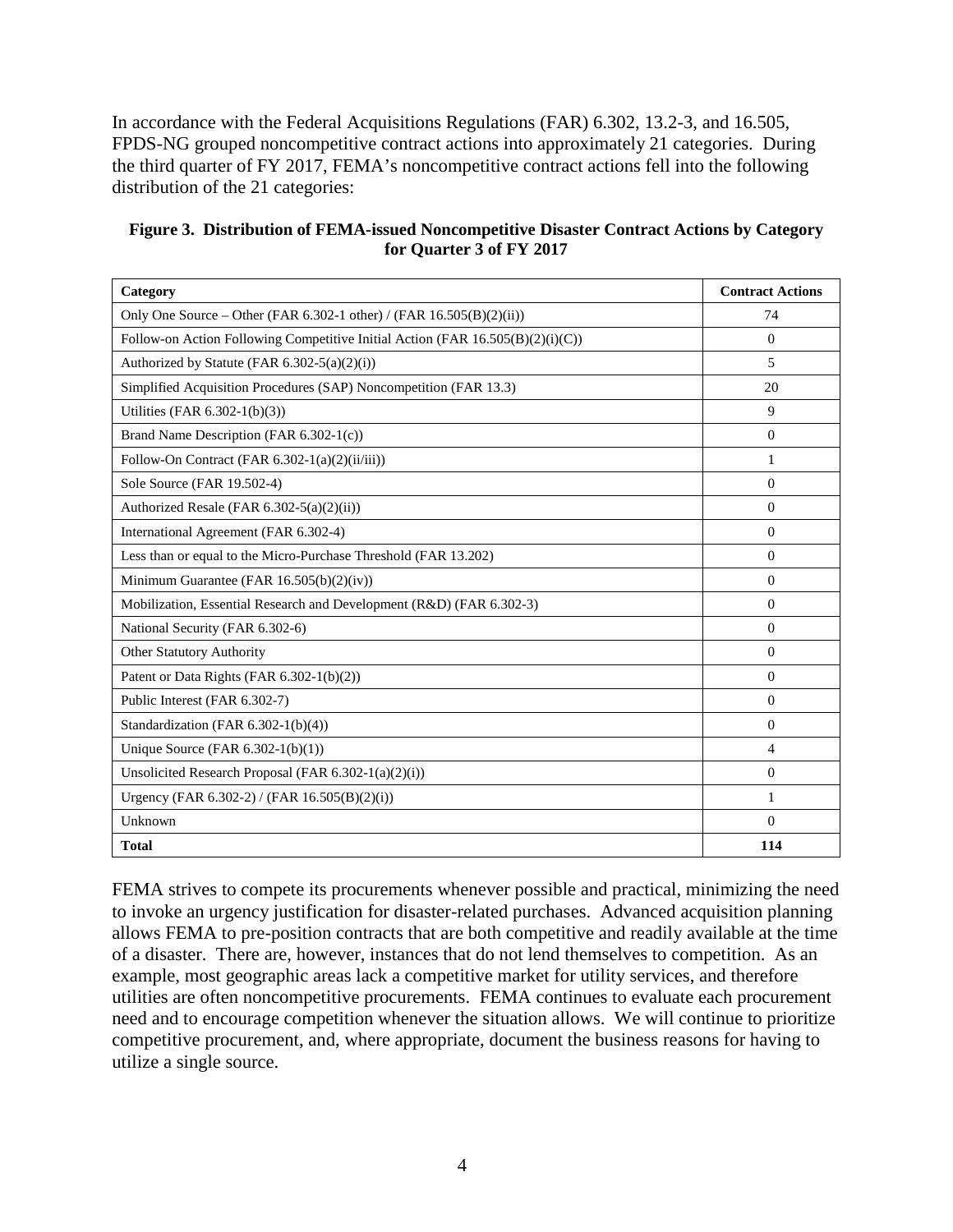In accordance with the Federal Acquisitions Regulations (FAR) 6.302, 13.2-3, and 16.505, FPDS-NG grouped noncompetitive contract actions into approximately 21 categories. During the third quarter of FY 2017, FEMA's noncompetitive contract actions fell into the following distribution of the 21 categories:

| Figure 3. Distribution of FEMA-issued Noncompetitive Disaster Contract Actions by Category |
|--------------------------------------------------------------------------------------------|
| for Quarter 3 of FY 2017                                                                   |

| Category                                                                       | <b>Contract Actions</b> |
|--------------------------------------------------------------------------------|-------------------------|
| Only One Source – Other (FAR 6.302-1 other) / (FAR $16.505(B)(2)(ii)$ )        | 74                      |
| Follow-on Action Following Competitive Initial Action (FAR 16.505(B)(2)(i)(C)) | $\Omega$                |
| Authorized by Statute (FAR $6.302-5(a)(2)(i)$ )                                | 5                       |
| Simplified Acquisition Procedures (SAP) Noncompetition (FAR 13.3)              | 20                      |
| Utilities (FAR 6.302-1(b)(3))                                                  | 9                       |
| Brand Name Description (FAR 6.302-1(c))                                        | $\Omega$                |
| Follow-On Contract (FAR 6.302-1(a)(2)(ii/iii))                                 | 1                       |
| Sole Source (FAR 19.502-4)                                                     | $\Omega$                |
| Authorized Resale (FAR 6.302-5(a)(2)(ii))                                      | $\Omega$                |
| International Agreement (FAR 6.302-4)                                          | $\Omega$                |
| Less than or equal to the Micro-Purchase Threshold (FAR 13.202)                | $\Omega$                |
| Minimum Guarantee (FAR 16.505(b)(2)(iv))                                       | $\Omega$                |
| Mobilization, Essential Research and Development (R&D) (FAR 6.302-3)           | $\Omega$                |
| National Security (FAR 6.302-6)                                                | $\Omega$                |
| Other Statutory Authority                                                      | $\Omega$                |
| Patent or Data Rights (FAR 6.302-1(b)(2))                                      | $\Omega$                |
| Public Interest (FAR 6.302-7)                                                  | $\Omega$                |
| Standardization (FAR 6.302-1(b)(4))                                            | $\Omega$                |
| Unique Source (FAR $6.302-1(b)(1)$ )                                           | 4                       |
| Unsolicited Research Proposal (FAR $6.302-1(a)(2)(i)$ )                        | $\Omega$                |
| Urgency (FAR 6.302-2) / (FAR 16.505(B)(2)(i))                                  | 1                       |
| Unknown                                                                        | $\Omega$                |
| <b>Total</b>                                                                   | 114                     |

FEMA strives to compete its procurements whenever possible and practical, minimizing the need to invoke an urgency justification for disaster-related purchases. Advanced acquisition planning allows FEMA to pre-position contracts that are both competitive and readily available at the time of a disaster. There are, however, instances that do not lend themselves to competition. As an example, most geographic areas lack a competitive market for utility services, and therefore utilities are often noncompetitive procurements. FEMA continues to evaluate each procurement need and to encourage competition whenever the situation allows. We will continue to prioritize competitive procurement, and, where appropriate, document the business reasons for having to utilize a single source.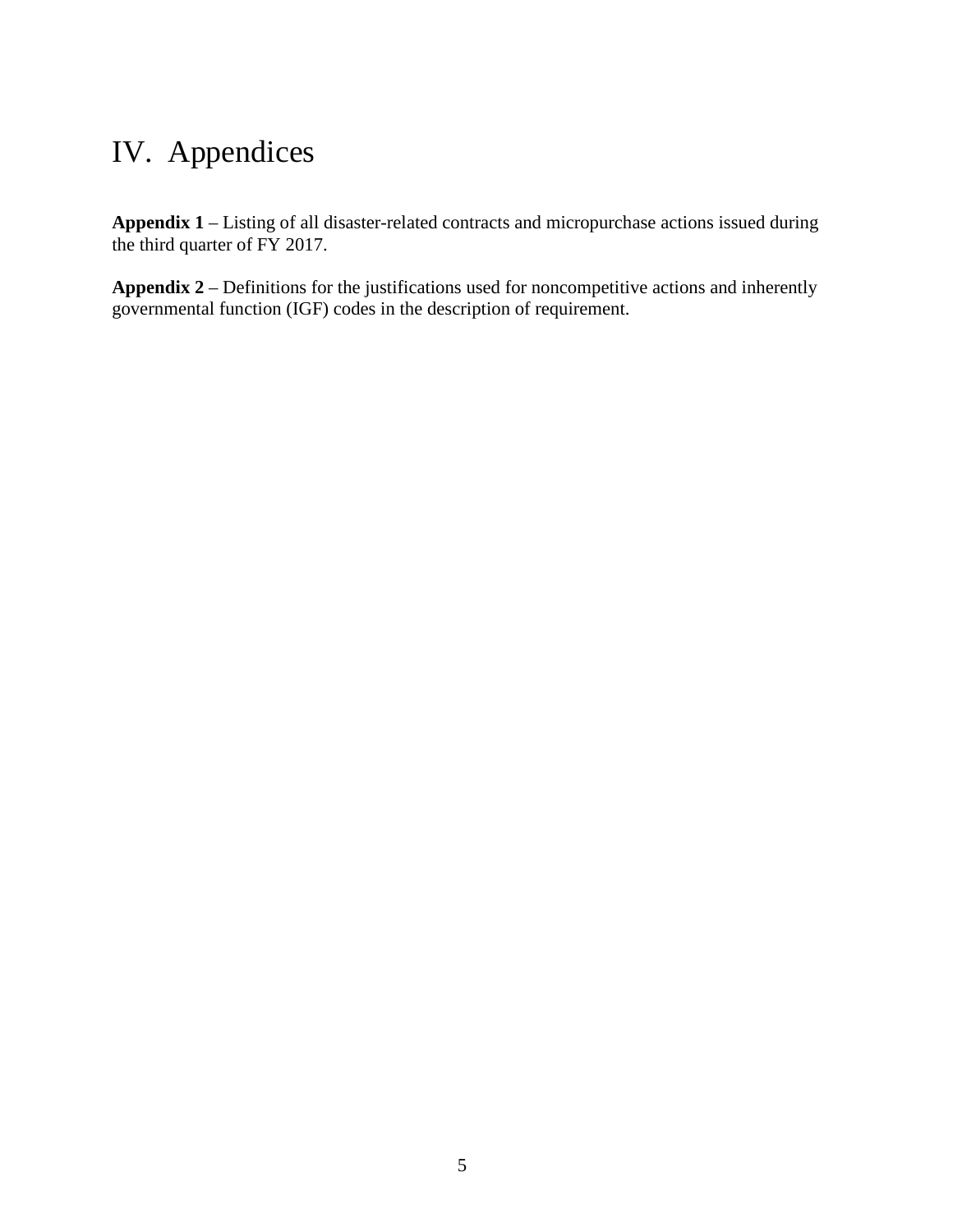# <span id="page-9-0"></span>IV. Appendices

**Appendix 1** – Listing of all disaster-related contracts and micropurchase actions issued during the third quarter of FY 2017.

**Appendix 2** – Definitions for the justifications used for noncompetitive actions and inherently governmental function (IGF) codes in the description of requirement.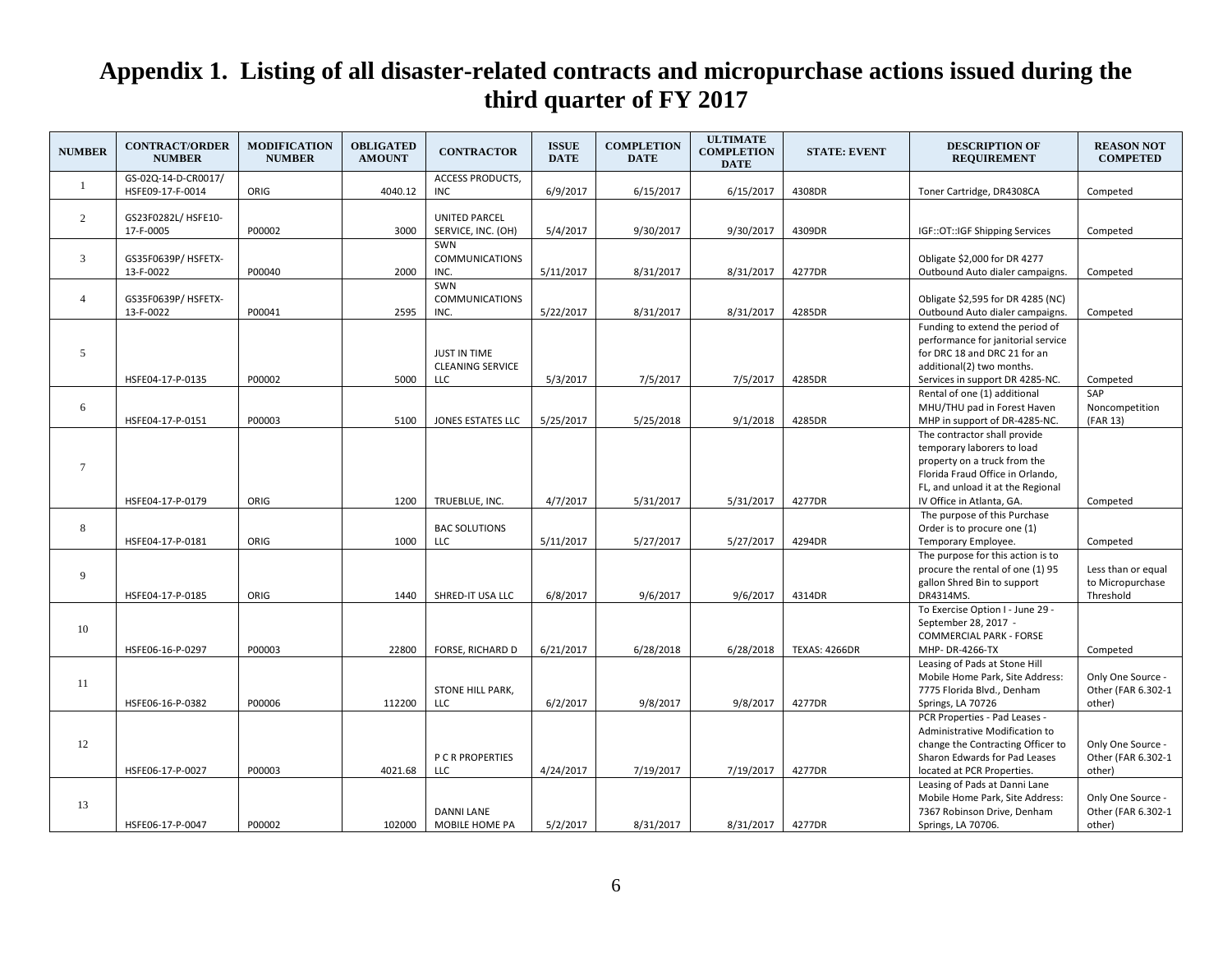<span id="page-10-0"></span>

| <b>NUMBER</b>   | <b>CONTRACT/ORDER</b><br><b>NUMBER</b>  | <b>MODIFICATION</b><br><b>NUMBER</b> | <b>OBLIGATED</b><br><b>AMOUNT</b> | <b>CONTRACTOR</b>                              | <b>ISSUE</b><br><b>DATE</b> | <b>COMPLETION</b><br><b>DATE</b> | <b>ULTIMATE</b><br><b>COMPLETION</b><br><b>DATE</b> | <b>STATE: EVENT</b>  | <b>DESCRIPTION OF</b><br><b>REQUIREMENT</b>                                                                                                                           | <b>REASON NOT</b><br><b>COMPETED</b>                |
|-----------------|-----------------------------------------|--------------------------------------|-----------------------------------|------------------------------------------------|-----------------------------|----------------------------------|-----------------------------------------------------|----------------------|-----------------------------------------------------------------------------------------------------------------------------------------------------------------------|-----------------------------------------------------|
| 1               | GS-02Q-14-D-CR0017/<br>HSFE09-17-F-0014 | ORIG                                 | 4040.12                           | <b>ACCESS PRODUCTS,</b><br><b>INC</b>          | 6/9/2017                    | 6/15/2017                        | 6/15/2017                                           | 4308DR               | Toner Cartridge, DR4308CA                                                                                                                                             | Competed                                            |
| $\overline{2}$  | GS23F0282L/ HSFE10-<br>17-F-0005        | P00002                               | 3000                              | <b>UNITED PARCEL</b><br>SERVICE, INC. (OH)     | 5/4/2017                    | 9/30/2017                        | 9/30/2017                                           | 4309DR               | IGF::OT::IGF Shipping Services                                                                                                                                        | Competed                                            |
| $\overline{3}$  | GS35F0639P/ HSFETX-<br>13-F-0022        | P00040                               | 2000                              | SWN<br><b>COMMUNICATIONS</b><br>INC.           | 5/11/2017                   | 8/31/2017                        | 8/31/2017                                           | 4277DR               | Obligate \$2,000 for DR 4277<br>Outbound Auto dialer campaigns.                                                                                                       | Competed                                            |
| $\overline{4}$  | GS35F0639P/ HSFETX-<br>13-F-0022        | P00041                               | 2595                              | SWN<br><b>COMMUNICATIONS</b><br>INC.           | 5/22/2017                   | 8/31/2017                        | 8/31/2017                                           | 4285DR               | Obligate \$2,595 for DR 4285 (NC)<br>Outbound Auto dialer campaigns.                                                                                                  | Competed                                            |
| 5               | HSFE04-17-P-0135                        | P00002                               | 5000                              | JUST IN TIME<br><b>CLEANING SERVICE</b><br>LLC | 5/3/2017                    | 7/5/2017                         | 7/5/2017                                            | 4285DR               | Funding to extend the period of<br>performance for janitorial service<br>for DRC 18 and DRC 21 for an<br>additional(2) two months.<br>Services in support DR 4285-NC. | Competed                                            |
| 6               | HSFE04-17-P-0151                        | P00003                               | 5100                              | JONES ESTATES LLC                              | 5/25/2017                   | 5/25/2018                        | 9/1/2018                                            | 4285DR               | Rental of one (1) additional<br>MHU/THU pad in Forest Haven<br>MHP in support of DR-4285-NC.                                                                          | SAP<br>Noncompetition<br>(FAR 13)                   |
| $7\phantom{.0}$ |                                         |                                      |                                   |                                                |                             |                                  |                                                     |                      | The contractor shall provide<br>temporary laborers to load<br>property on a truck from the<br>Florida Fraud Office in Orlando,<br>FL, and unload it at the Regional   |                                                     |
|                 | HSFE04-17-P-0179                        | ORIG                                 | 1200                              | TRUEBLUE, INC.                                 | 4/7/2017                    | 5/31/2017                        | 5/31/2017                                           | 4277DR               | IV Office in Atlanta, GA.<br>The purpose of this Purchase                                                                                                             | Competed                                            |
| 8               | HSFE04-17-P-0181                        | ORIG                                 | 1000                              | <b>BAC SOLUTIONS</b><br>LLC                    | 5/11/2017                   | 5/27/2017                        | 5/27/2017                                           | 4294DR               | Order is to procure one (1)<br>Temporary Employee.                                                                                                                    | Competed                                            |
| 9               | HSFE04-17-P-0185                        | ORIG                                 | 1440                              | SHRED-IT USA LLC                               | 6/8/2017                    | 9/6/2017                         | 9/6/2017                                            | 4314DR               | The purpose for this action is to<br>procure the rental of one (1) 95<br>gallon Shred Bin to support<br>DR4314MS.                                                     | Less than or equal<br>to Micropurchase<br>Threshold |
| 10              | HSFE06-16-P-0297                        | P00003                               | 22800                             | <b>FORSE, RICHARD D</b>                        | 6/21/2017                   | 6/28/2018                        | 6/28/2018                                           | <b>TEXAS: 4266DR</b> | To Exercise Option I - June 29 -<br>September 28, 2017 -<br><b>COMMERCIAL PARK - FORSE</b><br>MHP-DR-4266-TX                                                          | Competed                                            |
| 11              | HSFE06-16-P-0382                        | P00006                               | 112200                            | STONE HILL PARK,<br><b>LLC</b>                 | 6/2/2017                    | 9/8/2017                         | 9/8/2017                                            | 4277DR               | Leasing of Pads at Stone Hill<br>Mobile Home Park, Site Address:<br>7775 Florida Blvd., Denham<br>Springs, LA 70726                                                   | Only One Source -<br>Other (FAR 6.302-1<br>other)   |
| 12              | HSFE06-17-P-0027                        | P00003                               | 4021.68                           | P C R PROPERTIES<br>LLC                        | 4/24/2017                   | 7/19/2017                        | 7/19/2017                                           | 4277DR               | PCR Properties - Pad Leases -<br>Administrative Modification to<br>change the Contracting Officer to<br>Sharon Edwards for Pad Leases<br>located at PCR Properties.   | Only One Source -<br>Other (FAR 6.302-1<br>other)   |
| 13              | HSFE06-17-P-0047                        | P00002                               | 102000                            | <b>DANNI LANE</b><br>MOBILE HOME PA            | 5/2/2017                    | 8/31/2017                        | 8/31/2017                                           | 4277DR               | Leasing of Pads at Danni Lane<br>Mobile Home Park, Site Address:<br>7367 Robinson Drive, Denham<br>Springs, LA 70706.                                                 | Only One Source -<br>Other (FAR 6.302-1<br>other)   |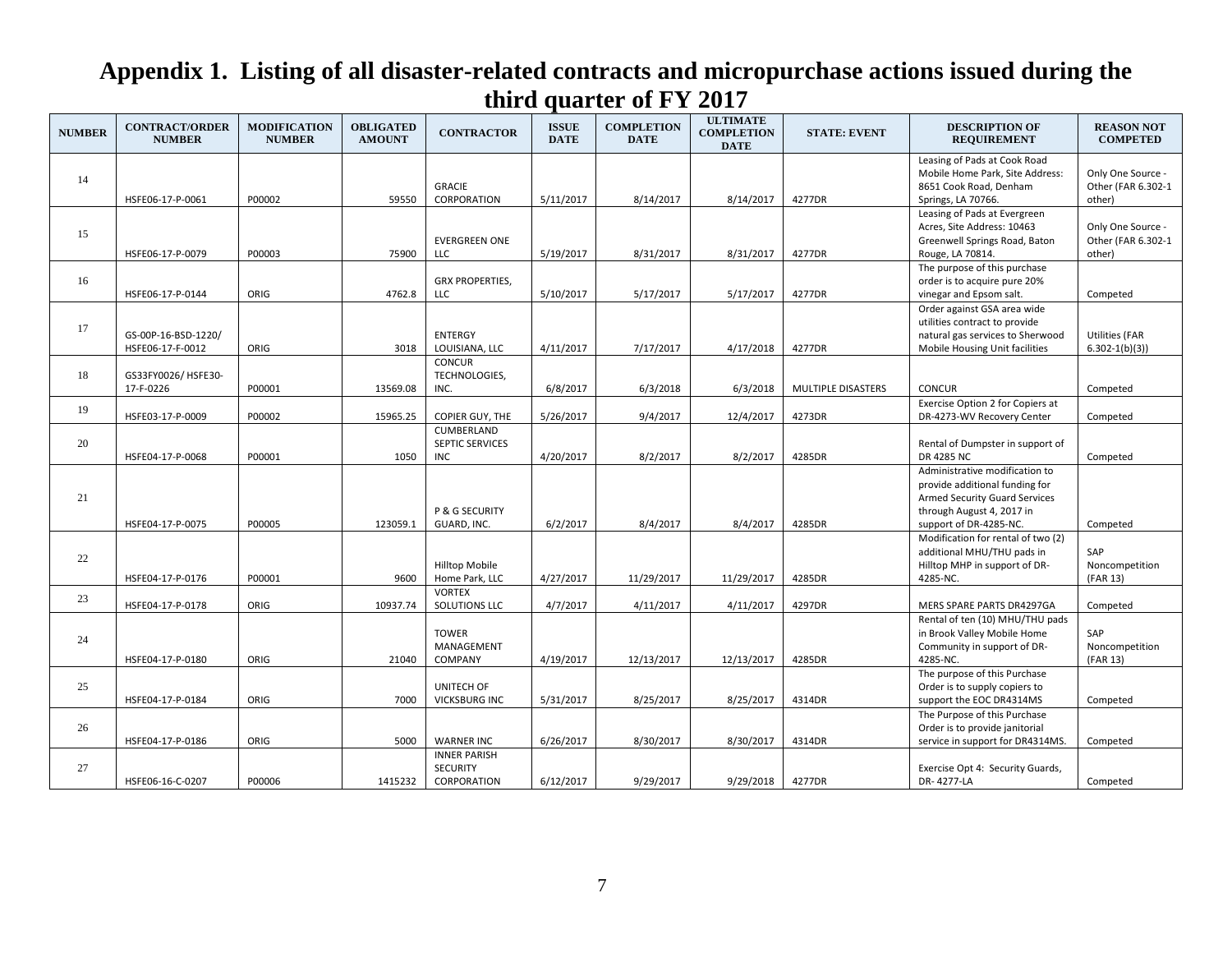| <b>NUMBER</b> | <b>CONTRACT/ORDER</b><br><b>NUMBER</b>  | <b>MODIFICATION</b><br><b>NUMBER</b> | <b>OBLIGATED</b><br><b>AMOUNT</b> | <b>CONTRACTOR</b>                                     | <b>ISSUE</b><br><b>DATE</b> | <b>COMPLETION</b><br><b>DATE</b> | <b>ULTIMATE</b><br><b>COMPLETION</b><br><b>DATE</b> | <b>STATE: EVENT</b> | <b>DESCRIPTION OF</b><br><b>REQUIREMENT</b>                                                                                                              | <b>REASON NOT</b><br><b>COMPETED</b>              |
|---------------|-----------------------------------------|--------------------------------------|-----------------------------------|-------------------------------------------------------|-----------------------------|----------------------------------|-----------------------------------------------------|---------------------|----------------------------------------------------------------------------------------------------------------------------------------------------------|---------------------------------------------------|
| 14            | HSFE06-17-P-0061                        | P00002                               | 59550                             | <b>GRACIE</b><br>CORPORATION                          | 5/11/2017                   | 8/14/2017                        | 8/14/2017                                           | 4277DR              | Leasing of Pads at Cook Road<br>Mobile Home Park, Site Address:<br>8651 Cook Road, Denham<br>Springs, LA 70766.                                          | Only One Source -<br>Other (FAR 6.302-1<br>other) |
| 15            | HSFE06-17-P-0079                        | P00003                               | 75900                             | <b>EVERGREEN ONE</b><br>LLC.                          | 5/19/2017                   | 8/31/2017                        | 8/31/2017                                           | 4277DR              | Leasing of Pads at Evergreen<br>Acres, Site Address: 10463<br>Greenwell Springs Road, Baton<br>Rouge, LA 70814.                                          | Only One Source -<br>Other (FAR 6.302-1<br>other) |
| 16            | HSFE06-17-P-0144                        | ORIG                                 | 4762.8                            | <b>GRX PROPERTIES,</b><br><b>LLC</b>                  | 5/10/2017                   | 5/17/2017                        | 5/17/2017                                           | 4277DR              | The purpose of this purchase<br>order is to acquire pure 20%<br>vinegar and Epsom salt.                                                                  | Competed                                          |
| 17            | GS-00P-16-BSD-1220/<br>HSFE06-17-F-0012 | ORIG                                 | 3018                              | <b>ENTERGY</b><br>LOUISIANA, LLC                      | 4/11/2017                   | 7/17/2017                        | 4/17/2018                                           | 4277DR              | Order against GSA area wide<br>utilities contract to provide<br>natural gas services to Sherwood<br>Mobile Housing Unit facilities                       | Utilities (FAR<br>$6.302 - 1(b)(3)$               |
| 18            | GS33FY0026/HSFE30-<br>17-F-0226         | P00001                               | 13569.08                          | <b>CONCUR</b><br>TECHNOLOGIES,<br>INC.                | 6/8/2017                    | 6/3/2018                         | 6/3/2018                                            | MULTIPLE DISASTERS  | <b>CONCUR</b>                                                                                                                                            | Competed                                          |
| 19            | HSFE03-17-P-0009                        | P00002                               | 15965.25                          | <b>COPIER GUY, THE</b>                                | 5/26/2017                   | 9/4/2017                         | 12/4/2017                                           | 4273DR              | Exercise Option 2 for Copiers at<br>DR-4273-WV Recovery Center                                                                                           | Competed                                          |
| 20            | HSFE04-17-P-0068                        | P00001                               | 1050                              | CUMBERLAND<br>SEPTIC SERVICES<br><b>INC</b>           | 4/20/2017                   | 8/2/2017                         | 8/2/2017                                            | 4285DR              | Rental of Dumpster in support of<br>DR 4285 NC                                                                                                           | Competed                                          |
| 21            | HSFE04-17-P-0075                        | P00005                               | 123059.1                          | P & G SECURITY<br>GUARD, INC.                         | 6/2/2017                    | 8/4/2017                         | 8/4/2017                                            | 4285DR              | Administrative modification to<br>provide additional funding for<br>Armed Security Guard Services<br>through August 4, 2017 in<br>support of DR-4285-NC. | Competed                                          |
| 22            | HSFE04-17-P-0176                        | P00001                               | 9600                              | Hilltop Mobile<br>Home Park, LLC                      | 4/27/2017                   | 11/29/2017                       | 11/29/2017                                          | 4285DR              | Modification for rental of two (2)<br>additional MHU/THU pads in<br>Hilltop MHP in support of DR-<br>4285-NC.                                            | SAP<br>Noncompetition<br>(FAR 13)                 |
| 23            | HSFE04-17-P-0178                        | ORIG                                 | 10937.74                          | <b>VORTEX</b><br>SOLUTIONS LLC                        | 4/7/2017                    | 4/11/2017                        | 4/11/2017                                           | 4297DR              | MERS SPARE PARTS DR4297GA                                                                                                                                | Competed                                          |
| 24            | HSFE04-17-P-0180                        | ORIG                                 | 21040                             | <b>TOWER</b><br>MANAGEMENT<br>COMPANY                 | 4/19/2017                   | 12/13/2017                       | 12/13/2017                                          | 4285DR              | Rental of ten (10) MHU/THU pads<br>in Brook Valley Mobile Home<br>Community in support of DR-<br>4285-NC.                                                | SAP<br>Noncompetition<br>(FAR 13)                 |
| 25            | HSFE04-17-P-0184                        | ORIG                                 | 7000                              | UNITECH OF<br><b>VICKSBURG INC</b>                    | 5/31/2017                   | 8/25/2017                        | 8/25/2017                                           | 4314DR              | The purpose of this Purchase<br>Order is to supply copiers to<br>support the EOC DR4314MS                                                                | Competed                                          |
| 26            | HSFE04-17-P-0186                        | ORIG                                 | 5000                              | <b>WARNER INC</b>                                     | 6/26/2017                   | 8/30/2017                        | 8/30/2017                                           | 4314DR              | The Purpose of this Purchase<br>Order is to provide janitorial<br>service in support for DR4314MS.                                                       | Competed                                          |
| 27            | HSFE06-16-C-0207                        | P00006                               | 1415232                           | <b>INNER PARISH</b><br><b>SECURITY</b><br>CORPORATION | 6/12/2017                   | 9/29/2017                        | 9/29/2018                                           | 4277DR              | Exercise Opt 4: Security Guards,<br>DR-4277-LA                                                                                                           | Competed                                          |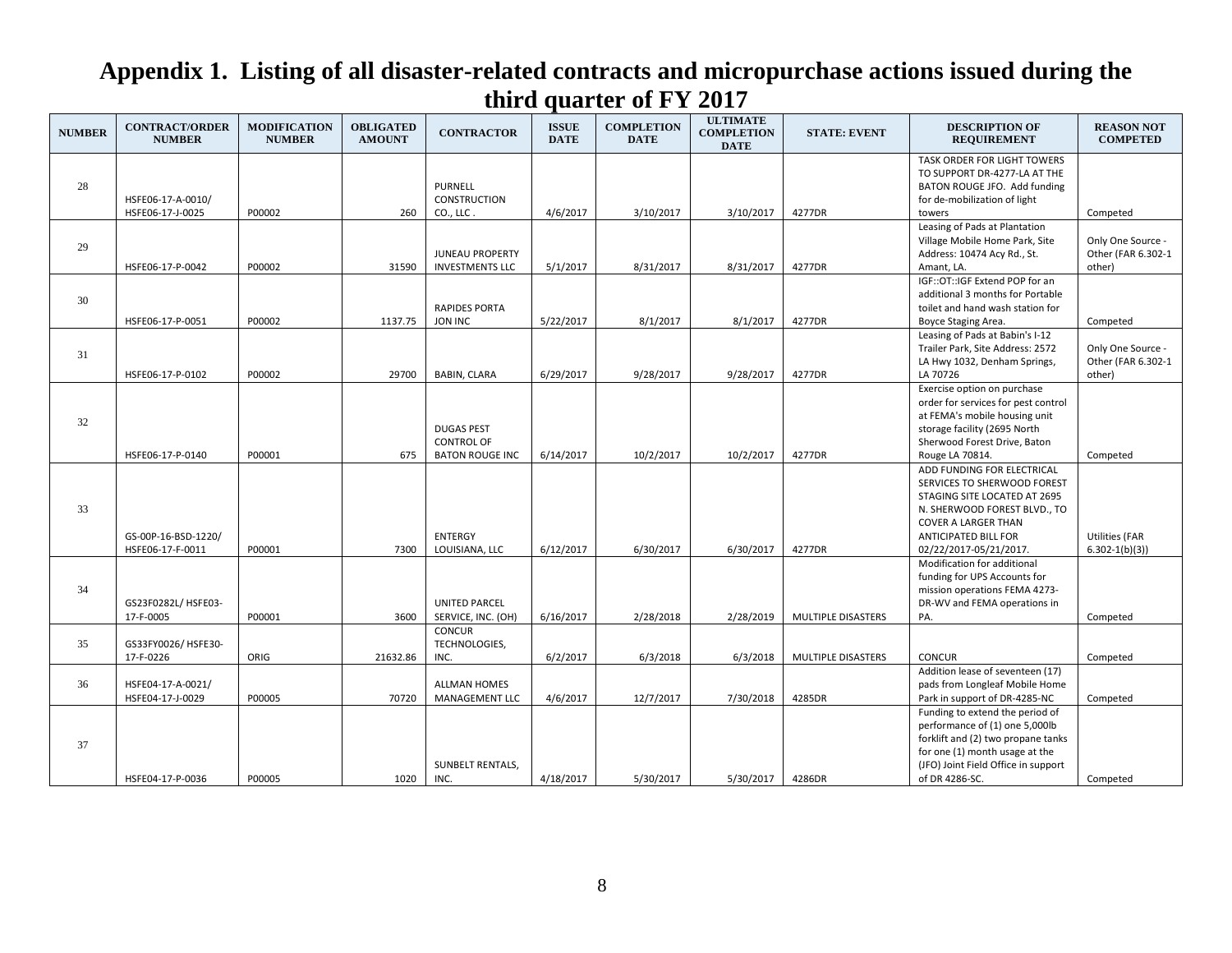| <b>NUMBER</b> | <b>CONTRACT/ORDER</b><br><b>NUMBER</b>  | <b>MODIFICATION</b><br><b>NUMBER</b> | <b>OBLIGATED</b><br><b>AMOUNT</b> | <b>CONTRACTOR</b>                                                | <b>ISSUE</b><br><b>DATE</b> | <b>COMPLETION</b><br><b>DATE</b> | <b>ULTIMATE</b><br><b>COMPLETION</b><br><b>DATE</b> | <b>STATE: EVENT</b> | <b>DESCRIPTION OF</b><br><b>REQUIREMENT</b>                                                                                                                                                                      | <b>REASON NOT</b><br><b>COMPETED</b>              |
|---------------|-----------------------------------------|--------------------------------------|-----------------------------------|------------------------------------------------------------------|-----------------------------|----------------------------------|-----------------------------------------------------|---------------------|------------------------------------------------------------------------------------------------------------------------------------------------------------------------------------------------------------------|---------------------------------------------------|
| 28            | HSFE06-17-A-0010/<br>HSFE06-17-J-0025   | P00002                               | 260                               | <b>PURNELL</b><br><b>CONSTRUCTION</b><br>CO., LLC.               | 4/6/2017                    | 3/10/2017                        | 3/10/2017                                           | 4277DR              | TASK ORDER FOR LIGHT TOWERS<br>TO SUPPORT DR-4277-LA AT THE<br>BATON ROUGE JFO. Add funding<br>for de-mobilization of light<br>towers                                                                            | Competed                                          |
| 29            | HSFE06-17-P-0042                        | P00002                               | 31590                             | <b>JUNEAU PROPERTY</b><br><b>INVESTMENTS LLC</b>                 | 5/1/2017                    | 8/31/2017                        | 8/31/2017                                           | 4277DR              | Leasing of Pads at Plantation<br>Village Mobile Home Park, Site<br>Address: 10474 Acy Rd., St.<br>Amant, LA.                                                                                                     | Only One Source -<br>Other (FAR 6.302-1<br>other) |
| 30            | HSFE06-17-P-0051                        | P00002                               | 1137.75                           | <b>RAPIDES PORTA</b><br><b>JON INC</b>                           | 5/22/2017                   | 8/1/2017                         | 8/1/2017                                            | 4277DR              | IGF::OT::IGF Extend POP for an<br>additional 3 months for Portable<br>toilet and hand wash station for<br>Boyce Staging Area.                                                                                    | Competed                                          |
| 31            | HSFE06-17-P-0102                        | P00002                               | 29700                             | <b>BABIN, CLARA</b>                                              | 6/29/2017                   | 9/28/2017                        | 9/28/2017                                           | 4277DR              | Leasing of Pads at Babin's I-12<br>Trailer Park, Site Address: 2572<br>LA Hwy 1032, Denham Springs,<br>LA 70726                                                                                                  | Only One Source -<br>Other (FAR 6.302-1<br>other) |
| 32            | HSFE06-17-P-0140                        | P00001                               | 675                               | <b>DUGAS PEST</b><br><b>CONTROL OF</b><br><b>BATON ROUGE INC</b> | 6/14/2017                   | 10/2/2017                        | 10/2/2017                                           | 4277DR              | Exercise option on purchase<br>order for services for pest control<br>at FEMA's mobile housing unit<br>storage facility (2695 North<br>Sherwood Forest Drive, Baton<br>Rouge LA 70814.                           | Competed                                          |
| 33            | GS-00P-16-BSD-1220/<br>HSFE06-17-F-0011 | P00001                               | 7300                              | <b>ENTERGY</b><br>LOUISIANA, LLC                                 | 6/12/2017                   | 6/30/2017                        | 6/30/2017                                           | 4277DR              | ADD FUNDING FOR ELECTRICAL<br>SERVICES TO SHERWOOD FOREST<br>STAGING SITE LOCATED AT 2695<br>N. SHERWOOD FOREST BLVD., TO<br><b>COVER A LARGER THAN</b><br><b>ANTICIPATED BILL FOR</b><br>02/22/2017-05/21/2017. | <b>Utilities (FAR</b><br>$6.302 - 1(b)(3)$        |
| 34            | GS23F0282L/ HSFE03-<br>17-F-0005        | P00001                               | 3600                              | <b>UNITED PARCEL</b><br>SERVICE, INC. (OH)                       | 6/16/2017                   | 2/28/2018                        | 2/28/2019                                           | MULTIPLE DISASTERS  | Modification for additional<br>funding for UPS Accounts for<br>mission operations FEMA 4273-<br>DR-WV and FEMA operations in<br>PA.                                                                              | Competed                                          |
| 35            | GS33FY0026/HSFE30-<br>17-F-0226         | ORIG                                 | 21632.86                          | CONCUR<br>TECHNOLOGIES,<br>INC.                                  | 6/2/2017                    | 6/3/2018                         | 6/3/2018                                            | MULTIPLE DISASTERS  | <b>CONCUR</b>                                                                                                                                                                                                    | Competed                                          |
| 36            | HSFE04-17-A-0021/<br>HSFE04-17-J-0029   | P00005                               | 70720                             | <b>ALLMAN HOMES</b><br><b>MANAGEMENT LLC</b>                     | 4/6/2017                    | 12/7/2017                        | 7/30/2018                                           | 4285DR              | Addition lease of seventeen (17)<br>pads from Longleaf Mobile Home<br>Park in support of DR-4285-NC                                                                                                              | Competed                                          |
| 37            | HSFE04-17-P-0036                        | P00005                               | 1020                              | <b>SUNBELT RENTALS,</b><br>INC.                                  | 4/18/2017                   | 5/30/2017                        | 5/30/2017                                           | 4286DR              | Funding to extend the period of<br>performance of (1) one 5,000lb<br>forklift and (2) two propane tanks<br>for one (1) month usage at the<br>(JFO) Joint Field Office in support<br>of DR 4286-SC.               | Competed                                          |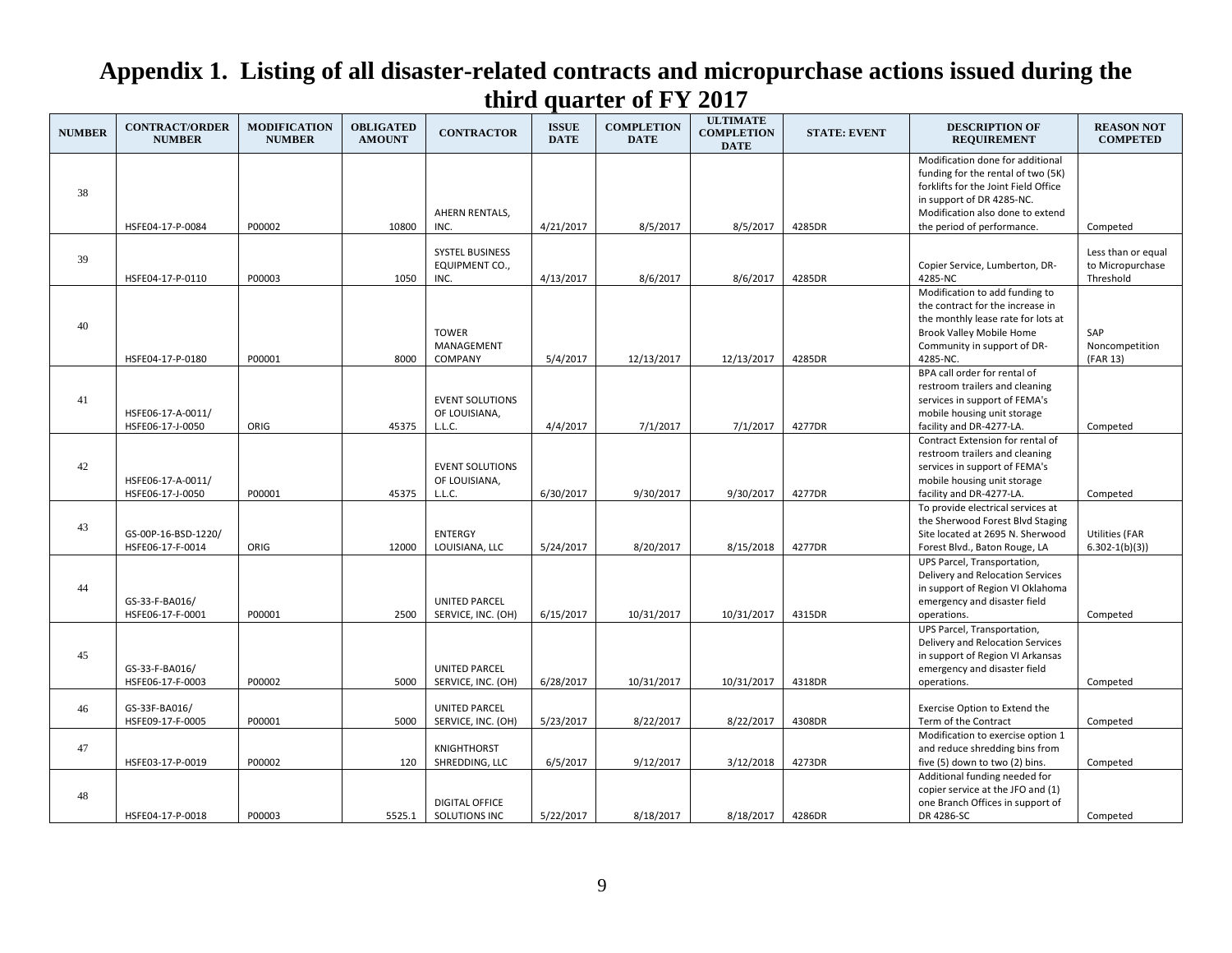| <b>NUMBER</b> | <b>CONTRACT/ORDER</b><br><b>NUMBER</b>  | <b>MODIFICATION</b><br><b>NUMBER</b> | <b>OBLIGATED</b><br><b>AMOUNT</b> | <b>CONTRACTOR</b>                                        | <b>ISSUE</b><br><b>DATE</b> | <b>COMPLETION</b><br><b>DATE</b> | <b>ULTIMATE</b><br><b>COMPLETION</b><br><b>DATE</b> | <b>STATE: EVENT</b> | <b>DESCRIPTION OF</b><br><b>REQUIREMENT</b>                                                                                                                                            | <b>REASON NOT</b><br><b>COMPETED</b>                            |
|---------------|-----------------------------------------|--------------------------------------|-----------------------------------|----------------------------------------------------------|-----------------------------|----------------------------------|-----------------------------------------------------|---------------------|----------------------------------------------------------------------------------------------------------------------------------------------------------------------------------------|-----------------------------------------------------------------|
| 38            |                                         |                                      |                                   | AHERN RENTALS,                                           |                             |                                  |                                                     |                     | Modification done for additional<br>funding for the rental of two (5K)<br>forklifts for the Joint Field Office<br>in support of DR 4285-NC.<br>Modification also done to extend        |                                                                 |
| 39            | HSFE04-17-P-0084<br>HSFE04-17-P-0110    | P00002<br>P00003                     | 10800<br>1050                     | INC.<br><b>SYSTEL BUSINESS</b><br>EQUIPMENT CO.,<br>INC. | 4/21/2017<br>4/13/2017      | 8/5/2017<br>8/6/2017             | 8/5/2017<br>8/6/2017                                | 4285DR<br>4285DR    | the period of performance.<br>Copier Service, Lumberton, DR-<br>4285-NC                                                                                                                | Competed<br>Less than or equal<br>to Micropurchase<br>Threshold |
| 40            | HSFE04-17-P-0180                        | P00001                               | 8000                              | <b>TOWER</b><br>MANAGEMENT<br>COMPANY                    | 5/4/2017                    | 12/13/2017                       | 12/13/2017                                          | 4285DR              | Modification to add funding to<br>the contract for the increase in<br>the monthly lease rate for lots at<br><b>Brook Valley Mobile Home</b><br>Community in support of DR-<br>4285-NC. | SAP<br>Noncompetition<br>(FAR 13)                               |
| 41            | HSFE06-17-A-0011/<br>HSFE06-17-J-0050   | ORIG                                 | 45375                             | <b>EVENT SOLUTIONS</b><br>OF LOUISIANA,<br>L.L.C.        | 4/4/2017                    | 7/1/2017                         | 7/1/2017                                            | 4277DR              | BPA call order for rental of<br>restroom trailers and cleaning<br>services in support of FEMA's<br>mobile housing unit storage<br>facility and DR-4277-LA.                             | Competed                                                        |
| 42            | HSFE06-17-A-0011/<br>HSFE06-17-J-0050   | P00001                               | 45375                             | <b>EVENT SOLUTIONS</b><br>OF LOUISIANA,<br>L.L.C.        | 6/30/2017                   | 9/30/2017                        | 9/30/2017                                           | 4277DR              | Contract Extension for rental of<br>restroom trailers and cleaning<br>services in support of FEMA's<br>mobile housing unit storage<br>facility and DR-4277-LA.                         | Competed                                                        |
| 43            | GS-00P-16-BSD-1220/<br>HSFE06-17-F-0014 | ORIG                                 | 12000                             | <b>ENTERGY</b><br>LOUISIANA, LLC                         | 5/24/2017                   | 8/20/2017                        | 8/15/2018                                           | 4277DR              | To provide electrical services at<br>the Sherwood Forest Blvd Staging<br>Site located at 2695 N. Sherwood<br>Forest Blvd., Baton Rouge, LA                                             | <b>Utilities (FAR</b><br>$6.302 - 1(b)(3)$                      |
| 44            | GS-33-F-BA016/<br>HSFE06-17-F-0001      | P00001                               | 2500                              | <b>UNITED PARCEL</b><br>SERVICE, INC. (OH)               | 6/15/2017                   | 10/31/2017                       | 10/31/2017                                          | 4315DR              | UPS Parcel, Transportation,<br>Delivery and Relocation Services<br>in support of Region VI Oklahoma<br>emergency and disaster field<br>operations.                                     | Competed                                                        |
| 45            | GS-33-F-BA016/<br>HSFE06-17-F-0003      | P00002                               | 5000                              | <b>UNITED PARCEL</b><br>SERVICE, INC. (OH)               | 6/28/2017                   | 10/31/2017                       | 10/31/2017                                          | 4318DR              | UPS Parcel, Transportation,<br>Delivery and Relocation Services<br>in support of Region VI Arkansas<br>emergency and disaster field<br>operations.                                     | Competed                                                        |
| 46            | GS-33F-BA016/<br>HSFE09-17-F-0005       | P00001                               | 5000                              | <b>UNITED PARCEL</b><br>SERVICE, INC. (OH)               | 5/23/2017                   | 8/22/2017                        | 8/22/2017                                           | 4308DR              | Exercise Option to Extend the<br>Term of the Contract                                                                                                                                  | Competed                                                        |
| 47            | HSFE03-17-P-0019                        | P00002                               | 120                               | <b>KNIGHTHORST</b><br>SHREDDING, LLC                     | 6/5/2017                    | 9/12/2017                        | 3/12/2018                                           | 4273DR              | Modification to exercise option 1<br>and reduce shredding bins from<br>five (5) down to two (2) bins.                                                                                  | Competed                                                        |
| 48            | HSFE04-17-P-0018                        | P00003                               | 5525.1                            | <b>DIGITAL OFFICE</b><br>SOLUTIONS INC                   | 5/22/2017                   | 8/18/2017                        | 8/18/2017                                           | 4286DR              | Additional funding needed for<br>copier service at the JFO and (1)<br>one Branch Offices in support of<br>DR 4286-SC                                                                   | Competed                                                        |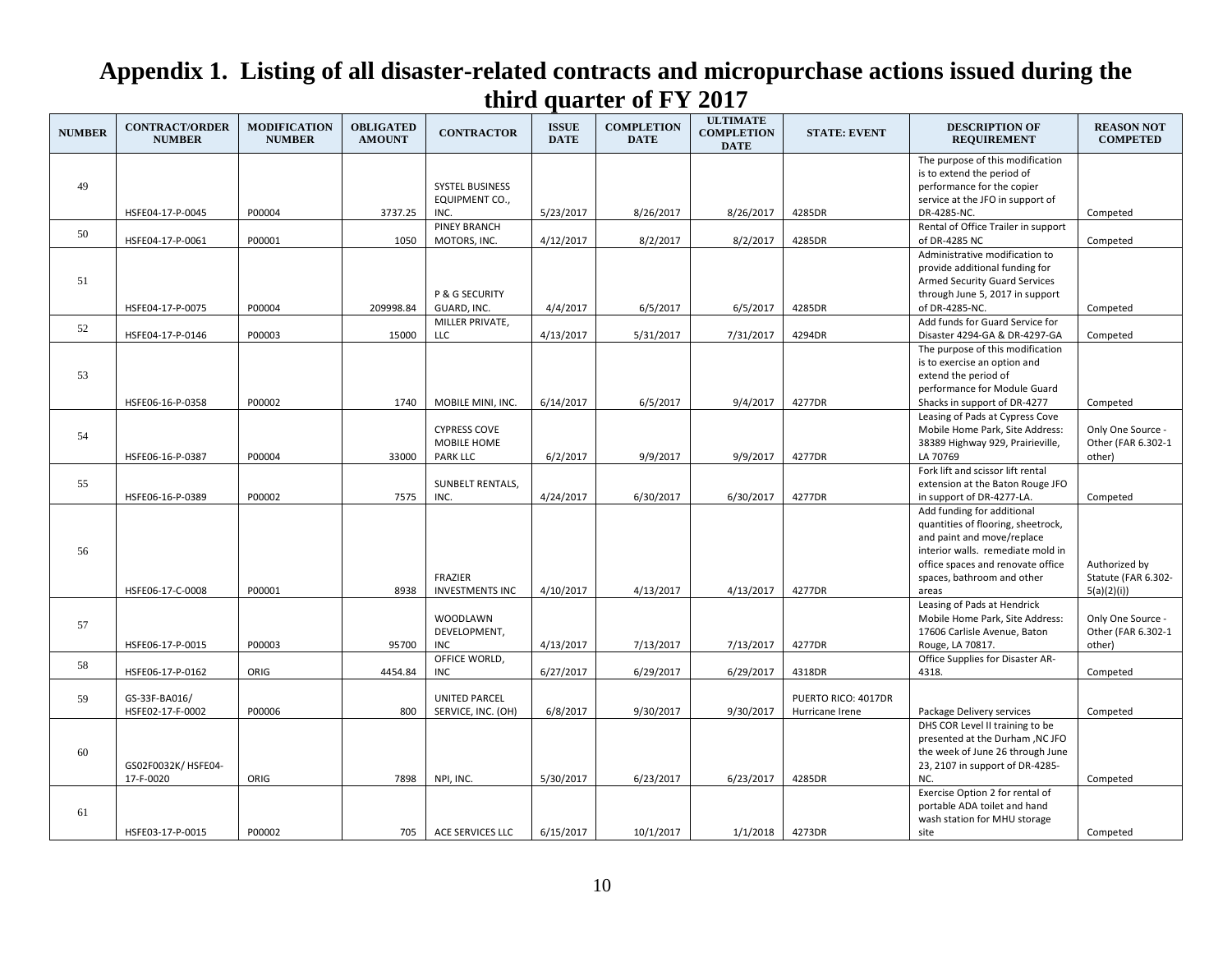| <b>NUMBER</b> | <b>CONTRACT/ORDER</b><br><b>NUMBER</b> | <b>MODIFICATION</b><br><b>NUMBER</b> | <b>OBLIGATED</b><br><b>AMOUNT</b> | <b>CONTRACTOR</b>                  | <b>ISSUE</b><br><b>DATE</b> | <b>COMPLETION</b><br><b>DATE</b> | <b>ULTIMATE</b><br><b>COMPLETION</b><br><b>DATE</b> | <b>STATE: EVENT</b> | <b>DESCRIPTION OF</b><br><b>REQUIREMENT</b>                         | <b>REASON NOT</b><br><b>COMPETED</b>    |
|---------------|----------------------------------------|--------------------------------------|-----------------------------------|------------------------------------|-----------------------------|----------------------------------|-----------------------------------------------------|---------------------|---------------------------------------------------------------------|-----------------------------------------|
|               |                                        |                                      |                                   |                                    |                             |                                  |                                                     |                     | The purpose of this modification                                    |                                         |
| 49            |                                        |                                      |                                   | <b>SYSTEL BUSINESS</b>             |                             |                                  |                                                     |                     | is to extend the period of<br>performance for the copier            |                                         |
|               |                                        |                                      |                                   | EQUIPMENT CO.,                     |                             |                                  |                                                     |                     | service at the JFO in support of                                    |                                         |
|               | HSFE04-17-P-0045                       | P00004                               | 3737.25                           | INC.                               | 5/23/2017                   | 8/26/2017                        | 8/26/2017                                           | 4285DR              | DR-4285-NC.                                                         | Competed                                |
| 50            |                                        |                                      |                                   | <b>PINEY BRANCH</b>                |                             |                                  |                                                     |                     | Rental of Office Trailer in support                                 |                                         |
|               | HSFE04-17-P-0061                       | P00001                               | 1050                              | MOTORS, INC.                       | 4/12/2017                   | 8/2/2017                         | 8/2/2017                                            | 4285DR              | of DR-4285 NC                                                       | Competed                                |
|               |                                        |                                      |                                   |                                    |                             |                                  |                                                     |                     | Administrative modification to<br>provide additional funding for    |                                         |
| 51            |                                        |                                      |                                   |                                    |                             |                                  |                                                     |                     | <b>Armed Security Guard Services</b>                                |                                         |
|               |                                        |                                      |                                   | P & G SECURITY                     |                             |                                  |                                                     |                     | through June 5, 2017 in support                                     |                                         |
|               | HSFE04-17-P-0075                       | P00004                               | 209998.84                         | GUARD, INC.                        | 4/4/2017                    | 6/5/2017                         | 6/5/2017                                            | 4285DR              | of DR-4285-NC.                                                      | Competed                                |
| 52            |                                        |                                      |                                   | MILLER PRIVATE,                    |                             |                                  |                                                     |                     | Add funds for Guard Service for                                     |                                         |
|               | HSFE04-17-P-0146                       | P00003                               | 15000                             | <b>LLC</b>                         | 4/13/2017                   | 5/31/2017                        | 7/31/2017                                           | 4294DR              | Disaster 4294-GA & DR-4297-GA                                       | Competed                                |
|               |                                        |                                      |                                   |                                    |                             |                                  |                                                     |                     | The purpose of this modification<br>is to exercise an option and    |                                         |
| 53            |                                        |                                      |                                   |                                    |                             |                                  |                                                     |                     | extend the period of                                                |                                         |
|               |                                        |                                      |                                   |                                    |                             |                                  |                                                     |                     | performance for Module Guard                                        |                                         |
|               | HSFE06-16-P-0358                       | P00002                               | 1740                              | MOBILE MINI, INC.                  | 6/14/2017                   | 6/5/2017                         | 9/4/2017                                            | 4277DR              | Shacks in support of DR-4277                                        | Competed                                |
|               |                                        |                                      |                                   |                                    |                             |                                  |                                                     |                     | Leasing of Pads at Cypress Cove                                     |                                         |
| 54            |                                        |                                      |                                   | <b>CYPRESS COVE</b><br>MOBILE HOME |                             |                                  |                                                     |                     | Mobile Home Park, Site Address:<br>38389 Highway 929, Prairieville, | Only One Source -<br>Other (FAR 6.302-1 |
|               | HSFE06-16-P-0387                       | P00004                               | 33000                             | <b>PARK LLC</b>                    | 6/2/2017                    | 9/9/2017                         | 9/9/2017                                            | 4277DR              | LA 70769                                                            | other)                                  |
|               |                                        |                                      |                                   |                                    |                             |                                  |                                                     |                     | Fork lift and scissor lift rental                                   |                                         |
| 55            |                                        |                                      |                                   | <b>SUNBELT RENTALS,</b>            |                             |                                  |                                                     |                     | extension at the Baton Rouge JFO                                    |                                         |
|               | HSFE06-16-P-0389                       | P00002                               | 7575                              | INC.                               | 4/24/2017                   | 6/30/2017                        | 6/30/2017                                           | 4277DR              | in support of DR-4277-LA.                                           | Competed                                |
|               |                                        |                                      |                                   |                                    |                             |                                  |                                                     |                     | Add funding for additional                                          |                                         |
|               |                                        |                                      |                                   |                                    |                             |                                  |                                                     |                     | quantities of flooring, sheetrock,<br>and paint and move/replace    |                                         |
| 56            |                                        |                                      |                                   |                                    |                             |                                  |                                                     |                     | interior walls. remediate mold in                                   |                                         |
|               |                                        |                                      |                                   |                                    |                             |                                  |                                                     |                     | office spaces and renovate office                                   | Authorized by                           |
|               |                                        |                                      |                                   | <b>FRAZIER</b>                     |                             |                                  |                                                     |                     | spaces, bathroom and other                                          | Statute (FAR 6.302-                     |
|               | HSFE06-17-C-0008                       | P00001                               | 8938                              | <b>INVESTMENTS INC</b>             | 4/10/2017                   | 4/13/2017                        | 4/13/2017                                           | 4277DR              | areas                                                               | 5(a)(2)(i)                              |
|               |                                        |                                      |                                   | WOODLAWN                           |                             |                                  |                                                     |                     | Leasing of Pads at Hendrick<br>Mobile Home Park, Site Address:      | Only One Source -                       |
| 57            |                                        |                                      |                                   | DEVELOPMENT,                       |                             |                                  |                                                     |                     | 17606 Carlisle Avenue, Baton                                        | Other (FAR 6.302-1                      |
|               | HSFE06-17-P-0015                       | P00003                               | 95700                             | <b>INC</b>                         | 4/13/2017                   | 7/13/2017                        | 7/13/2017                                           | 4277DR              | Rouge, LA 70817.                                                    | other)                                  |
| 58            |                                        |                                      |                                   | OFFICE WORLD,                      |                             |                                  |                                                     |                     | Office Supplies for Disaster AR-                                    |                                         |
|               | HSFE06-17-P-0162                       | ORIG                                 | 4454.84                           | <b>INC</b>                         | 6/27/2017                   | 6/29/2017                        | 6/29/2017                                           | 4318DR              | 4318.                                                               | Competed                                |
| 59            | GS-33F-BA016/                          |                                      |                                   | <b>UNITED PARCEL</b>               |                             |                                  |                                                     | PUERTO RICO: 4017DR |                                                                     |                                         |
|               | HSFE02-17-F-0002                       | P00006                               | 800                               | SERVICE, INC. (OH)                 | 6/8/2017                    | 9/30/2017                        | 9/30/2017                                           | Hurricane Irene     | Package Delivery services                                           | Competed                                |
|               |                                        |                                      |                                   |                                    |                             |                                  |                                                     |                     | DHS COR Level II training to be                                     |                                         |
|               |                                        |                                      |                                   |                                    |                             |                                  |                                                     |                     | presented at the Durham , NC JFO                                    |                                         |
| 60            |                                        |                                      |                                   |                                    |                             |                                  |                                                     |                     | the week of June 26 through June                                    |                                         |
|               | GS02F0032K/ HSFE04-<br>17-F-0020       | ORIG                                 | 7898                              | NPI, INC.                          | 5/30/2017                   | 6/23/2017                        | 6/23/2017                                           | 4285DR              | 23, 2107 in support of DR-4285-<br>NC.                              | Competed                                |
|               |                                        |                                      |                                   |                                    |                             |                                  |                                                     |                     | Exercise Option 2 for rental of                                     |                                         |
|               |                                        |                                      |                                   |                                    |                             |                                  |                                                     |                     | portable ADA toilet and hand                                        |                                         |
| 61            |                                        |                                      |                                   |                                    |                             |                                  |                                                     |                     | wash station for MHU storage                                        |                                         |
|               | HSFE03-17-P-0015                       | P00002                               | 705                               | ACE SERVICES LLC                   | 6/15/2017                   | 10/1/2017                        | 1/1/2018                                            | 4273DR              | site                                                                | Competed                                |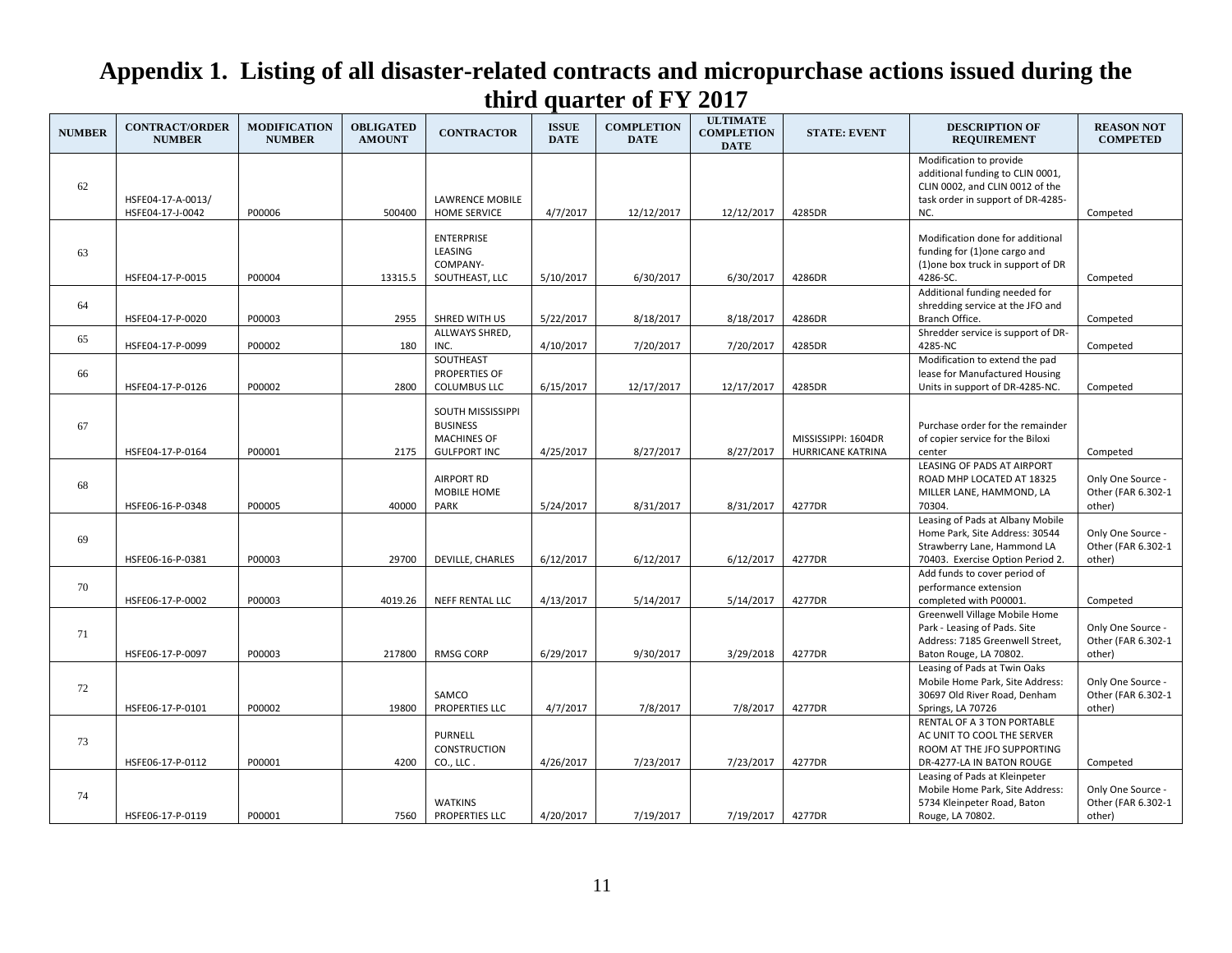| <b>NUMBER</b> | <b>CONTRACT/ORDER</b><br><b>NUMBER</b> | <b>MODIFICATION</b><br><b>NUMBER</b> | <b>OBLIGATED</b><br><b>AMOUNT</b> | <b>CONTRACTOR</b>                                                                 | <b>ISSUE</b><br><b>DATE</b> | <b>COMPLETION</b><br><b>DATE</b> | <b>ULTIMATE</b><br><b>COMPLETION</b><br><b>DATE</b> | <b>STATE: EVENT</b>                             | <b>DESCRIPTION OF</b><br><b>REQUIREMENT</b>                                                                                                | <b>REASON NOT</b><br><b>COMPETED</b>              |
|---------------|----------------------------------------|--------------------------------------|-----------------------------------|-----------------------------------------------------------------------------------|-----------------------------|----------------------------------|-----------------------------------------------------|-------------------------------------------------|--------------------------------------------------------------------------------------------------------------------------------------------|---------------------------------------------------|
| 62            | HSFE04-17-A-0013/<br>HSFE04-17-J-0042  | P00006                               | 500400                            | <b>LAWRENCE MOBILE</b><br><b>HOME SERVICE</b>                                     | 4/7/2017                    | 12/12/2017                       | 12/12/2017                                          | 4285DR                                          | Modification to provide<br>additional funding to CLIN 0001,<br>CLIN 0002, and CLIN 0012 of the<br>task order in support of DR-4285-<br>NC. | Competed                                          |
| 63            | HSFE04-17-P-0015                       | P00004                               | 13315.5                           | <b>ENTERPRISE</b><br>LEASING<br>COMPANY-<br>SOUTHEAST, LLC                        | 5/10/2017                   | 6/30/2017                        | 6/30/2017                                           | 4286DR                                          | Modification done for additional<br>funding for (1) one cargo and<br>(1) one box truck in support of DR<br>4286-SC.                        | Competed                                          |
| 64            | HSFE04-17-P-0020                       | P00003                               | 2955                              | SHRED WITH US                                                                     | 5/22/2017                   | 8/18/2017                        | 8/18/2017                                           | 4286DR                                          | Additional funding needed for<br>shredding service at the JFO and<br>Branch Office.                                                        | Competed                                          |
| 65            | HSFE04-17-P-0099                       | P00002                               | 180                               | ALLWAYS SHRED,<br>INC.                                                            | 4/10/2017                   | 7/20/2017                        | 7/20/2017                                           | 4285DR                                          | Shredder service is support of DR-<br>4285-NC                                                                                              | Competed                                          |
| 66            | HSFE04-17-P-0126                       | P00002                               | 2800                              | SOUTHEAST<br>PROPERTIES OF<br><b>COLUMBUS LLC</b>                                 | 6/15/2017                   | 12/17/2017                       | 12/17/2017                                          | 4285DR                                          | Modification to extend the pad<br>lease for Manufactured Housing<br>Units in support of DR-4285-NC.                                        | Competed                                          |
| 67            | HSFE04-17-P-0164                       | P00001                               | 2175                              | SOUTH MISSISSIPPI<br><b>BUSINESS</b><br><b>MACHINES OF</b><br><b>GULFPORT INC</b> | 4/25/2017                   | 8/27/2017                        | 8/27/2017                                           | MISSISSIPPI: 1604DR<br><b>HURRICANE KATRINA</b> | Purchase order for the remainder<br>of copier service for the Biloxi<br>center                                                             | Competed                                          |
| 68            | HSFE06-16-P-0348                       | P00005                               | 40000                             | <b>AIRPORT RD</b><br>MOBILE HOME<br>PARK                                          | 5/24/2017                   | 8/31/2017                        | 8/31/2017                                           | 4277DR                                          | <b>LEASING OF PADS AT AIRPORT</b><br>ROAD MHP LOCATED AT 18325<br>MILLER LANE, HAMMOND, LA<br>70304.                                       | Only One Source -<br>Other (FAR 6.302-1<br>other) |
| 69            | HSFE06-16-P-0381                       | P00003                               | 29700                             | DEVILLE, CHARLES                                                                  | 6/12/2017                   | 6/12/2017                        | 6/12/2017                                           | 4277DR                                          | Leasing of Pads at Albany Mobile<br>Home Park, Site Address: 30544<br>Strawberry Lane, Hammond LA<br>70403. Exercise Option Period 2.      | Only One Source -<br>Other (FAR 6.302-1<br>other) |
| 70            | HSFE06-17-P-0002                       | P00003                               | 4019.26                           | NEFF RENTAL LLC                                                                   | 4/13/2017                   | 5/14/2017                        | 5/14/2017                                           | 4277DR                                          | Add funds to cover period of<br>performance extension<br>completed with P00001.                                                            | Competed                                          |
| 71            | HSFE06-17-P-0097                       | P00003                               | 217800                            | RMSG CORP                                                                         | 6/29/2017                   | 9/30/2017                        | 3/29/2018                                           | 4277DR                                          | Greenwell Village Mobile Home<br>Park - Leasing of Pads. Site<br>Address: 7185 Greenwell Street,<br>Baton Rouge, LA 70802.                 | Only One Source -<br>Other (FAR 6.302-1<br>other) |
| 72            | HSFE06-17-P-0101                       | P00002                               | 19800                             | SAMCO<br>PROPERTIES LLC                                                           | 4/7/2017                    | 7/8/2017                         | 7/8/2017                                            | 4277DR                                          | Leasing of Pads at Twin Oaks<br>Mobile Home Park, Site Address:<br>30697 Old River Road, Denham<br>Springs, LA 70726                       | Only One Source -<br>Other (FAR 6.302-1<br>other) |
| 73            | HSFE06-17-P-0112                       | P00001                               | 4200                              | <b>PURNELL</b><br><b>CONSTRUCTION</b><br>CO., LLC.                                | 4/26/2017                   | 7/23/2017                        | 7/23/2017                                           | 4277DR                                          | RENTAL OF A 3 TON PORTABLE<br>AC UNIT TO COOL THE SERVER<br>ROOM AT THE JFO SUPPORTING<br>DR-4277-LA IN BATON ROUGE                        | Competed                                          |
| 74            | HSFE06-17-P-0119                       | P00001                               | 7560                              | <b>WATKINS</b><br>PROPERTIES LLC                                                  | 4/20/2017                   | 7/19/2017                        | 7/19/2017                                           | 4277DR                                          | Leasing of Pads at Kleinpeter<br>Mobile Home Park, Site Address:<br>5734 Kleinpeter Road, Baton<br>Rouge, LA 70802.                        | Only One Source -<br>Other (FAR 6.302-1<br>other) |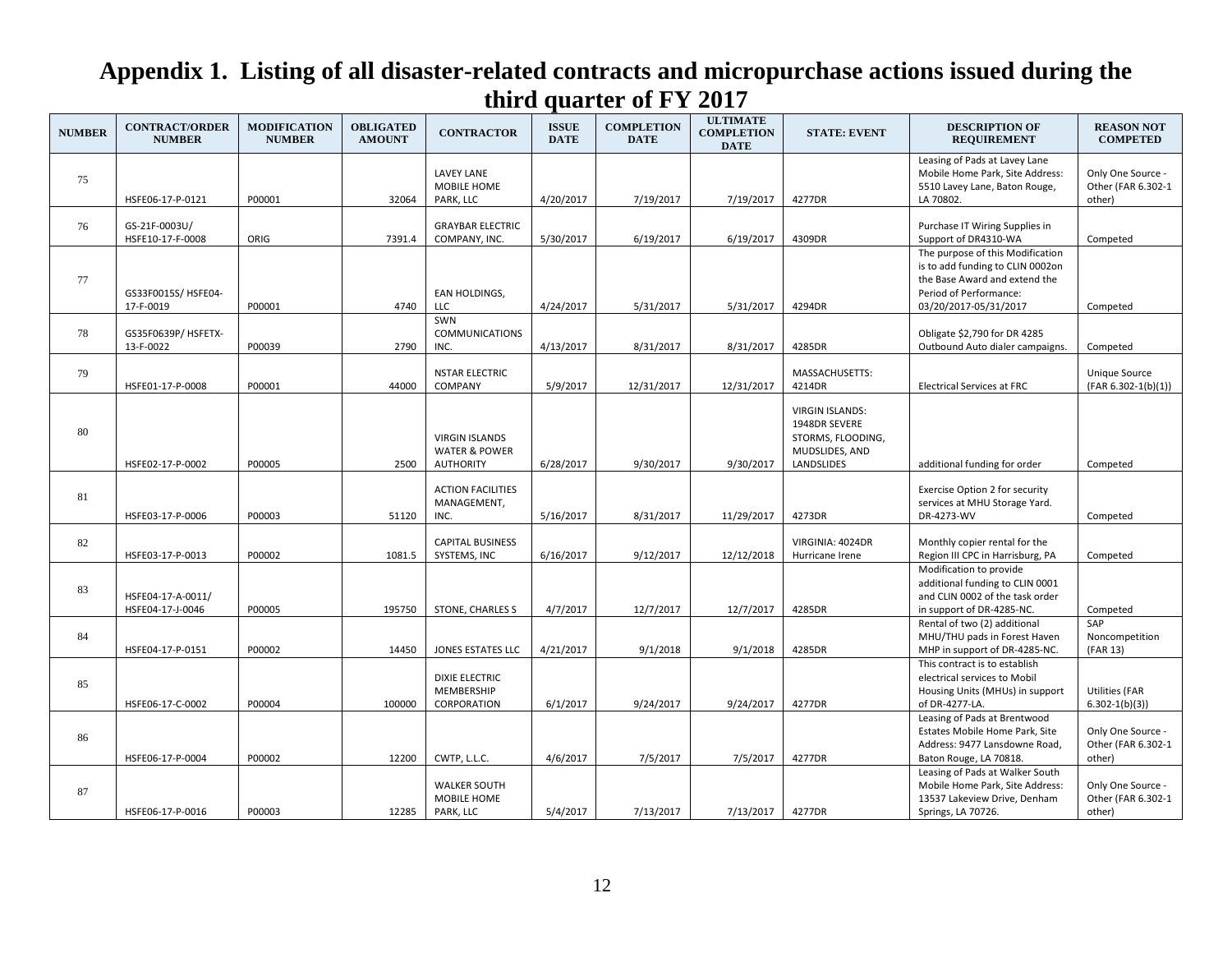| <b>NUMBER</b> | <b>CONTRACT/ORDER</b><br><b>NUMBER</b> | <b>MODIFICATION</b><br><b>NUMBER</b> | <b>OBLIGATED</b><br><b>AMOUNT</b> | <b>CONTRACTOR</b>                                                     | <b>ISSUE</b><br><b>DATE</b> | <b>COMPLETION</b><br><b>DATE</b> | <b>ULTIMATE</b><br><b>COMPLETION</b><br><b>DATE</b> | <b>STATE: EVENT</b>                                                                          | <b>DESCRIPTION OF</b><br><b>REQUIREMENT</b>                                                                                                              | <b>REASON NOT</b><br><b>COMPETED</b>              |
|---------------|----------------------------------------|--------------------------------------|-----------------------------------|-----------------------------------------------------------------------|-----------------------------|----------------------------------|-----------------------------------------------------|----------------------------------------------------------------------------------------------|----------------------------------------------------------------------------------------------------------------------------------------------------------|---------------------------------------------------|
| 75            | HSFE06-17-P-0121                       | P00001                               | 32064                             | <b>LAVEY LANE</b><br>MOBILE HOME<br>PARK, LLC                         | 4/20/2017                   | 7/19/2017                        | 7/19/2017                                           | 4277DR                                                                                       | Leasing of Pads at Lavey Lane<br>Mobile Home Park, Site Address:<br>5510 Lavey Lane, Baton Rouge,<br>LA 70802.                                           | Only One Source -<br>Other (FAR 6.302-1<br>other) |
| 76            | GS-21F-0003U/<br>HSFE10-17-F-0008      | ORIG                                 | 7391.4                            | <b>GRAYBAR ELECTRIC</b><br>COMPANY, INC.                              | 5/30/2017                   | 6/19/2017                        | 6/19/2017                                           | 4309DR                                                                                       | Purchase IT Wiring Supplies in<br>Support of DR4310-WA                                                                                                   | Competed                                          |
| 77            | GS33F0015S/ HSFE04-<br>17-F-0019       | P00001                               | 4740                              | EAN HOLDINGS,<br>LLC                                                  | 4/24/2017                   | 5/31/2017                        | 5/31/2017                                           | 4294DR                                                                                       | The purpose of this Modification<br>is to add funding to CLIN 0002on<br>the Base Award and extend the<br>Period of Performance:<br>03/20/2017-05/31/2017 | Competed                                          |
| 78            | GS35F0639P/HSFETX-<br>13-F-0022        | P00039                               | 2790                              | SWN<br><b>COMMUNICATIONS</b><br>INC.                                  | 4/13/2017                   | 8/31/2017                        | 8/31/2017                                           | 4285DR                                                                                       | Obligate \$2,790 for DR 4285<br>Outbound Auto dialer campaigns.                                                                                          | Competed                                          |
| 79            | HSFE01-17-P-0008                       | P00001                               | 44000                             | <b>NSTAR ELECTRIC</b><br>COMPANY                                      | 5/9/2017                    | 12/31/2017                       | 12/31/2017                                          | MASSACHUSETTS:<br>4214DR                                                                     | <b>Electrical Services at FRC</b>                                                                                                                        | Unique Source<br>(FAR 6.302-1(b)(1))              |
| 80            | HSFE02-17-P-0002                       | P00005                               | 2500                              | <b>VIRGIN ISLANDS</b><br><b>WATER &amp; POWER</b><br><b>AUTHORITY</b> | 6/28/2017                   | 9/30/2017                        | 9/30/2017                                           | <b>VIRGIN ISLANDS:</b><br>1948DR SEVERE<br>STORMS, FLOODING,<br>MUDSLIDES, AND<br>LANDSLIDES | additional funding for order                                                                                                                             | Competed                                          |
| 81            | HSFE03-17-P-0006                       | P00003                               | 51120                             | <b>ACTION FACILITIES</b><br>MANAGEMENT,<br>INC.                       | 5/16/2017                   | 8/31/2017                        | 11/29/2017                                          | 4273DR                                                                                       | Exercise Option 2 for security<br>services at MHU Storage Yard.<br>DR-4273-WV                                                                            | Competed                                          |
| 82            | HSFE03-17-P-0013                       | P00002                               | 1081.5                            | <b>CAPITAL BUSINESS</b><br>SYSTEMS, INC                               | 6/16/2017                   | 9/12/2017                        | 12/12/2018                                          | VIRGINIA: 4024DR<br>Hurricane Irene                                                          | Monthly copier rental for the<br>Region III CPC in Harrisburg, PA                                                                                        | Competed                                          |
| 83            | HSFE04-17-A-0011/<br>HSFE04-17-J-0046  | P00005                               | 195750                            | STONE, CHARLES S                                                      | 4/7/2017                    | 12/7/2017                        | 12/7/2017                                           | 4285DR                                                                                       | Modification to provide<br>additional funding to CLIN 0001<br>and CLIN 0002 of the task order<br>in support of DR-4285-NC.                               | Competed                                          |
| 84            | HSFE04-17-P-0151                       | P00002                               | 14450                             | JONES ESTATES LLC                                                     | 4/21/2017                   | 9/1/2018                         | 9/1/2018                                            | 4285DR                                                                                       | Rental of two (2) additional<br>MHU/THU pads in Forest Haven<br>MHP in support of DR-4285-NC.                                                            | SAP<br>Noncompetition<br>(FAR 13)                 |
| 85            | HSFE06-17-C-0002                       | P00004                               | 100000                            | <b>DIXIE ELECTRIC</b><br>MEMBERSHIP<br>CORPORATION                    | 6/1/2017                    | 9/24/2017                        | 9/24/2017                                           | 4277DR                                                                                       | This contract is to establish<br>electrical services to Mobil<br>Housing Units (MHUs) in support<br>of DR-4277-LA.                                       | Utilities (FAR<br>$6.302 - 1(b)(3)$               |
| 86            | HSFE06-17-P-0004                       | P00002                               | 12200                             | CWTP, L.L.C.                                                          | 4/6/2017                    | 7/5/2017                         | 7/5/2017                                            | 4277DR                                                                                       | Leasing of Pads at Brentwood<br>Estates Mobile Home Park, Site<br>Address: 9477 Lansdowne Road,<br>Baton Rouge, LA 70818.                                | Only One Source -<br>Other (FAR 6.302-1<br>other) |
| 87            | HSFE06-17-P-0016                       | P00003                               | 12285                             | <b>WALKER SOUTH</b><br>MOBILE HOME<br>PARK, LLC                       | 5/4/2017                    | 7/13/2017                        | 7/13/2017                                           | 4277DR                                                                                       | Leasing of Pads at Walker South<br>Mobile Home Park, Site Address:<br>13537 Lakeview Drive, Denham<br>Springs, LA 70726.                                 | Only One Source -<br>Other (FAR 6.302-1<br>other) |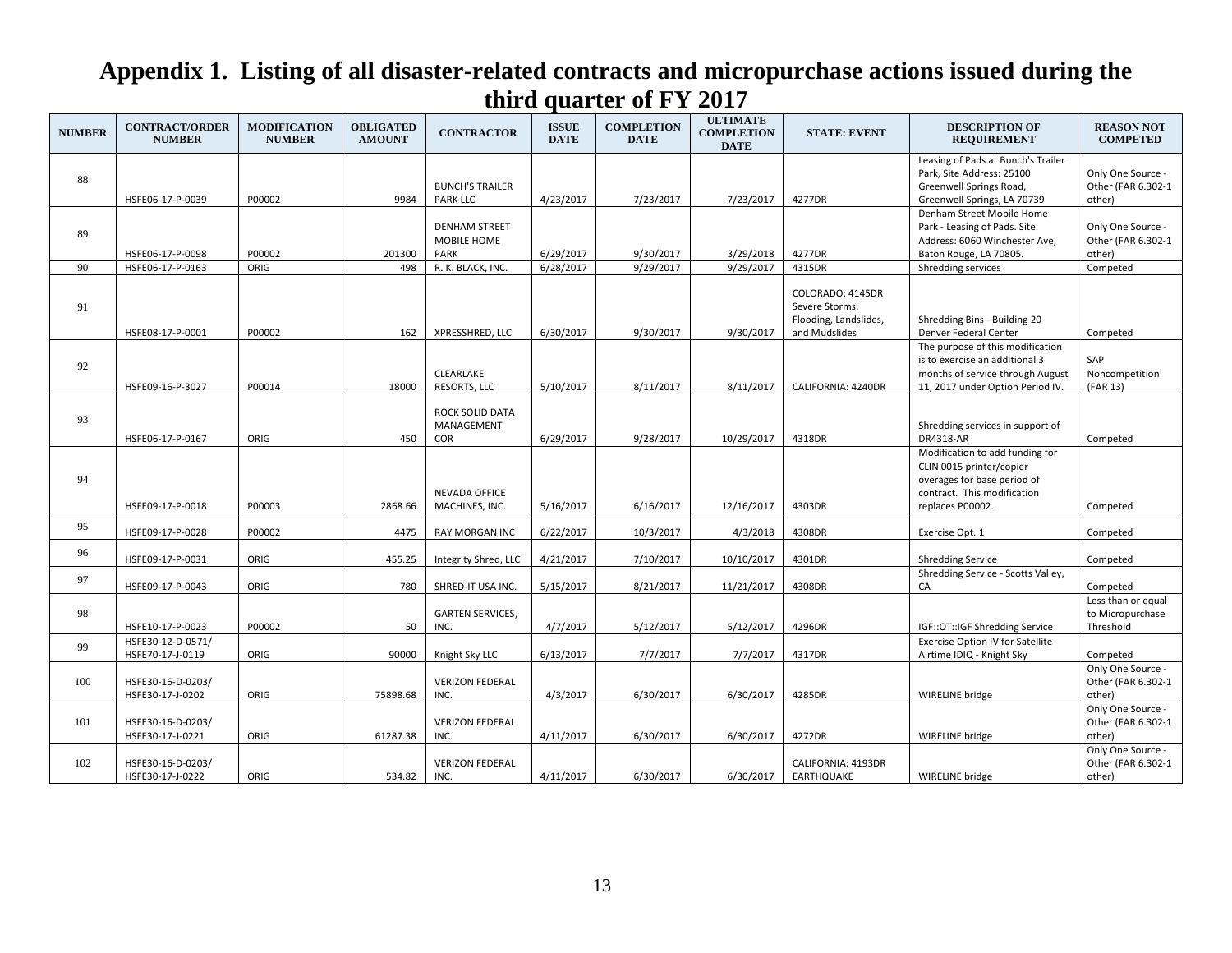| <b>NUMBER</b> | <b>CONTRACT/ORDER</b><br><b>NUMBER</b> | <b>MODIFICATION</b><br><b>NUMBER</b> | <b>OBLIGATED</b><br><b>AMOUNT</b> | <b>CONTRACTOR</b>                           | <b>ISSUE</b><br><b>DATE</b> | <b>COMPLETION</b><br><b>DATE</b> | <b>ULTIMATE</b><br><b>COMPLETION</b><br><b>DATE</b> | <b>STATE: EVENT</b>                                                          | <b>DESCRIPTION OF</b><br><b>REQUIREMENT</b>                                                                                                   | <b>REASON NOT</b><br><b>COMPETED</b>                |
|---------------|----------------------------------------|--------------------------------------|-----------------------------------|---------------------------------------------|-----------------------------|----------------------------------|-----------------------------------------------------|------------------------------------------------------------------------------|-----------------------------------------------------------------------------------------------------------------------------------------------|-----------------------------------------------------|
| 88            | HSFE06-17-P-0039                       | P00002                               | 9984                              | <b>BUNCH'S TRAILER</b><br><b>PARK LLC</b>   | 4/23/2017                   | 7/23/2017                        | 7/23/2017                                           | 4277DR                                                                       | Leasing of Pads at Bunch's Trailer<br>Park, Site Address: 25100<br>Greenwell Springs Road,<br>Greenwell Springs, LA 70739                     | Only One Source -<br>Other (FAR 6.302-1<br>other)   |
| 89            | HSFE06-17-P-0098                       | P00002                               | 201300                            | <b>DENHAM STREET</b><br>MOBILE HOME<br>PARK | 6/29/2017                   | 9/30/2017                        | 3/29/2018                                           | 4277DR                                                                       | Denham Street Mobile Home<br>Park - Leasing of Pads. Site<br>Address: 6060 Winchester Ave,<br>Baton Rouge, LA 70805.                          | Only One Source -<br>Other (FAR 6.302-1<br>other)   |
| 90            | HSFE06-17-P-0163                       | ORIG                                 | 498                               | R. K. BLACK, INC.                           | 6/28/2017                   | 9/29/2017                        | 9/29/2017                                           | 4315DR                                                                       | Shredding services                                                                                                                            | Competed                                            |
| 91            | HSFE08-17-P-0001                       | P00002                               | 162                               | XPRESSHRED, LLC                             | 6/30/2017                   | 9/30/2017                        | 9/30/2017                                           | COLORADO: 4145DR<br>Severe Storms,<br>Flooding, Landslides,<br>and Mudslides | Shredding Bins - Building 20<br>Denver Federal Center                                                                                         | Competed                                            |
| 92            | HSFE09-16-P-3027                       | P00014                               | 18000                             | CLEARLAKE<br>RESORTS, LLC                   | 5/10/2017                   | 8/11/2017                        | 8/11/2017                                           | CALIFORNIA: 4240DR                                                           | The purpose of this modification<br>is to exercise an additional 3<br>months of service through August<br>11, 2017 under Option Period IV.    | SAP<br>Noncompetition<br>(FAR 13)                   |
| 93            | HSFE06-17-P-0167                       | ORIG                                 | 450                               | <b>ROCK SOLID DATA</b><br>MANAGEMENT<br>COR | 6/29/2017                   | 9/28/2017                        | 10/29/2017                                          | 4318DR                                                                       | Shredding services in support of<br><b>DR4318-AR</b>                                                                                          | Competed                                            |
| 94            | HSFE09-17-P-0018                       | P00003                               | 2868.66                           | <b>NEVADA OFFICE</b><br>MACHINES, INC.      | 5/16/2017                   | 6/16/2017                        | 12/16/2017                                          | 4303DR                                                                       | Modification to add funding for<br>CLIN 0015 printer/copier<br>overages for base period of<br>contract. This modification<br>replaces P00002. | Competed                                            |
| 95            | HSFE09-17-P-0028                       | P00002                               | 4475                              | <b>RAY MORGAN INC</b>                       | 6/22/2017                   | 10/3/2017                        | 4/3/2018                                            | 4308DR                                                                       | Exercise Opt. 1                                                                                                                               | Competed                                            |
| 96            | HSFE09-17-P-0031                       | ORIG                                 | 455.25                            | Integrity Shred, LLC                        | 4/21/2017                   | 7/10/2017                        | 10/10/2017                                          | 4301DR                                                                       | <b>Shredding Service</b>                                                                                                                      | Competed                                            |
| 97            | HSFE09-17-P-0043                       | ORIG                                 | 780                               | SHRED-IT USA INC.                           | 5/15/2017                   | 8/21/2017                        | 11/21/2017                                          | 4308DR                                                                       | Shredding Service - Scotts Valley,<br>CA                                                                                                      | Competed                                            |
| 98            | HSFE10-17-P-0023                       | P00002                               | 50                                | <b>GARTEN SERVICES,</b><br>INC.             | 4/7/2017                    | 5/12/2017                        | 5/12/2017                                           | 4296DR                                                                       | IGF::OT::IGF Shredding Service                                                                                                                | Less than or equal<br>to Micropurchase<br>Threshold |
| 99            | HSFE30-12-D-0571/<br>HSFE70-17-J-0119  | ORIG                                 | 90000                             | Knight Sky LLC                              | 6/13/2017                   | 7/7/2017                         | 7/7/2017                                            | 4317DR                                                                       | Exercise Option IV for Satellite<br>Airtime IDIQ - Knight Sky                                                                                 | Competed                                            |
| 100           | HSFE30-16-D-0203/<br>HSFE30-17-J-0202  | ORIG                                 | 75898.68                          | <b>VERIZON FEDERAL</b><br>INC.              | 4/3/2017                    | 6/30/2017                        | 6/30/2017                                           | 4285DR                                                                       | WIRELINE bridge                                                                                                                               | Only One Source -<br>Other (FAR 6.302-1<br>other)   |
| 101           | HSFE30-16-D-0203/<br>HSFE30-17-J-0221  | ORIG                                 | 61287.38                          | <b>VERIZON FEDERAL</b><br>INC.              | 4/11/2017                   | 6/30/2017                        | 6/30/2017                                           | 4272DR                                                                       | WIRELINE bridge                                                                                                                               | Only One Source -<br>Other (FAR 6.302-1<br>other)   |
| 102           | HSFE30-16-D-0203/<br>HSFE30-17-J-0222  | ORIG                                 | 534.82                            | <b>VERIZON FEDERAL</b><br>INC.              | 4/11/2017                   | 6/30/2017                        | 6/30/2017                                           | CALIFORNIA: 4193DR<br>EARTHQUAKE                                             | WIRELINE bridge                                                                                                                               | Only One Source -<br>Other (FAR 6.302-1<br>other)   |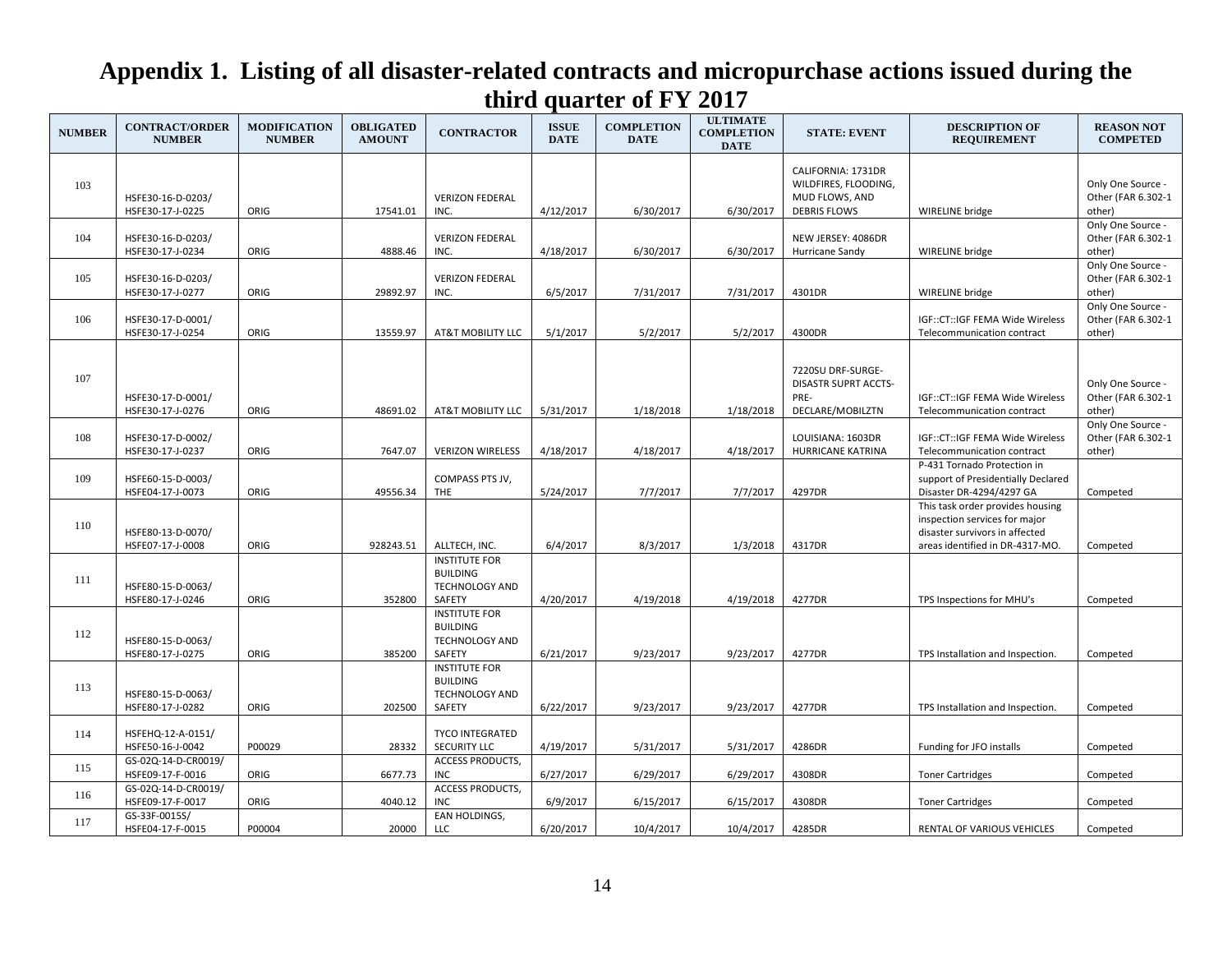| <b>NUMBER</b> | <b>CONTRACT/ORDER</b><br><b>NUMBER</b>  | <b>MODIFICATION</b><br><b>NUMBER</b> | <b>OBLIGATED</b><br><b>AMOUNT</b> | <b>CONTRACTOR</b>                                                          | <b>ISSUE</b><br><b>DATE</b> | <b>COMPLETION</b><br><b>DATE</b> | <b>ULTIMATE</b><br><b>COMPLETION</b><br><b>DATE</b> | <b>STATE: EVENT</b>                                                                 | <b>DESCRIPTION OF</b><br><b>REQUIREMENT</b>                                                                                            | <b>REASON NOT</b><br><b>COMPETED</b>              |
|---------------|-----------------------------------------|--------------------------------------|-----------------------------------|----------------------------------------------------------------------------|-----------------------------|----------------------------------|-----------------------------------------------------|-------------------------------------------------------------------------------------|----------------------------------------------------------------------------------------------------------------------------------------|---------------------------------------------------|
| 103           | HSFE30-16-D-0203/<br>HSFE30-17-J-0225   | ORIG                                 | 17541.01                          | <b>VERIZON FEDERAL</b><br>INC.                                             | 4/12/2017                   | 6/30/2017                        | 6/30/2017                                           | CALIFORNIA: 1731DR<br>WILDFIRES, FLOODING,<br>MUD FLOWS, AND<br><b>DEBRIS FLOWS</b> | WIRELINE bridge                                                                                                                        | Only One Source -<br>Other (FAR 6.302-1<br>other) |
| 104           | HSFE30-16-D-0203/<br>HSFE30-17-J-0234   | ORIG                                 | 4888.46                           | <b>VERIZON FEDERAL</b><br>INC.                                             | 4/18/2017                   | 6/30/2017                        | 6/30/2017                                           | NEW JERSEY: 4086DR<br>Hurricane Sandy                                               | WIRELINE bridge                                                                                                                        | Only One Source -<br>Other (FAR 6.302-1<br>other) |
| 105           | HSFE30-16-D-0203/<br>HSFE30-17-J-0277   | ORIG                                 | 29892.97                          | <b>VERIZON FEDERAL</b><br>INC.                                             | 6/5/2017                    | 7/31/2017                        | 7/31/2017                                           | 4301DR                                                                              | WIRELINE bridge                                                                                                                        | Only One Source -<br>Other (FAR 6.302-1<br>other) |
| 106           | HSFE30-17-D-0001/<br>HSFE30-17-J-0254   | ORIG                                 | 13559.97                          | AT&T MOBILITY LLC                                                          | 5/1/2017                    | 5/2/2017                         | 5/2/2017                                            | 4300DR                                                                              | IGF::CT::IGF FEMA Wide Wireless<br>Telecommunication contract                                                                          | Only One Source -<br>Other (FAR 6.302-1<br>other) |
| 107           | HSFE30-17-D-0001/<br>HSFE30-17-J-0276   | ORIG                                 | 48691.02                          | AT&T MOBILITY LLC                                                          | 5/31/2017                   | 1/18/2018                        | 1/18/2018                                           | 7220SU DRF-SURGE-<br><b>DISASTR SUPRT ACCTS-</b><br>PRE-<br>DECLARE/MOBILZTN        | IGF::CT::IGF FEMA Wide Wireless<br>Telecommunication contract                                                                          | Only One Source -<br>Other (FAR 6.302-1<br>other) |
| 108           | HSFE30-17-D-0002/<br>HSFE30-17-J-0237   | ORIG                                 | 7647.07                           | <b>VERIZON WIRELESS</b>                                                    | 4/18/2017                   | 4/18/2017                        | 4/18/2017                                           | LOUISIANA: 1603DR<br>HURRICANE KATRINA                                              | IGF::CT::IGF FEMA Wide Wireless<br>Telecommunication contract                                                                          | Only One Source -<br>Other (FAR 6.302-1<br>other) |
| 109           | HSFE60-15-D-0003/<br>HSFE04-17-J-0073   | ORIG                                 | 49556.34                          | COMPASS PTS JV,<br>THE                                                     | 5/24/2017                   | 7/7/2017                         | 7/7/2017                                            | 4297DR                                                                              | P-431 Tornado Protection in<br>support of Presidentially Declared<br>Disaster DR-4294/4297 GA                                          | Competed                                          |
| 110           | HSFE80-13-D-0070/<br>HSFE07-17-J-0008   | ORIG                                 | 928243.51                         | ALLTECH, INC.                                                              | 6/4/2017                    | 8/3/2017                         | 1/3/2018                                            | 4317DR                                                                              | This task order provides housing<br>inspection services for major<br>disaster survivors in affected<br>areas identified in DR-4317-MO. | Competed                                          |
| 111           | HSFE80-15-D-0063/<br>HSFE80-17-J-0246   | ORIG                                 | 352800                            | <b>INSTITUTE FOR</b><br><b>BUILDING</b><br><b>TECHNOLOGY AND</b><br>SAFETY | 4/20/2017                   | 4/19/2018                        | 4/19/2018                                           | 4277DR                                                                              | TPS Inspections for MHU's                                                                                                              | Competed                                          |
| 112           | HSFE80-15-D-0063/<br>HSFE80-17-J-0275   | ORIG                                 | 385200                            | <b>INSTITUTE FOR</b><br><b>BUILDING</b><br>TECHNOLOGY AND<br>SAFETY        | 6/21/2017                   | 9/23/2017                        | 9/23/2017                                           | 4277DR                                                                              | TPS Installation and Inspection.                                                                                                       | Competed                                          |
| 113           | HSFE80-15-D-0063/<br>HSFE80-17-J-0282   | ORIG                                 | 202500                            | <b>INSTITUTE FOR</b><br><b>BUILDING</b><br><b>TECHNOLOGY AND</b><br>SAFETY | 6/22/2017                   | 9/23/2017                        | 9/23/2017                                           | 4277DR                                                                              | TPS Installation and Inspection.                                                                                                       | Competed                                          |
| 114           | HSFEHQ-12-A-0151/<br>HSFE50-16-J-0042   | P00029                               | 28332                             | <b>TYCO INTEGRATED</b><br>SECURITY LLC                                     | 4/19/2017                   | 5/31/2017                        | 5/31/2017                                           | 4286DR                                                                              | Funding for JFO installs                                                                                                               | Competed                                          |
| 115           | GS-02Q-14-D-CR0019/<br>HSFE09-17-F-0016 | ORIG                                 | 6677.73                           | <b>ACCESS PRODUCTS,</b><br><b>INC</b>                                      | 6/27/2017                   | 6/29/2017                        | 6/29/2017                                           | 4308DR                                                                              | <b>Toner Cartridges</b>                                                                                                                | Competed                                          |
| 116           | GS-02Q-14-D-CR0019/<br>HSFE09-17-F-0017 | ORIG                                 | 4040.12                           | <b>ACCESS PRODUCTS,</b><br><b>INC</b>                                      | 6/9/2017                    | 6/15/2017                        | 6/15/2017                                           | 4308DR                                                                              | <b>Toner Cartridges</b>                                                                                                                | Competed                                          |
| 117           | GS-33F-0015S/<br>HSFE04-17-F-0015       | P00004                               | 20000                             | EAN HOLDINGS,<br><b>LLC</b>                                                | 6/20/2017                   | 10/4/2017                        | 10/4/2017                                           | 4285DR                                                                              | RENTAL OF VARIOUS VEHICLES                                                                                                             | Competed                                          |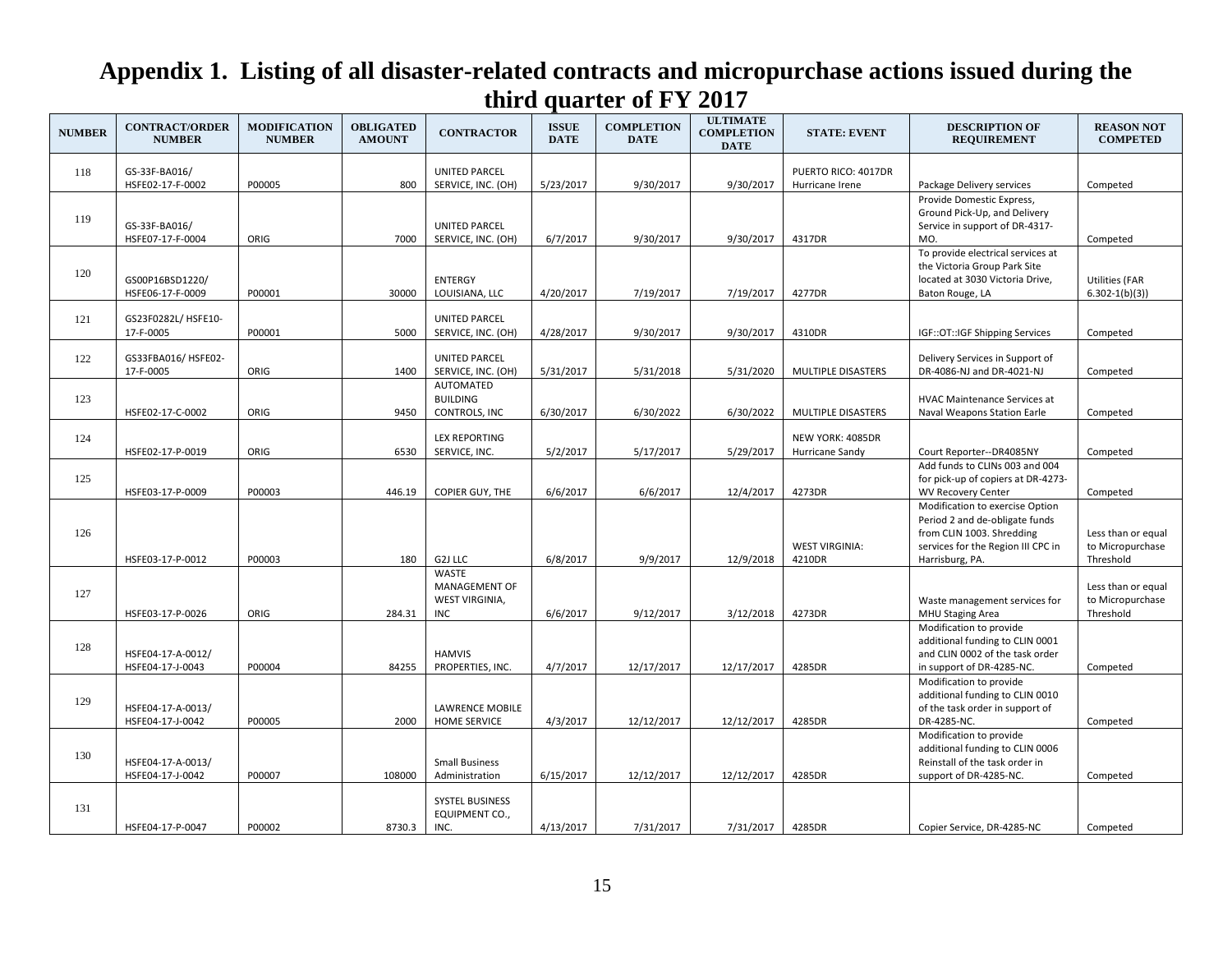| <b>NUMBER</b> | <b>CONTRACT/ORDER</b><br><b>NUMBER</b> | <b>MODIFICATION</b><br><b>NUMBER</b> | <b>OBLIGATED</b><br><b>AMOUNT</b> | <b>CONTRACTOR</b>                                                    | <b>ISSUE</b><br><b>DATE</b> | <b>COMPLETION</b><br><b>DATE</b> | <b>ULTIMATE</b><br><b>COMPLETION</b><br><b>DATE</b> | <b>STATE: EVENT</b>                 | <b>DESCRIPTION OF</b><br><b>REQUIREMENT</b>                                                                                                             | <b>REASON NOT</b><br><b>COMPETED</b>                |
|---------------|----------------------------------------|--------------------------------------|-----------------------------------|----------------------------------------------------------------------|-----------------------------|----------------------------------|-----------------------------------------------------|-------------------------------------|---------------------------------------------------------------------------------------------------------------------------------------------------------|-----------------------------------------------------|
| 118           | GS-33F-BA016/                          |                                      |                                   | <b>UNITED PARCEL</b>                                                 |                             |                                  |                                                     | PUERTO RICO: 4017DR                 |                                                                                                                                                         |                                                     |
|               | HSFE02-17-F-0002                       | P00005                               | 800                               | SERVICE, INC. (OH)                                                   | 5/23/2017                   | 9/30/2017                        | 9/30/2017                                           | Hurricane Irene                     | Package Delivery services                                                                                                                               | Competed                                            |
| 119           | GS-33F-BA016/<br>HSFE07-17-F-0004      | ORIG                                 | 7000                              | <b>UNITED PARCEL</b><br>SERVICE, INC. (OH)                           | 6/7/2017                    | 9/30/2017                        | 9/30/2017                                           | 4317DR                              | Provide Domestic Express,<br>Ground Pick-Up, and Delivery<br>Service in support of DR-4317-<br>MO.                                                      | Competed                                            |
| 120           | GS00P16BSD1220/<br>HSFE06-17-F-0009    | P00001                               | 30000                             | <b>ENTERGY</b><br>LOUISIANA, LLC                                     | 4/20/2017                   | 7/19/2017                        | 7/19/2017                                           | 4277DR                              | To provide electrical services at<br>the Victoria Group Park Site<br>located at 3030 Victoria Drive,<br>Baton Rouge, LA                                 | <b>Utilities (FAR</b><br>$6.302 - 1(b)(3)$          |
| 121           | GS23F0282L/ HSFE10-<br>17-F-0005       | P00001                               | 5000                              | <b>UNITED PARCEL</b><br>SERVICE, INC. (OH)                           | 4/28/2017                   | 9/30/2017                        | 9/30/2017                                           | 4310DR                              | IGF::OT::IGF Shipping Services                                                                                                                          | Competed                                            |
| 122           | GS33FBA016/ HSFE02-<br>17-F-0005       | ORIG                                 | 1400                              | <b>UNITED PARCEL</b><br>SERVICE, INC. (OH)                           | 5/31/2017                   | 5/31/2018                        | 5/31/2020                                           | MULTIPLE DISASTERS                  | Delivery Services in Support of<br>DR-4086-NJ and DR-4021-NJ                                                                                            | Competed                                            |
| 123           | HSFE02-17-C-0002                       | ORIG                                 | 9450                              | AUTOMATED<br><b>BUILDING</b><br>CONTROLS, INC                        | 6/30/2017                   | 6/30/2022                        | 6/30/2022                                           | MULTIPLE DISASTERS                  | <b>HVAC Maintenance Services at</b><br>Naval Weapons Station Earle                                                                                      | Competed                                            |
| 124           | HSFE02-17-P-0019                       | ORIG                                 | 6530                              | <b>LEX REPORTING</b><br>SERVICE, INC.                                | 5/2/2017                    | 5/17/2017                        | 5/29/2017                                           | NEW YORK: 4085DR<br>Hurricane Sandy | Court Reporter--DR4085NY                                                                                                                                | Competed                                            |
| 125           | HSFE03-17-P-0009                       | P00003                               | 446.19                            | <b>COPIER GUY, THE</b>                                               | 6/6/2017                    | 6/6/2017                         | 12/4/2017                                           | 4273DR                              | Add funds to CLINs 003 and 004<br>for pick-up of copiers at DR-4273-<br><b>WV Recovery Center</b>                                                       | Competed                                            |
| 126           | HSFE03-17-P-0012                       | P00003                               | 180                               | G2J LLC                                                              | 6/8/2017                    | 9/9/2017                         | 12/9/2018                                           | <b>WEST VIRGINIA:</b><br>4210DR     | Modification to exercise Option<br>Period 2 and de-obligate funds<br>from CLIN 1003. Shredding<br>services for the Region III CPC in<br>Harrisburg, PA. | Less than or equal<br>to Micropurchase<br>Threshold |
| 127           | HSFE03-17-P-0026                       | ORIG                                 | 284.31                            | <b>WASTE</b><br><b>MANAGEMENT OF</b><br>WEST VIRGINIA,<br><b>INC</b> | 6/6/2017                    | 9/12/2017                        | 3/12/2018                                           | 4273DR                              | Waste management services for<br><b>MHU Staging Area</b>                                                                                                | Less than or equal<br>to Micropurchase<br>Threshold |
| 128           | HSFE04-17-A-0012/<br>HSFE04-17-J-0043  | P00004                               | 84255                             | <b>HAMVIS</b><br>PROPERTIES, INC.                                    | 4/7/2017                    | 12/17/2017                       | 12/17/2017                                          | 4285DR                              | Modification to provide<br>additional funding to CLIN 0001<br>and CLIN 0002 of the task order<br>in support of DR-4285-NC.                              | Competed                                            |
| 129           | HSFE04-17-A-0013/<br>HSFE04-17-J-0042  | P00005                               | 2000                              | <b>LAWRENCE MOBILE</b><br><b>HOME SERVICE</b>                        | 4/3/2017                    | 12/12/2017                       | 12/12/2017                                          | 4285DR                              | Modification to provide<br>additional funding to CLIN 0010<br>of the task order in support of<br>DR-4285-NC.                                            | Competed                                            |
| 130           | HSFE04-17-A-0013/<br>HSFE04-17-J-0042  | P00007                               | 108000                            | <b>Small Business</b><br>Administration                              | 6/15/2017                   | 12/12/2017                       | 12/12/2017                                          | 4285DR                              | Modification to provide<br>additional funding to CLIN 0006<br>Reinstall of the task order in<br>support of DR-4285-NC.                                  | Competed                                            |
| 131           | HSFE04-17-P-0047                       | P00002                               | 8730.3                            | SYSTEL BUSINESS<br>EQUIPMENT CO.,<br>INC.                            | 4/13/2017                   | 7/31/2017                        | 7/31/2017                                           | 4285DR                              | Copier Service, DR-4285-NC                                                                                                                              | Competed                                            |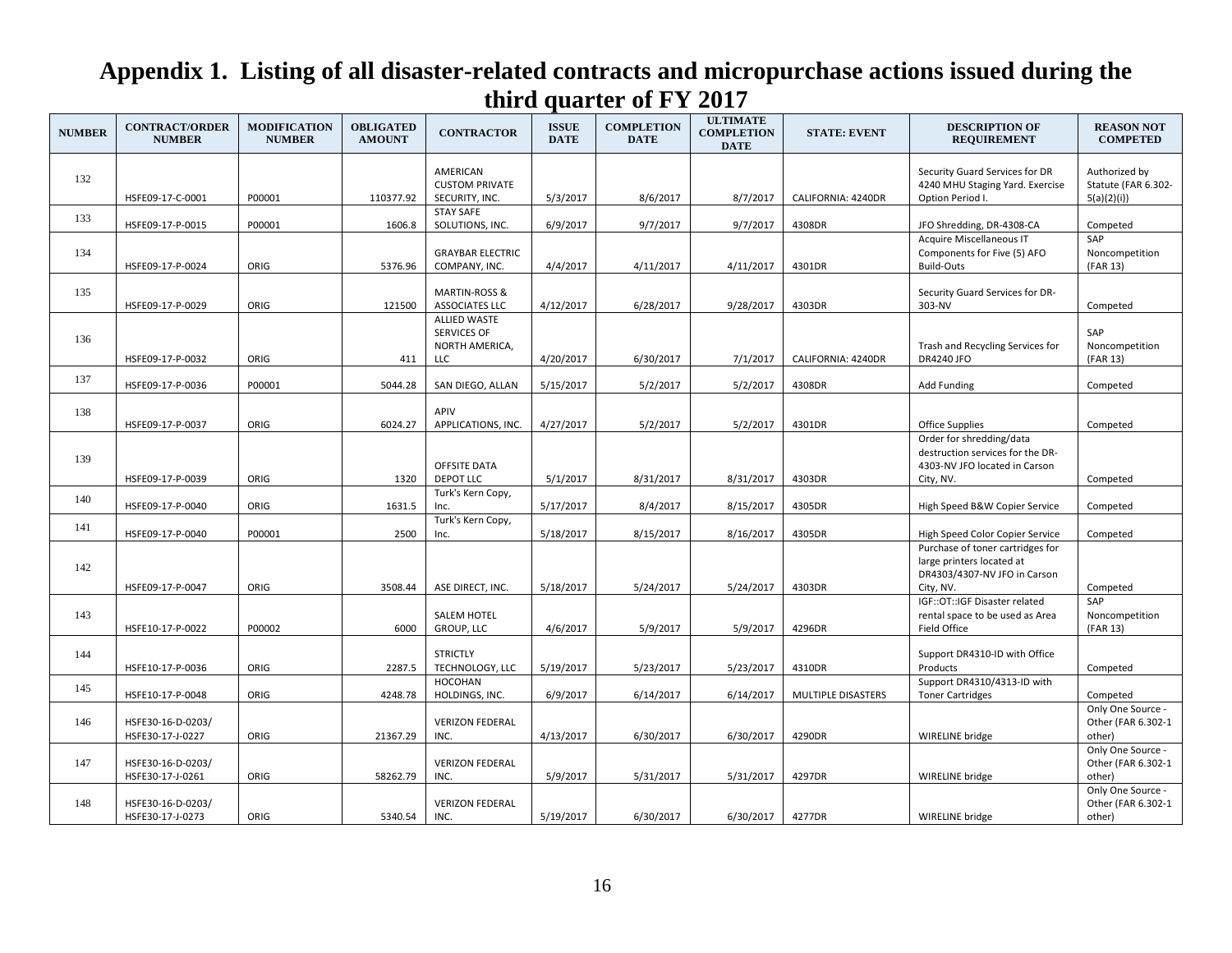| <b>NUMBER</b> | <b>CONTRACT/ORDER</b><br><b>NUMBER</b> | <b>MODIFICATION</b><br><b>NUMBER</b> | <b>OBLIGATED</b><br><b>AMOUNT</b> | <b>CONTRACTOR</b>                                           | <b>ISSUE</b><br><b>DATE</b> | <b>COMPLETION</b><br><b>DATE</b> | <b>ULTIMATE</b><br><b>COMPLETION</b><br><b>DATE</b> | <b>STATE: EVENT</b> | <b>DESCRIPTION OF</b><br><b>REQUIREMENT</b>                                                                                                   | <b>REASON NOT</b><br><b>COMPETED</b>               |
|---------------|----------------------------------------|--------------------------------------|-----------------------------------|-------------------------------------------------------------|-----------------------------|----------------------------------|-----------------------------------------------------|---------------------|-----------------------------------------------------------------------------------------------------------------------------------------------|----------------------------------------------------|
| 132           | HSFE09-17-C-0001                       | P00001                               | 110377.92                         | AMERICAN<br><b>CUSTOM PRIVATE</b><br>SECURITY, INC.         | 5/3/2017                    | 8/6/2017                         | 8/7/2017                                            | CALIFORNIA: 4240DR  | Security Guard Services for DR<br>4240 MHU Staging Yard. Exercise<br>Option Period I.                                                         | Authorized by<br>Statute (FAR 6.302-<br>5(a)(2)(i) |
| 133           | HSFE09-17-P-0015                       | P00001                               | 1606.8                            | <b>STAY SAFE</b><br>SOLUTIONS, INC.                         | 6/9/2017                    | 9/7/2017                         | 9/7/2017                                            | 4308DR              | JFO Shredding, DR-4308-CA                                                                                                                     | Competed                                           |
| 134           | HSFE09-17-P-0024                       | ORIG                                 | 5376.96                           | <b>GRAYBAR ELECTRIC</b><br>COMPANY, INC.                    | 4/4/2017                    | 4/11/2017                        | 4/11/2017                                           | 4301DR              | Acquire Miscellaneous IT<br>Components for Five (5) AFO<br><b>Build-Outs</b>                                                                  | SAP<br>Noncompetition<br>(FAR 13)                  |
| 135           | HSFE09-17-P-0029                       | ORIG                                 | 121500                            | <b>MARTIN-ROSS &amp;</b><br><b>ASSOCIATES LLC</b>           | 4/12/2017                   | 6/28/2017                        | 9/28/2017                                           | 4303DR              | Security Guard Services for DR-<br>303-NV                                                                                                     | Competed                                           |
| 136           | HSFE09-17-P-0032                       | ORIG                                 | 411                               | <b>ALLIED WASTE</b><br>SERVICES OF<br>NORTH AMERICA,<br>LLC | 4/20/2017                   | 6/30/2017                        | 7/1/2017                                            | CALIFORNIA: 4240DR  | Trash and Recycling Services for<br><b>DR4240 JFO</b>                                                                                         | SAP<br>Noncompetition<br>(FAR 13)                  |
| 137           | HSFE09-17-P-0036                       | P00001                               | 5044.28                           | SAN DIEGO, ALLAN                                            | 5/15/2017                   | 5/2/2017                         | 5/2/2017                                            | 4308DR              | Add Funding                                                                                                                                   | Competed                                           |
| 138           | HSFE09-17-P-0037                       | ORIG                                 | 6024.27                           | <b>APIV</b><br>APPLICATIONS, INC.                           | 4/27/2017                   | 5/2/2017                         | 5/2/2017                                            | 4301DR              | <b>Office Supplies</b>                                                                                                                        | Competed                                           |
| 139           |                                        |                                      |                                   | <b>OFFSITE DATA</b>                                         |                             |                                  |                                                     |                     | Order for shredding/data<br>destruction services for the DR-<br>4303-NV JFO located in Carson                                                 |                                                    |
| 140           | HSFE09-17-P-0039                       | ORIG                                 | 1320                              | <b>DEPOT LLC</b><br>Turk's Kern Copy,                       | 5/1/2017                    | 8/31/2017                        | 8/31/2017                                           | 4303DR              | City, NV.                                                                                                                                     | Competed                                           |
| 141           | HSFE09-17-P-0040<br>HSFE09-17-P-0040   | ORIG<br>P00001                       | 1631.5<br>2500                    | Inc.<br>Turk's Kern Copy,                                   | 5/17/2017<br>5/18/2017      | 8/4/2017<br>8/15/2017            | 8/15/2017<br>8/16/2017                              | 4305DR<br>4305DR    | High Speed B&W Copier Service                                                                                                                 | Competed                                           |
| 142           | HSFE09-17-P-0047                       | ORIG                                 | 3508.44                           | Inc.<br>ASE DIRECT, INC.                                    | 5/18/2017                   | 5/24/2017                        | 5/24/2017                                           | 4303DR              | High Speed Color Copier Service<br>Purchase of toner cartridges for<br>large printers located at<br>DR4303/4307-NV JFO in Carson<br>City, NV. | Competed<br>Competed                               |
| 143           | HSFE10-17-P-0022                       | P00002                               | 6000                              | <b>SALEM HOTEL</b><br>GROUP, LLC                            | 4/6/2017                    | 5/9/2017                         | 5/9/2017                                            | 4296DR              | IGF::OT::IGF Disaster related<br>rental space to be used as Area<br>Field Office                                                              | SAP<br>Noncompetition<br>(FAR 13)                  |
| 144           | HSFE10-17-P-0036                       | ORIG                                 | 2287.5                            | <b>STRICTLY</b><br>TECHNOLOGY, LLC                          | 5/19/2017                   | 5/23/2017                        | 5/23/2017                                           | 4310DR              | Support DR4310-ID with Office<br>Products                                                                                                     | Competed                                           |
| 145           | HSFE10-17-P-0048                       | ORIG                                 | 4248.78                           | <b>HOCOHAN</b><br>HOLDINGS, INC.                            | 6/9/2017                    | 6/14/2017                        | 6/14/2017                                           | MULTIPLE DISASTERS  | Support DR4310/4313-ID with<br><b>Toner Cartridges</b>                                                                                        | Competed                                           |
| 146           | HSFE30-16-D-0203/<br>HSFE30-17-J-0227  | ORIG                                 | 21367.29                          | <b>VERIZON FEDERAL</b><br>INC.                              | 4/13/2017                   | 6/30/2017                        | 6/30/2017                                           | 4290DR              | WIRELINE bridge                                                                                                                               | Only One Source -<br>Other (FAR 6.302-1<br>other)  |
| 147           | HSFE30-16-D-0203/<br>HSFE30-17-J-0261  | ORIG                                 | 58262.79                          | <b>VERIZON FEDERAL</b><br>INC.                              | 5/9/2017                    | 5/31/2017                        | 5/31/2017                                           | 4297DR              | WIRELINE bridge                                                                                                                               | Only One Source -<br>Other (FAR 6.302-1<br>other)  |
| 148           | HSFE30-16-D-0203/<br>HSFE30-17-J-0273  | ORIG                                 | 5340.54                           | <b>VERIZON FEDERAL</b><br>INC.                              | 5/19/2017                   | 6/30/2017                        | 6/30/2017                                           | 4277DR              | WIRELINE bridge                                                                                                                               | Only One Source -<br>Other (FAR 6.302-1<br>other)  |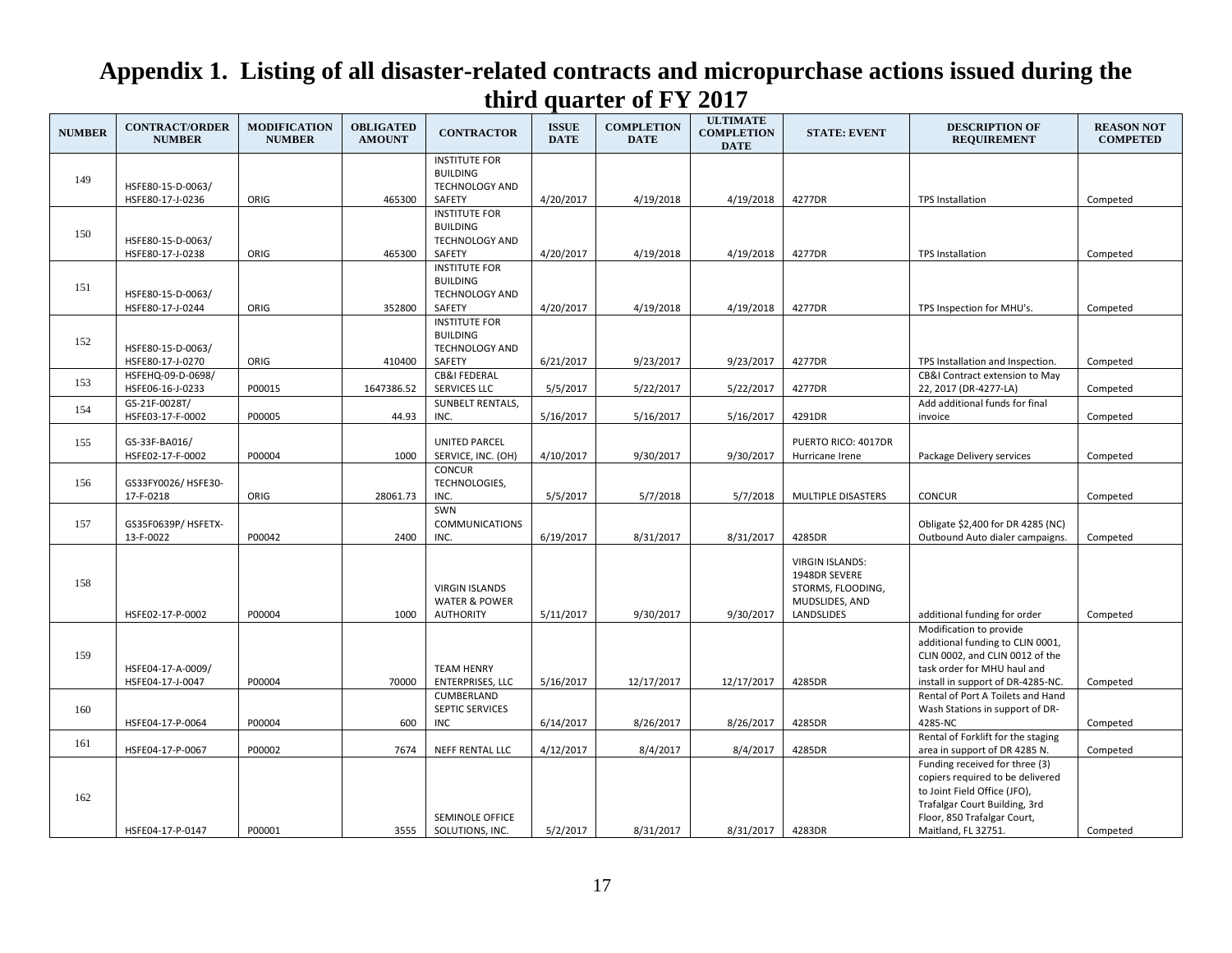| <b>NUMBER</b> | <b>CONTRACT/ORDER</b><br><b>NUMBER</b> | <b>MODIFICATION</b><br><b>NUMBER</b> | <b>OBLIGATED</b><br><b>AMOUNT</b> | <b>CONTRACTOR</b>                            | <b>ISSUE</b><br><b>DATE</b> | <b>COMPLETION</b><br><b>DATE</b> | <b>ULTIMATE</b><br><b>COMPLETION</b><br><b>DATE</b> | <b>STATE: EVENT</b>    | <b>DESCRIPTION OF</b><br><b>REQUIREMENT</b>                      | <b>REASON NOT</b><br><b>COMPETED</b> |
|---------------|----------------------------------------|--------------------------------------|-----------------------------------|----------------------------------------------|-----------------------------|----------------------------------|-----------------------------------------------------|------------------------|------------------------------------------------------------------|--------------------------------------|
|               |                                        |                                      |                                   | <b>INSTITUTE FOR</b>                         |                             |                                  |                                                     |                        |                                                                  |                                      |
| 149           |                                        |                                      |                                   | <b>BUILDING</b>                              |                             |                                  |                                                     |                        |                                                                  |                                      |
|               | HSFE80-15-D-0063/                      |                                      |                                   | <b>TECHNOLOGY AND</b>                        |                             |                                  |                                                     |                        |                                                                  |                                      |
|               | HSFE80-17-J-0236                       | ORIG                                 | 465300                            | SAFETY<br><b>INSTITUTE FOR</b>               | 4/20/2017                   | 4/19/2018                        | 4/19/2018                                           | 4277DR                 | TPS Installation                                                 | Competed                             |
|               |                                        |                                      |                                   | <b>BUILDING</b>                              |                             |                                  |                                                     |                        |                                                                  |                                      |
| 150           | HSFE80-15-D-0063/                      |                                      |                                   | <b>TECHNOLOGY AND</b>                        |                             |                                  |                                                     |                        |                                                                  |                                      |
|               | HSFE80-17-J-0238                       | ORIG                                 | 465300                            | SAFETY                                       | 4/20/2017                   | 4/19/2018                        | 4/19/2018                                           | 4277DR                 | <b>TPS Installation</b>                                          | Competed                             |
|               |                                        |                                      |                                   | <b>INSTITUTE FOR</b>                         |                             |                                  |                                                     |                        |                                                                  |                                      |
| 151           |                                        |                                      |                                   | <b>BUILDING</b>                              |                             |                                  |                                                     |                        |                                                                  |                                      |
|               | HSFE80-15-D-0063/                      |                                      |                                   | <b>TECHNOLOGY AND</b>                        |                             |                                  |                                                     |                        |                                                                  |                                      |
|               | HSFE80-17-J-0244                       | ORIG                                 | 352800                            | SAFETY                                       | 4/20/2017                   | 4/19/2018                        | 4/19/2018                                           | 4277DR                 | TPS Inspection for MHU's.                                        | Competed                             |
|               |                                        |                                      |                                   | <b>INSTITUTE FOR</b>                         |                             |                                  |                                                     |                        |                                                                  |                                      |
| 152           |                                        |                                      |                                   | <b>BUILDING</b>                              |                             |                                  |                                                     |                        |                                                                  |                                      |
|               | HSFE80-15-D-0063/                      |                                      |                                   | <b>TECHNOLOGY AND</b>                        |                             |                                  |                                                     |                        |                                                                  |                                      |
|               | HSFE80-17-J-0270                       | ORIG                                 | 410400                            | SAFETY                                       | 6/21/2017                   | 9/23/2017                        | 9/23/2017                                           | 4277DR                 | TPS Installation and Inspection.                                 | Competed                             |
| 153           | HSFEHQ-09-D-0698/<br>HSFE06-16-J-0233  | P00015                               | 1647386.52                        | <b>CB&amp;I FEDERAL</b><br>SERVICES LLC      | 5/5/2017                    | 5/22/2017                        | 5/22/2017                                           | 4277DR                 | CB&I Contract extension to May<br>22, 2017 (DR-4277-LA)          | Competed                             |
|               | GS-21F-0028T/                          |                                      |                                   | <b>SUNBELT RENTALS,</b>                      |                             |                                  |                                                     |                        | Add additional funds for final                                   |                                      |
| 154           | HSFE03-17-F-0002                       | P00005                               | 44.93                             | INC.                                         | 5/16/2017                   | 5/16/2017                        | 5/16/2017                                           | 4291DR                 | invoice                                                          | Competed                             |
|               |                                        |                                      |                                   |                                              |                             |                                  |                                                     |                        |                                                                  |                                      |
| 155           | GS-33F-BA016/                          |                                      |                                   | <b>UNITED PARCEL</b>                         |                             |                                  |                                                     | PUERTO RICO: 4017DR    |                                                                  |                                      |
|               | HSFE02-17-F-0002                       | P00004                               | 1000                              | SERVICE, INC. (OH)                           | 4/10/2017                   | 9/30/2017                        | 9/30/2017                                           | Hurricane Irene        | Package Delivery services                                        | Competed                             |
|               |                                        |                                      |                                   | <b>CONCUR</b>                                |                             |                                  |                                                     |                        |                                                                  |                                      |
| 156           | GS33FY0026/HSFE30-                     |                                      |                                   | TECHNOLOGIES,                                |                             |                                  |                                                     |                        |                                                                  |                                      |
|               | 17-F-0218                              | ORIG                                 | 28061.73                          | INC.                                         | 5/5/2017                    | 5/7/2018                         | 5/7/2018                                            | MULTIPLE DISASTERS     | <b>CONCUR</b>                                                    | Competed                             |
|               |                                        |                                      |                                   | SWN                                          |                             |                                  |                                                     |                        |                                                                  |                                      |
| 157           | GS35F0639P/ HSFETX-                    |                                      |                                   | <b>COMMUNICATIONS</b>                        |                             |                                  |                                                     |                        | Obligate \$2,400 for DR 4285 (NC)                                |                                      |
|               | 13-F-0022                              | P00042                               | 2400                              | INC.                                         | 6/19/2017                   | 8/31/2017                        | 8/31/2017                                           | 4285DR                 | Outbound Auto dialer campaigns.                                  | Competed                             |
|               |                                        |                                      |                                   |                                              |                             |                                  |                                                     | <b>VIRGIN ISLANDS:</b> |                                                                  |                                      |
|               |                                        |                                      |                                   |                                              |                             |                                  |                                                     | 1948DR SEVERE          |                                                                  |                                      |
| 158           |                                        |                                      |                                   | <b>VIRGIN ISLANDS</b>                        |                             |                                  |                                                     | STORMS, FLOODING,      |                                                                  |                                      |
|               |                                        |                                      |                                   | <b>WATER &amp; POWER</b>                     |                             |                                  |                                                     | MUDSLIDES, AND         |                                                                  |                                      |
|               | HSFE02-17-P-0002                       | P00004                               | 1000                              | <b>AUTHORITY</b>                             | 5/11/2017                   | 9/30/2017                        | 9/30/2017                                           | LANDSLIDES             | additional funding for order                                     | Competed                             |
|               |                                        |                                      |                                   |                                              |                             |                                  |                                                     |                        | Modification to provide                                          |                                      |
|               |                                        |                                      |                                   |                                              |                             |                                  |                                                     |                        | additional funding to CLIN 0001,                                 |                                      |
| 159           |                                        |                                      |                                   |                                              |                             |                                  |                                                     |                        | CLIN 0002, and CLIN 0012 of the                                  |                                      |
|               | HSFE04-17-A-0009/<br>HSFE04-17-J-0047  | P00004                               | 70000                             | <b>TEAM HENRY</b><br><b>ENTERPRISES, LLC</b> | 5/16/2017                   | 12/17/2017                       | 12/17/2017                                          | 4285DR                 | task order for MHU haul and<br>install in support of DR-4285-NC. | Competed                             |
|               |                                        |                                      |                                   | CUMBERLAND                                   |                             |                                  |                                                     |                        | Rental of Port A Toilets and Hand                                |                                      |
| 160           |                                        |                                      |                                   | SEPTIC SERVICES                              |                             |                                  |                                                     |                        | Wash Stations in support of DR-                                  |                                      |
|               | HSFE04-17-P-0064                       | P00004                               | 600                               | <b>INC</b>                                   | 6/14/2017                   | 8/26/2017                        | 8/26/2017                                           | 4285DR                 | 4285-NC                                                          | Competed                             |
|               |                                        |                                      |                                   |                                              |                             |                                  |                                                     |                        | Rental of Forklift for the staging                               |                                      |
| 161           | HSFE04-17-P-0067                       | P00002                               | 7674                              | NEFF RENTAL LLC                              | 4/12/2017                   | 8/4/2017                         | 8/4/2017                                            | 4285DR                 | area in support of DR 4285 N.                                    | Competed                             |
|               |                                        |                                      |                                   |                                              |                             |                                  |                                                     |                        | Funding received for three (3)                                   |                                      |
|               |                                        |                                      |                                   |                                              |                             |                                  |                                                     |                        | copiers required to be delivered                                 |                                      |
| 162           |                                        |                                      |                                   |                                              |                             |                                  |                                                     |                        | to Joint Field Office (JFO),                                     |                                      |
|               |                                        |                                      |                                   |                                              |                             |                                  |                                                     |                        | Trafalgar Court Building, 3rd                                    |                                      |
|               |                                        | P00001                               |                                   | <b>SEMINOLE OFFICE</b>                       | 5/2/2017                    | 8/31/2017                        | 8/31/2017                                           |                        | Floor, 850 Trafalgar Court,                                      |                                      |
|               | HSFE04-17-P-0147                       |                                      | 3555                              | SOLUTIONS, INC.                              |                             |                                  |                                                     | 4283DR                 | Maitland, FL 32751.                                              | Competed                             |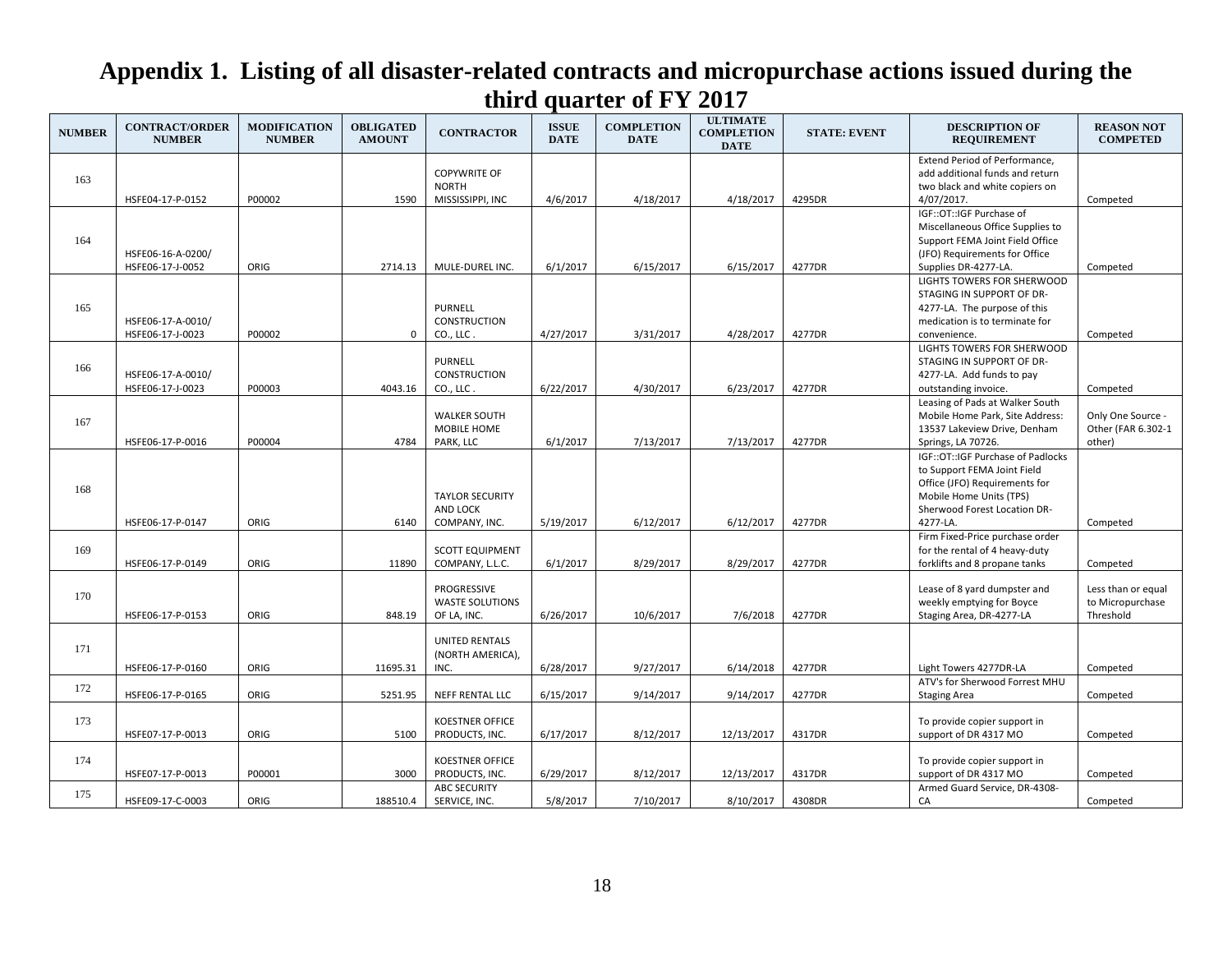| <b>NUMBER</b> | <b>CONTRACT/ORDER</b><br><b>NUMBER</b> | <b>MODIFICATION</b><br><b>NUMBER</b> | <b>OBLIGATED</b><br><b>AMOUNT</b> | <b>CONTRACTOR</b>                                       | <b>ISSUE</b><br><b>DATE</b> | <b>COMPLETION</b><br><b>DATE</b> | <b>ULTIMATE</b><br><b>COMPLETION</b><br><b>DATE</b> | <b>STATE: EVENT</b> | <b>DESCRIPTION OF</b><br><b>REQUIREMENT</b>                                                                                                                                | <b>REASON NOT</b><br><b>COMPETED</b>                |
|---------------|----------------------------------------|--------------------------------------|-----------------------------------|---------------------------------------------------------|-----------------------------|----------------------------------|-----------------------------------------------------|---------------------|----------------------------------------------------------------------------------------------------------------------------------------------------------------------------|-----------------------------------------------------|
| 163           | HSFE04-17-P-0152                       | P00002                               | 1590                              | <b>COPYWRITE OF</b><br><b>NORTH</b><br>MISSISSIPPI, INC | 4/6/2017                    | 4/18/2017                        | 4/18/2017                                           | 4295DR              | Extend Period of Performance,<br>add additional funds and return<br>two black and white copiers on<br>4/07/2017.                                                           | Competed                                            |
| 164           | HSFE06-16-A-0200/<br>HSFE06-17-J-0052  | ORIG                                 | 2714.13                           | MULE-DUREL INC.                                         | 6/1/2017                    | 6/15/2017                        | 6/15/2017                                           | 4277DR              | IGF::OT::IGF Purchase of<br>Miscellaneous Office Supplies to<br>Support FEMA Joint Field Office<br>(JFO) Requirements for Office<br>Supplies DR-4277-LA.                   | Competed                                            |
| 165           | HSFE06-17-A-0010/<br>HSFE06-17-J-0023  | P00002                               | 0                                 | <b>PURNELL</b><br><b>CONSTRUCTION</b><br>CO., LLC.      | 4/27/2017                   | 3/31/2017                        | 4/28/2017                                           | 4277DR              | LIGHTS TOWERS FOR SHERWOOD<br>STAGING IN SUPPORT OF DR-<br>4277-LA. The purpose of this<br>medication is to terminate for<br>convenience.                                  | Competed                                            |
| 166           | HSFE06-17-A-0010/<br>HSFE06-17-J-0023  | P00003                               | 4043.16                           | <b>PURNELL</b><br><b>CONSTRUCTION</b><br>CO., LLC.      | 6/22/2017                   | 4/30/2017                        | 6/23/2017                                           | 4277DR              | LIGHTS TOWERS FOR SHERWOOD<br>STAGING IN SUPPORT OF DR-<br>4277-LA. Add funds to pay<br>outstanding invoice.                                                               | Competed                                            |
| 167           | HSFE06-17-P-0016                       | P00004                               | 4784                              | <b>WALKER SOUTH</b><br>MOBILE HOME<br>PARK, LLC         | 6/1/2017                    | 7/13/2017                        | 7/13/2017                                           | 4277DR              | Leasing of Pads at Walker South<br>Mobile Home Park, Site Address:<br>13537 Lakeview Drive, Denham<br>Springs, LA 70726.                                                   | Only One Source -<br>Other (FAR 6.302-1<br>other)   |
| 168           | HSFE06-17-P-0147                       | ORIG                                 | 6140                              | <b>TAYLOR SECURITY</b><br>AND LOCK<br>COMPANY, INC.     | 5/19/2017                   | 6/12/2017                        | 6/12/2017                                           | 4277DR              | IGF:: OT:: IGF Purchase of Padlocks<br>to Support FEMA Joint Field<br>Office (JFO) Requirements for<br>Mobile Home Units (TPS)<br>Sherwood Forest Location DR-<br>4277-LA. | Competed                                            |
| 169           | HSFE06-17-P-0149                       | ORIG                                 | 11890                             | <b>SCOTT EQUIPMENT</b><br>COMPANY, L.L.C.               | 6/1/2017                    | 8/29/2017                        | 8/29/2017                                           | 4277DR              | Firm Fixed-Price purchase order<br>for the rental of 4 heavy-duty<br>forklifts and 8 propane tanks                                                                         | Competed                                            |
| 170           | HSFE06-17-P-0153                       | ORIG                                 | 848.19                            | PROGRESSIVE<br><b>WASTE SOLUTIONS</b><br>OF LA, INC.    | 6/26/2017                   | 10/6/2017                        | 7/6/2018                                            | 4277DR              | Lease of 8 yard dumpster and<br>weekly emptying for Boyce<br>Staging Area, DR-4277-LA                                                                                      | Less than or equal<br>to Micropurchase<br>Threshold |
| 171           | HSFE06-17-P-0160                       | ORIG                                 | 11695.31                          | <b>UNITED RENTALS</b><br>(NORTH AMERICA),<br>INC.       | 6/28/2017                   | 9/27/2017                        | 6/14/2018                                           | 4277DR              | Light Towers 4277DR-LA                                                                                                                                                     | Competed                                            |
| 172           | HSFE06-17-P-0165                       | ORIG                                 | 5251.95                           | NEFF RENTAL LLC                                         | 6/15/2017                   | 9/14/2017                        | 9/14/2017                                           | 4277DR              | ATV's for Sherwood Forrest MHU<br><b>Staging Area</b>                                                                                                                      | Competed                                            |
| 173           | HSFE07-17-P-0013                       | ORIG                                 | 5100                              | <b>KOESTNER OFFICE</b><br>PRODUCTS, INC.                | 6/17/2017                   | 8/12/2017                        | 12/13/2017                                          | 4317DR              | To provide copier support in<br>support of DR 4317 MO                                                                                                                      | Competed                                            |
| 174           | HSFE07-17-P-0013                       | P00001                               | 3000                              | <b>KOESTNER OFFICE</b><br>PRODUCTS, INC.                | 6/29/2017                   | 8/12/2017                        | 12/13/2017                                          | 4317DR              | To provide copier support in<br>support of DR 4317 MO                                                                                                                      | Competed                                            |
| 175           | HSFE09-17-C-0003                       | ORIG                                 | 188510.4                          | <b>ABC SECURITY</b><br>SERVICE, INC.                    | 5/8/2017                    | 7/10/2017                        | 8/10/2017                                           | 4308DR              | Armed Guard Service, DR-4308-<br>CA                                                                                                                                        | Competed                                            |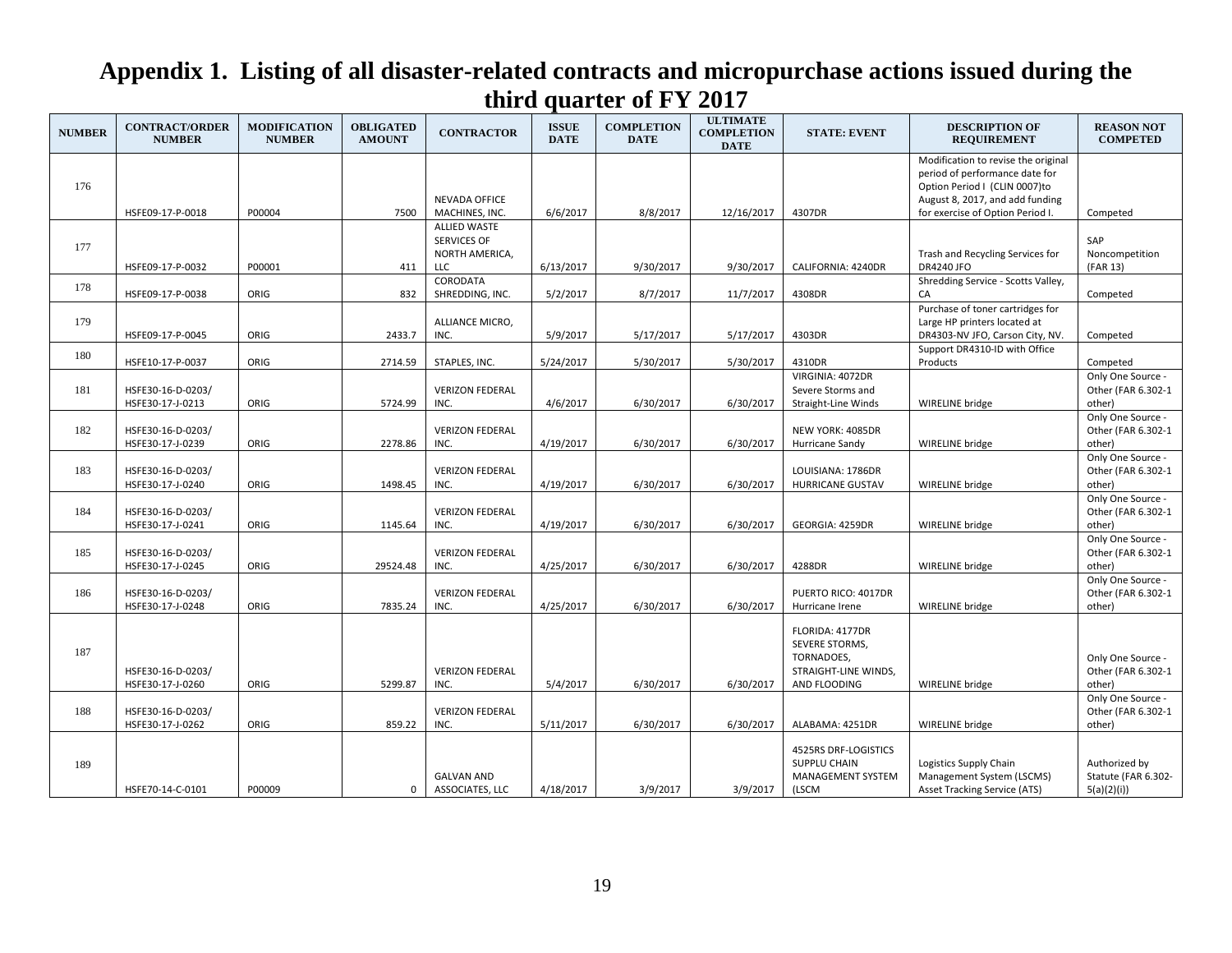| <b>NUMBER</b> | <b>CONTRACT/ORDER</b><br><b>NUMBER</b> | <b>MODIFICATION</b><br><b>NUMBER</b> | <b>OBLIGATED</b><br><b>AMOUNT</b> | <b>CONTRACTOR</b>                                                         | <b>ISSUE</b><br><b>DATE</b> | <b>COMPLETION</b><br><b>DATE</b> | <b>ULTIMATE</b><br><b>COMPLETION</b><br><b>DATE</b> | <b>STATE: EVENT</b>                                                                     | <b>DESCRIPTION OF</b><br><b>REQUIREMENT</b>                                                                                                                                   | <b>REASON NOT</b><br><b>COMPETED</b>               |
|---------------|----------------------------------------|--------------------------------------|-----------------------------------|---------------------------------------------------------------------------|-----------------------------|----------------------------------|-----------------------------------------------------|-----------------------------------------------------------------------------------------|-------------------------------------------------------------------------------------------------------------------------------------------------------------------------------|----------------------------------------------------|
| 176           | HSFE09-17-P-0018                       | P00004                               | 7500                              | <b>NEVADA OFFICE</b><br>MACHINES, INC.                                    | 6/6/2017                    | 8/8/2017                         | 12/16/2017                                          | 4307DR                                                                                  | Modification to revise the original<br>period of performance date for<br>Option Period I (CLIN 0007)to<br>August 8, 2017, and add funding<br>for exercise of Option Period I. | Competed                                           |
| 177           | HSFE09-17-P-0032                       | P00001                               | 411                               | <b>ALLIED WASTE</b><br><b>SERVICES OF</b><br>NORTH AMERICA,<br><b>LLC</b> | 6/13/2017                   | 9/30/2017                        | 9/30/2017                                           | CALIFORNIA: 4240DR                                                                      | Trash and Recycling Services for<br><b>DR4240 JFO</b>                                                                                                                         | SAP<br>Noncompetition<br>(FAR 13)                  |
| 178           | HSFE09-17-P-0038                       | ORIG                                 | 832                               | CORODATA<br>SHREDDING, INC.                                               | 5/2/2017                    | 8/7/2017                         | 11/7/2017                                           | 4308DR                                                                                  | Shredding Service - Scotts Valley,<br>CA                                                                                                                                      | Competed                                           |
| 179           | HSFE09-17-P-0045                       | ORIG                                 | 2433.7                            | ALLIANCE MICRO,<br>INC.                                                   | 5/9/2017                    | 5/17/2017                        | 5/17/2017                                           | 4303DR                                                                                  | Purchase of toner cartridges for<br>Large HP printers located at<br>DR4303-NV JFO, Carson City, NV.                                                                           | Competed                                           |
| 180           | HSFE10-17-P-0037                       | ORIG                                 | 2714.59                           | STAPLES, INC.                                                             | 5/24/2017                   | 5/30/2017                        | 5/30/2017                                           | 4310DR                                                                                  | Support DR4310-ID with Office<br>Products                                                                                                                                     | Competed                                           |
| 181           | HSFE30-16-D-0203/<br>HSFE30-17-J-0213  | ORIG                                 | 5724.99                           | <b>VERIZON FEDERAL</b><br>INC.                                            | 4/6/2017                    | 6/30/2017                        | 6/30/2017                                           | VIRGINIA: 4072DR<br>Severe Storms and<br>Straight-Line Winds                            | <b>WIRELINE</b> bridge                                                                                                                                                        | Only One Source -<br>Other (FAR 6.302-1<br>other)  |
| 182           | HSFE30-16-D-0203/<br>HSFE30-17-J-0239  | ORIG                                 | 2278.86                           | <b>VERIZON FEDERAL</b><br>INC.                                            | 4/19/2017                   | 6/30/2017                        | 6/30/2017                                           | NEW YORK: 4085DR<br>Hurricane Sandy                                                     | <b>WIRELINE</b> bridge                                                                                                                                                        | Only One Source -<br>Other (FAR 6.302-1<br>other)  |
| 183           | HSFE30-16-D-0203/<br>HSFE30-17-J-0240  | ORIG                                 | 1498.45                           | <b>VERIZON FEDERAL</b><br>INC.                                            | 4/19/2017                   | 6/30/2017                        | 6/30/2017                                           | LOUISIANA: 1786DR<br><b>HURRICANE GUSTAV</b>                                            | WIRELINE bridge                                                                                                                                                               | Only One Source -<br>Other (FAR 6.302-1<br>other)  |
| 184           | HSFE30-16-D-0203/<br>HSFE30-17-J-0241  | ORIG                                 | 1145.64                           | <b>VERIZON FEDERAL</b><br>INC.                                            | 4/19/2017                   | 6/30/2017                        | 6/30/2017                                           | GEORGIA: 4259DR                                                                         | WIRELINE bridge                                                                                                                                                               | Only One Source -<br>Other (FAR 6.302-1<br>other)  |
| 185           | HSFE30-16-D-0203/<br>HSFE30-17-J-0245  | ORIG                                 | 29524.48                          | <b>VERIZON FEDERAL</b><br>INC.                                            | 4/25/2017                   | 6/30/2017                        | 6/30/2017                                           | 4288DR                                                                                  | <b>WIRELINE</b> bridge                                                                                                                                                        | Only One Source -<br>Other (FAR 6.302-1<br>other)  |
| 186           | HSFE30-16-D-0203/<br>HSFE30-17-J-0248  | ORIG                                 | 7835.24                           | <b>VERIZON FEDERAL</b><br>INC.                                            | 4/25/2017                   | 6/30/2017                        | 6/30/2017                                           | PUERTO RICO: 4017DR<br>Hurricane Irene                                                  | WIRELINE bridge                                                                                                                                                               | Only One Source -<br>Other (FAR 6.302-1<br>other)  |
| 187           | HSFE30-16-D-0203/<br>HSFE30-17-J-0260  | ORIG                                 | 5299.87                           | <b>VERIZON FEDERAL</b><br>INC.                                            | 5/4/2017                    | 6/30/2017                        | 6/30/2017                                           | FLORIDA: 4177DR<br>SEVERE STORMS,<br>TORNADOES,<br>STRAIGHT-LINE WINDS,<br>AND FLOODING | WIRELINE bridge                                                                                                                                                               | Only One Source -<br>Other (FAR 6.302-1<br>other)  |
| 188           | HSFE30-16-D-0203/<br>HSFE30-17-J-0262  | ORIG                                 | 859.22                            | <b>VERIZON FEDERAL</b><br>INC.                                            | 5/11/2017                   | 6/30/2017                        | 6/30/2017                                           | ALABAMA: 4251DR                                                                         | WIRELINE bridge                                                                                                                                                               | Only One Source -<br>Other (FAR 6.302-1<br>other)  |
| 189           | HSFE70-14-C-0101                       | P00009                               | 0                                 | <b>GALVAN AND</b><br>ASSOCIATES, LLC                                      | 4/18/2017                   | 3/9/2017                         | 3/9/2017                                            | 4525RS DRF-LOGISTICS<br>SUPPLU CHAIN<br><b>MANAGEMENT SYSTEM</b><br>(LSCM               | Logistics Supply Chain<br>Management System (LSCMS)<br><b>Asset Tracking Service (ATS)</b>                                                                                    | Authorized by<br>Statute (FAR 6.302-<br>5(a)(2)(i) |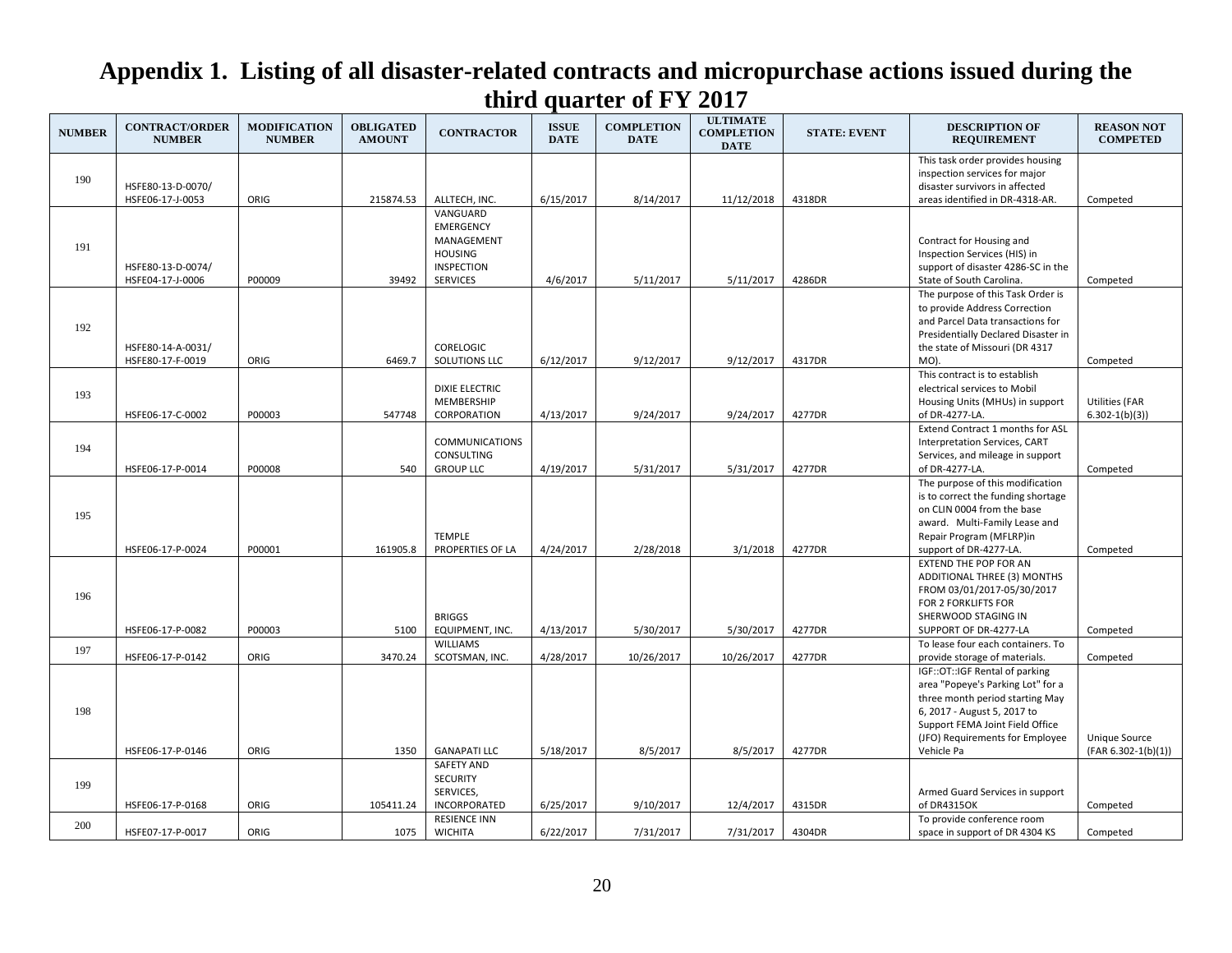| <b>NUMBER</b> | <b>CONTRACT/ORDER</b><br><b>NUMBER</b> | <b>MODIFICATION</b><br><b>NUMBER</b> | <b>OBLIGATED</b><br><b>AMOUNT</b> | <b>CONTRACTOR</b>                                                                                    | <b>ISSUE</b><br><b>DATE</b> | <b>COMPLETION</b><br><b>DATE</b> | <b>ULTIMATE</b><br><b>COMPLETION</b><br><b>DATE</b> | <b>STATE: EVENT</b> | <b>DESCRIPTION OF</b><br><b>REQUIREMENT</b>                                                                                                                                                                               | <b>REASON NOT</b><br><b>COMPETED</b>       |
|---------------|----------------------------------------|--------------------------------------|-----------------------------------|------------------------------------------------------------------------------------------------------|-----------------------------|----------------------------------|-----------------------------------------------------|---------------------|---------------------------------------------------------------------------------------------------------------------------------------------------------------------------------------------------------------------------|--------------------------------------------|
| 190           | HSFE80-13-D-0070/                      |                                      |                                   |                                                                                                      |                             |                                  |                                                     |                     | This task order provides housing<br>inspection services for major<br>disaster survivors in affected                                                                                                                       |                                            |
|               | HSFE06-17-J-0053                       | ORIG                                 | 215874.53                         | ALLTECH, INC.                                                                                        | 6/15/2017                   | 8/14/2017                        | 11/12/2018                                          | 4318DR              | areas identified in DR-4318-AR.                                                                                                                                                                                           | Competed                                   |
| 191           | HSFE80-13-D-0074/<br>HSFE04-17-J-0006  | P00009                               | 39492                             | VANGUARD<br><b>EMERGENCY</b><br>MANAGEMENT<br><b>HOUSING</b><br><b>INSPECTION</b><br><b>SERVICES</b> | 4/6/2017                    | 5/11/2017                        | 5/11/2017                                           | 4286DR              | Contract for Housing and<br>Inspection Services (HIS) in<br>support of disaster 4286-SC in the<br>State of South Carolina.                                                                                                | Competed                                   |
| 192           | HSFE80-14-A-0031/<br>HSFE80-17-F-0019  | ORIG                                 | 6469.7                            | CORELOGIC<br>SOLUTIONS LLC                                                                           | 6/12/2017                   | 9/12/2017                        | 9/12/2017                                           | 4317DR              | The purpose of this Task Order is<br>to provide Address Correction<br>and Parcel Data transactions for<br>Presidentially Declared Disaster in<br>the state of Missouri (DR 4317<br>MO).                                   | Competed                                   |
| 193           | HSFE06-17-C-0002                       | P00003                               | 547748                            | <b>DIXIE ELECTRIC</b><br>MEMBERSHIP<br>CORPORATION                                                   | 4/13/2017                   | 9/24/2017                        | 9/24/2017                                           | 4277DR              | This contract is to establish<br>electrical services to Mobil<br>Housing Units (MHUs) in support<br>of DR-4277-LA.                                                                                                        | <b>Utilities (FAR</b><br>$6.302 - 1(b)(3)$ |
| 194           | HSFE06-17-P-0014                       | P00008                               | 540                               | <b>COMMUNICATIONS</b><br>CONSULTING<br><b>GROUP LLC</b>                                              | 4/19/2017                   | 5/31/2017                        | 5/31/2017                                           | 4277DR              | Extend Contract 1 months for ASL<br>Interpretation Services, CART<br>Services, and mileage in support<br>of DR-4277-LA.                                                                                                   | Competed                                   |
| 195           | HSFE06-17-P-0024                       | P00001                               | 161905.8                          | <b>TEMPLE</b><br>PROPERTIES OF LA                                                                    | 4/24/2017                   | 2/28/2018                        | 3/1/2018                                            | 4277DR              | The purpose of this modification<br>is to correct the funding shortage<br>on CLIN 0004 from the base<br>award. Multi-Family Lease and<br>Repair Program (MFLRP)in<br>support of DR-4277-LA.                               | Competed                                   |
| 196           | HSFE06-17-P-0082                       | P00003                               | 5100                              | <b>BRIGGS</b><br>EQUIPMENT, INC.                                                                     | 4/13/2017                   | 5/30/2017                        | 5/30/2017                                           | 4277DR              | <b>EXTEND THE POP FOR AN</b><br>ADDITIONAL THREE (3) MONTHS<br>FROM 03/01/2017-05/30/2017<br>FOR 2 FORKLIFTS FOR<br>SHERWOOD STAGING IN<br>SUPPORT OF DR-4277-LA                                                          | Competed                                   |
| 197           | HSFE06-17-P-0142                       | ORIG                                 | 3470.24                           | <b>WILLIAMS</b><br>SCOTSMAN, INC.                                                                    | 4/28/2017                   | 10/26/2017                       | 10/26/2017                                          | 4277DR              | To lease four each containers. To<br>provide storage of materials.                                                                                                                                                        | Competed                                   |
| 198           | HSFE06-17-P-0146                       | ORIG                                 | 1350                              | <b>GANAPATI LLC</b>                                                                                  | 5/18/2017                   | 8/5/2017                         | 8/5/2017                                            | 4277DR              | IGF::OT::IGF Rental of parking<br>area "Popeye's Parking Lot" for a<br>three month period starting May<br>6, 2017 - August 5, 2017 to<br>Support FEMA Joint Field Office<br>(JFO) Requirements for Employee<br>Vehicle Pa | Unique Source<br>$(FAR 6.302-1(b)(1))$     |
| 199           |                                        |                                      |                                   | <b>SAFETY AND</b><br><b>SECURITY</b><br>SERVICES,                                                    |                             |                                  |                                                     |                     | Armed Guard Services in support                                                                                                                                                                                           |                                            |
|               | HSFE06-17-P-0168                       | ORIG                                 | 105411.24                         | INCORPORATED                                                                                         | 6/25/2017                   | 9/10/2017                        | 12/4/2017                                           | 4315DR              | of DR4315OK                                                                                                                                                                                                               | Competed                                   |
| 200           | HSFE07-17-P-0017                       | ORIG                                 | 1075                              | <b>RESIENCE INN</b><br><b>WICHITA</b>                                                                | 6/22/2017                   | 7/31/2017                        | 7/31/2017                                           | 4304DR              | To provide conference room<br>space in support of DR 4304 KS                                                                                                                                                              | Competed                                   |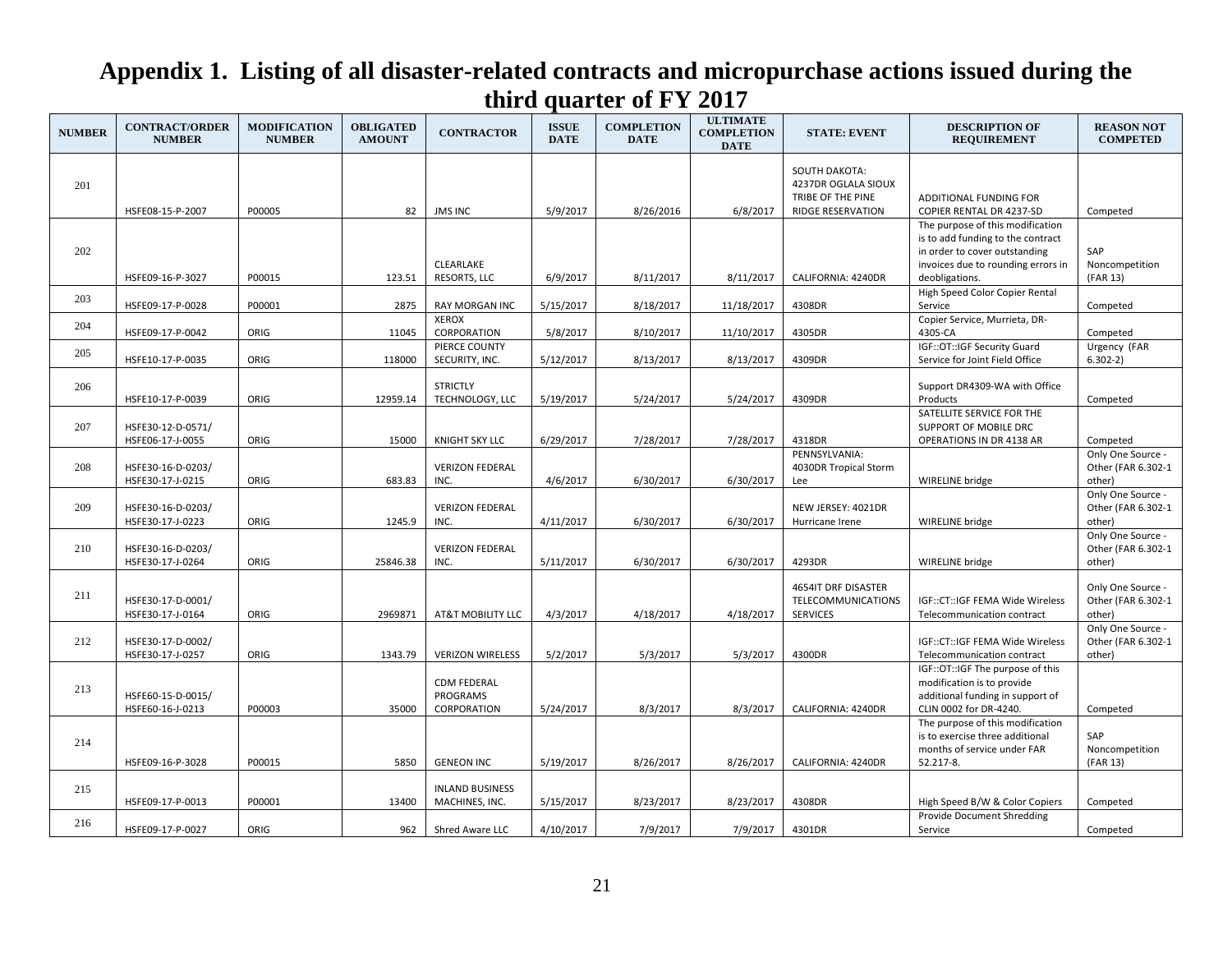| <b>NUMBER</b> | <b>CONTRACT/ORDER</b><br><b>NUMBER</b> | <b>MODIFICATION</b><br><b>NUMBER</b> | <b>OBLIGATED</b><br><b>AMOUNT</b> | <b>CONTRACTOR</b>                             | <b>ISSUE</b><br><b>DATE</b> | <b>COMPLETION</b><br><b>DATE</b> | <b>ULTIMATE</b><br><b>COMPLETION</b><br><b>DATE</b> | <b>STATE: EVENT</b>                                              | <b>DESCRIPTION OF</b><br><b>REQUIREMENT</b>                                                                                                                    | <b>REASON NOT</b><br><b>COMPETED</b>              |
|---------------|----------------------------------------|--------------------------------------|-----------------------------------|-----------------------------------------------|-----------------------------|----------------------------------|-----------------------------------------------------|------------------------------------------------------------------|----------------------------------------------------------------------------------------------------------------------------------------------------------------|---------------------------------------------------|
| 201           |                                        |                                      |                                   |                                               |                             |                                  |                                                     | <b>SOUTH DAKOTA:</b><br>4237DR OGLALA SIOUX<br>TRIBE OF THE PINE | ADDITIONAL FUNDING FOR                                                                                                                                         |                                                   |
|               | HSFE08-15-P-2007                       | P00005                               | 82                                | <b>JMS INC</b>                                | 5/9/2017                    | 8/26/2016                        | 6/8/2017                                            | <b>RIDGE RESERVATION</b>                                         | COPIER RENTAL DR 4237-SD                                                                                                                                       | Competed                                          |
| 202           | HSFE09-16-P-3027                       | P00015                               | 123.51                            | CLEARLAKE<br>RESORTS, LLC                     | 6/9/2017                    | 8/11/2017                        | 8/11/2017                                           | CALIFORNIA: 4240DR                                               | The purpose of this modification<br>is to add funding to the contract<br>in order to cover outstanding<br>invoices due to rounding errors in<br>deobligations. | SAP<br>Noncompetition<br>(FAR 13)                 |
|               |                                        |                                      |                                   |                                               |                             |                                  |                                                     |                                                                  | High Speed Color Copier Rental                                                                                                                                 |                                                   |
| 203           | HSFE09-17-P-0028                       | P00001                               | 2875                              | <b>RAY MORGAN INC</b>                         | 5/15/2017                   | 8/18/2017                        | 11/18/2017                                          | 4308DR                                                           | Service                                                                                                                                                        | Competed                                          |
| 204           |                                        |                                      |                                   | <b>XEROX</b>                                  |                             |                                  |                                                     |                                                                  | Copier Service, Murrieta, DR-                                                                                                                                  |                                                   |
|               | HSFE09-17-P-0042                       | ORIG                                 | 11045                             | CORPORATION<br>PIERCE COUNTY                  | 5/8/2017                    | 8/10/2017                        | 11/10/2017                                          | 4305DR                                                           | 4305-CA<br>IGF::OT::IGF Security Guard                                                                                                                         | Competed<br>Urgency (FAR                          |
| 205           | HSFE10-17-P-0035                       | ORIG                                 | 118000                            | SECURITY, INC.                                | 5/12/2017                   | 8/13/2017                        | 8/13/2017                                           | 4309DR                                                           | Service for Joint Field Office                                                                                                                                 | $6.302-2)$                                        |
| 206           | HSFE10-17-P-0039                       | ORIG                                 | 12959.14                          | <b>STRICTLY</b><br>TECHNOLOGY, LLC            | 5/19/2017                   | 5/24/2017                        | 5/24/2017                                           | 4309DR                                                           | Support DR4309-WA with Office<br>Products                                                                                                                      | Competed                                          |
| 207           | HSFE30-12-D-0571/<br>HSFE06-17-J-0055  | ORIG                                 | 15000                             | <b>KNIGHT SKY LLC</b>                         | 6/29/2017                   | 7/28/2017                        | 7/28/2017                                           | 4318DR                                                           | SATELLITE SERVICE FOR THE<br>SUPPORT OF MOBILE DRC<br>OPERATIONS IN DR 4138 AR                                                                                 | Competed                                          |
| 208           | HSFE30-16-D-0203/<br>HSFE30-17-J-0215  | ORIG                                 | 683.83                            | <b>VERIZON FEDERAL</b><br>INC.                | 4/6/2017                    | 6/30/2017                        | 6/30/2017                                           | PENNSYLVANIA:<br>4030DR Tropical Storm<br>Lee                    | WIRELINE bridge                                                                                                                                                | Only One Source -<br>Other (FAR 6.302-1<br>other) |
| 209           | HSFE30-16-D-0203/<br>HSFE30-17-J-0223  | ORIG                                 | 1245.9                            | <b>VERIZON FEDERAL</b><br>INC.                | 4/11/2017                   | 6/30/2017                        | 6/30/2017                                           | NEW JERSEY: 4021DR<br>Hurricane Irene                            | WIRELINE bridge                                                                                                                                                | Only One Source -<br>Other (FAR 6.302-1<br>other) |
| 210           | HSFE30-16-D-0203/<br>HSFE30-17-J-0264  | ORIG                                 | 25846.38                          | <b>VERIZON FEDERAL</b><br>INC.                | 5/11/2017                   | 6/30/2017                        | 6/30/2017                                           | 4293DR                                                           | WIRELINE bridge                                                                                                                                                | Only One Source -<br>Other (FAR 6.302-1<br>other) |
| 211           | HSFE30-17-D-0001/<br>HSFE30-17-J-0164  | ORIG                                 | 2969871                           | AT&T MOBILITY LLC                             | 4/3/2017                    | 4/18/2017                        | 4/18/2017                                           | 4654IT DRF DISASTER<br>TELECOMMUNICATIONS<br><b>SERVICES</b>     | IGF::CT::IGF FEMA Wide Wireless<br>Telecommunication contract                                                                                                  | Only One Source -<br>Other (FAR 6.302-1<br>other) |
| 212           | HSFE30-17-D-0002/<br>HSFE30-17-J-0257  | ORIG                                 | 1343.79                           | <b>VERIZON WIRELESS</b>                       | 5/2/2017                    | 5/3/2017                         | 5/3/2017                                            | 4300DR                                                           | IGF::CT::IGF FEMA Wide Wireless<br>Telecommunication contract                                                                                                  | Only One Source -<br>Other (FAR 6.302-1<br>other) |
| 213           | HSFE60-15-D-0015/<br>HSFE60-16-J-0213  | P00003                               | 35000                             | <b>CDM FEDERAL</b><br>PROGRAMS<br>CORPORATION | 5/24/2017                   | 8/3/2017                         | 8/3/2017                                            | CALIFORNIA: 4240DR                                               | IGF::OT::IGF The purpose of this<br>modification is to provide<br>additional funding in support of<br>CLIN 0002 for DR-4240.                                   | Competed                                          |
| 214           | HSFE09-16-P-3028                       | P00015                               | 5850                              | <b>GENEON INC</b>                             | 5/19/2017                   | 8/26/2017                        | 8/26/2017                                           | CALIFORNIA: 4240DR                                               | The purpose of this modification<br>is to exercise three additional<br>months of service under FAR<br>52.217-8.                                                | SAP<br>Noncompetition<br>(FAR 13)                 |
| 215           | HSFE09-17-P-0013                       | P00001                               | 13400                             | <b>INLAND BUSINESS</b><br>MACHINES, INC.      | 5/15/2017                   | 8/23/2017                        | 8/23/2017                                           | 4308DR                                                           | High Speed B/W & Color Copiers                                                                                                                                 | Competed                                          |
| 216           | HSFE09-17-P-0027                       | ORIG                                 | 962                               | Shred Aware LLC                               | 4/10/2017                   | 7/9/2017                         | 7/9/2017                                            | 4301DR                                                           | <b>Provide Document Shredding</b><br>Service                                                                                                                   | Competed                                          |
|               |                                        |                                      |                                   |                                               |                             |                                  |                                                     |                                                                  |                                                                                                                                                                |                                                   |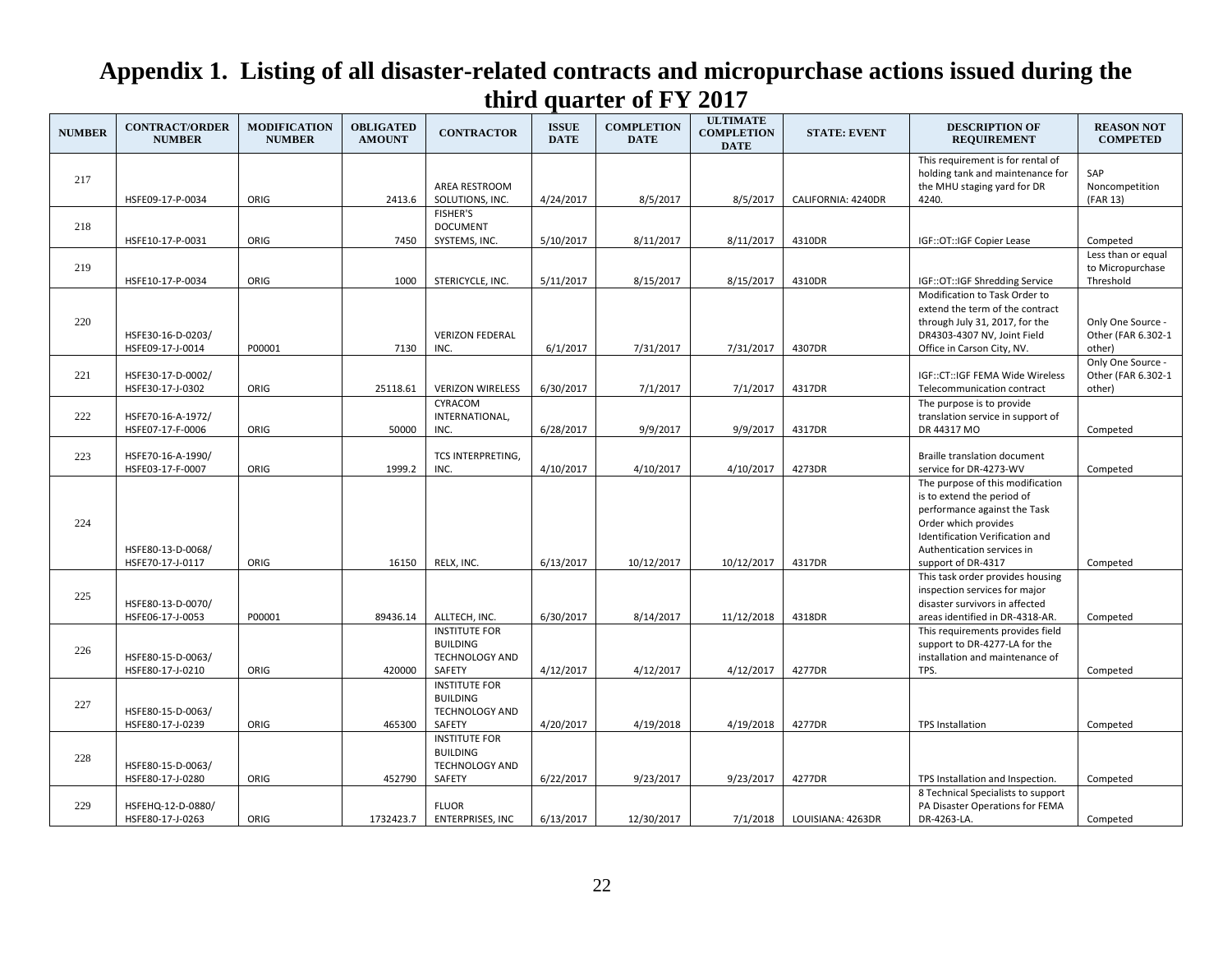| <b>NUMBER</b> | <b>CONTRACT/ORDER</b><br><b>NUMBER</b> | <b>MODIFICATION</b><br><b>NUMBER</b> | <b>OBLIGATED</b><br><b>AMOUNT</b> | <b>CONTRACTOR</b>                                                          | <b>ISSUE</b><br><b>DATE</b> | <b>COMPLETION</b><br><b>DATE</b> | <b>ULTIMATE</b><br><b>COMPLETION</b><br><b>DATE</b> | <b>STATE: EVENT</b> | <b>DESCRIPTION OF</b><br><b>REQUIREMENT</b>                                                                                                                                                                   | <b>REASON NOT</b><br><b>COMPETED</b>              |
|---------------|----------------------------------------|--------------------------------------|-----------------------------------|----------------------------------------------------------------------------|-----------------------------|----------------------------------|-----------------------------------------------------|---------------------|---------------------------------------------------------------------------------------------------------------------------------------------------------------------------------------------------------------|---------------------------------------------------|
| 217           | HSFE09-17-P-0034                       | ORIG                                 | 2413.6                            | AREA RESTROOM<br>SOLUTIONS, INC.                                           | 4/24/2017                   | 8/5/2017                         | 8/5/2017                                            | CALIFORNIA: 4240DR  | This requirement is for rental of<br>holding tank and maintenance for<br>the MHU staging yard for DR<br>4240.                                                                                                 | SAP<br>Noncompetition<br>(FAR 13)                 |
| 218           |                                        |                                      |                                   | <b>FISHER'S</b><br><b>DOCUMENT</b>                                         |                             |                                  |                                                     |                     |                                                                                                                                                                                                               |                                                   |
|               | HSFE10-17-P-0031                       | ORIG                                 | 7450                              | SYSTEMS, INC.                                                              | 5/10/2017                   | 8/11/2017                        | 8/11/2017                                           | 4310DR              | IGF::OT::IGF Copier Lease                                                                                                                                                                                     | Competed<br>Less than or equal                    |
| 219           | HSFE10-17-P-0034                       | ORIG                                 | 1000                              | STERICYCLE, INC.                                                           | 5/11/2017                   | 8/15/2017                        | 8/15/2017                                           | 4310DR              | IGF::OT::IGF Shredding Service                                                                                                                                                                                | to Micropurchase<br>Threshold                     |
| 220           | HSFE30-16-D-0203/<br>HSFE09-17-J-0014  | P00001                               | 7130                              | <b>VERIZON FEDERAL</b><br>INC.                                             | 6/1/2017                    | 7/31/2017                        | 7/31/2017                                           | 4307DR              | Modification to Task Order to<br>extend the term of the contract<br>through July 31, 2017, for the<br>DR4303-4307 NV, Joint Field<br>Office in Carson City, NV.                                               | Only One Source -<br>Other (FAR 6.302-1<br>other) |
| 221           | HSFE30-17-D-0002/<br>HSFE30-17-J-0302  | ORIG                                 | 25118.61                          | <b>VERIZON WIRELESS</b>                                                    | 6/30/2017                   | 7/1/2017                         | 7/1/2017                                            | 4317DR              | IGF::CT::IGF FEMA Wide Wireless<br>Telecommunication contract                                                                                                                                                 | Only One Source -<br>Other (FAR 6.302-1<br>other) |
| 222           | HSFE70-16-A-1972/<br>HSFE07-17-F-0006  | ORIG                                 | 50000                             | CYRACOM<br>INTERNATIONAL,<br>INC.                                          | 6/28/2017                   | 9/9/2017                         | 9/9/2017                                            | 4317DR              | The purpose is to provide<br>translation service in support of<br>DR 44317 MO                                                                                                                                 | Competed                                          |
| 223           | HSFE70-16-A-1990/<br>HSFE03-17-F-0007  | ORIG                                 | 1999.2                            | TCS INTERPRETING,<br>INC.                                                  | 4/10/2017                   | 4/10/2017                        | 4/10/2017                                           | 4273DR              | Braille translation document<br>service for DR-4273-WV                                                                                                                                                        | Competed                                          |
| 224           | HSFE80-13-D-0068/<br>HSFE70-17-J-0117  | ORIG                                 | 16150                             | RELX, INC.                                                                 | 6/13/2017                   | 10/12/2017                       | 10/12/2017                                          | 4317DR              | The purpose of this modification<br>is to extend the period of<br>performance against the Task<br>Order which provides<br>Identification Verification and<br>Authentication services in<br>support of DR-4317 | Competed                                          |
| 225           | HSFE80-13-D-0070/<br>HSFE06-17-J-0053  | P00001                               | 89436.14                          | ALLTECH, INC.                                                              | 6/30/2017                   | 8/14/2017                        | 11/12/2018                                          | 4318DR              | This task order provides housing<br>inspection services for major<br>disaster survivors in affected<br>areas identified in DR-4318-AR.                                                                        | Competed                                          |
| 226           | HSFE80-15-D-0063/<br>HSFE80-17-J-0210  | ORIG                                 | 420000                            | <b>INSTITUTE FOR</b><br><b>BUILDING</b><br>TECHNOLOGY AND<br>SAFETY        | 4/12/2017                   | 4/12/2017                        | 4/12/2017                                           | 4277DR              | This requirements provides field<br>support to DR-4277-LA for the<br>installation and maintenance of<br>TPS.                                                                                                  | Competed                                          |
| 227           | HSFE80-15-D-0063/<br>HSFE80-17-J-0239  | ORIG                                 | 465300                            | <b>INSTITUTE FOR</b><br><b>BUILDING</b><br><b>TECHNOLOGY AND</b><br>SAFETY | 4/20/2017                   | 4/19/2018                        | 4/19/2018                                           | 4277DR              | <b>TPS Installation</b>                                                                                                                                                                                       | Competed                                          |
| 228           | HSFE80-15-D-0063/<br>HSFE80-17-J-0280  | ORIG                                 | 452790                            | <b>INSTITUTE FOR</b><br><b>BUILDING</b><br><b>TECHNOLOGY AND</b><br>SAFETY | 6/22/2017                   | 9/23/2017                        | 9/23/2017                                           | 4277DR              | TPS Installation and Inspection.                                                                                                                                                                              | Competed                                          |
| 229           | HSFEHQ-12-D-0880/<br>HSFE80-17-J-0263  | ORIG                                 | 1732423.7                         | <b>FLUOR</b><br><b>ENTERPRISES, INC</b>                                    | 6/13/2017                   | 12/30/2017                       | 7/1/2018                                            | LOUISIANA: 4263DR   | 8 Technical Specialists to support<br>PA Disaster Operations for FEMA<br>DR-4263-LA.                                                                                                                          | Competed                                          |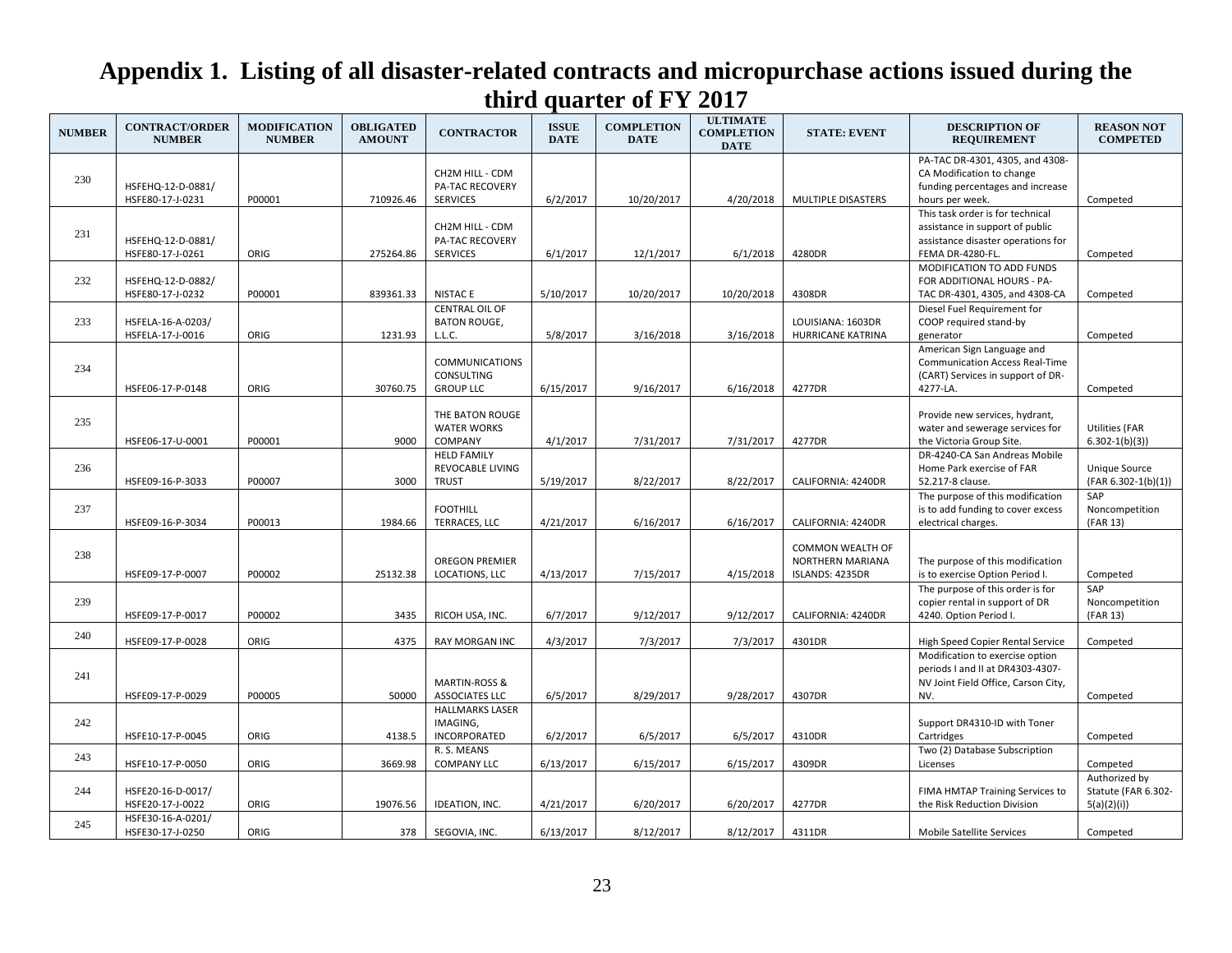| <b>NUMBER</b> | <b>CONTRACT/ORDER</b><br><b>NUMBER</b> | <b>MODIFICATION</b><br><b>NUMBER</b> | <b>OBLIGATED</b><br><b>AMOUNT</b> | <b>CONTRACTOR</b>                                             | <b>ISSUE</b><br><b>DATE</b> | <b>COMPLETION</b><br><b>DATE</b> | <b>ULTIMATE</b><br><b>COMPLETION</b><br><b>DATE</b> | <b>STATE: EVENT</b>                                                   | <b>DESCRIPTION OF</b><br><b>REQUIREMENT</b>                                                                                   | <b>REASON NOT</b><br><b>COMPETED</b>               |
|---------------|----------------------------------------|--------------------------------------|-----------------------------------|---------------------------------------------------------------|-----------------------------|----------------------------------|-----------------------------------------------------|-----------------------------------------------------------------------|-------------------------------------------------------------------------------------------------------------------------------|----------------------------------------------------|
| 230           | HSFEHQ-12-D-0881/<br>HSFE80-17-J-0231  | P00001                               | 710926.46                         | CH2M HILL - CDM<br><b>PA-TAC RECOVERY</b><br><b>SERVICES</b>  | 6/2/2017                    | 10/20/2017                       | 4/20/2018                                           | MULTIPLE DISASTERS                                                    | PA-TAC DR-4301, 4305, and 4308-<br>CA Modification to change<br>funding percentages and increase<br>hours per week.           | Competed                                           |
| 231           | HSFEHQ-12-D-0881/<br>HSFE80-17-J-0261  | ORIG                                 | 275264.86                         | CH2M HILL - CDM<br><b>PA-TAC RECOVERY</b><br><b>SERVICES</b>  | 6/1/2017                    | 12/1/2017                        | 6/1/2018                                            | 4280DR                                                                | This task order is for technical<br>assistance in support of public<br>assistance disaster operations for<br>FEMA DR-4280-FL. | Competed                                           |
| 232           | HSFEHQ-12-D-0882/<br>HSFE80-17-J-0232  | P00001                               | 839361.33                         | <b>NISTACE</b>                                                | 5/10/2017                   | 10/20/2017                       | 10/20/2018                                          | 4308DR                                                                | MODIFICATION TO ADD FUNDS<br>FOR ADDITIONAL HOURS - PA-<br>TAC DR-4301, 4305, and 4308-CA                                     | Competed                                           |
| 233           | HSFELA-16-A-0203/<br>HSFELA-17-J-0016  | ORIG                                 | 1231.93                           | <b>CENTRAL OIL OF</b><br><b>BATON ROUGE,</b><br>L.L.C.        | 5/8/2017                    | 3/16/2018                        | 3/16/2018                                           | LOUISIANA: 1603DR<br>HURRICANE KATRINA                                | Diesel Fuel Requirement for<br>COOP required stand-by<br>generator                                                            | Competed                                           |
| 234           | HSFE06-17-P-0148                       | ORIG                                 | 30760.75                          | <b>COMMUNICATIONS</b><br>CONSULTING<br><b>GROUP LLC</b>       | 6/15/2017                   | 9/16/2017                        | 6/16/2018                                           | 4277DR                                                                | American Sign Language and<br><b>Communication Access Real-Time</b><br>(CART) Services in support of DR-<br>4277-LA.          | Competed                                           |
| 235           | HSFE06-17-U-0001                       | P00001                               | 9000                              | THE BATON ROUGE<br><b>WATER WORKS</b><br>COMPANY              | 4/1/2017                    | 7/31/2017                        | 7/31/2017                                           | 4277DR                                                                | Provide new services, hydrant,<br>water and sewerage services for<br>the Victoria Group Site.                                 | <b>Utilities (FAR</b><br>$6.302 - 1(b)(3)$         |
| 236           | HSFE09-16-P-3033                       | P00007                               | 3000                              | <b>HELD FAMILY</b><br><b>REVOCABLE LIVING</b><br><b>TRUST</b> | 5/19/2017                   | 8/22/2017                        | 8/22/2017                                           | CALIFORNIA: 4240DR                                                    | DR-4240-CA San Andreas Mobile<br>Home Park exercise of FAR<br>52.217-8 clause.                                                | <b>Unique Source</b><br>$(FAR 6.302-1(b)(1))$      |
| 237           | HSFE09-16-P-3034                       | P00013                               | 1984.66                           | <b>FOOTHILL</b><br>TERRACES, LLC                              | 4/21/2017                   | 6/16/2017                        | 6/16/2017                                           | CALIFORNIA: 4240DR                                                    | The purpose of this modification<br>is to add funding to cover excess<br>electrical charges.                                  | SAP<br>Noncompetition<br>(FAR 13)                  |
| 238           | HSFE09-17-P-0007                       | P00002                               | 25132.38                          | <b>OREGON PREMIER</b><br>LOCATIONS, LLC                       | 4/13/2017                   | 7/15/2017                        | 4/15/2018                                           | <b>COMMON WEALTH OF</b><br><b>NORTHERN MARIANA</b><br>ISLANDS: 4235DR | The purpose of this modification<br>is to exercise Option Period I.                                                           | Competed                                           |
| 239           | HSFE09-17-P-0017                       | P00002                               | 3435                              | RICOH USA, INC.                                               | 6/7/2017                    | 9/12/2017                        | 9/12/2017                                           | CALIFORNIA: 4240DR                                                    | The purpose of this order is for<br>copier rental in support of DR<br>4240. Option Period I.                                  | SAP<br>Noncompetition<br>(FAR 13)                  |
| 240           | HSFE09-17-P-0028                       | ORIG                                 | 4375                              | <b>RAY MORGAN INC</b>                                         | 4/3/2017                    | 7/3/2017                         | 7/3/2017                                            | 4301DR                                                                | High Speed Copier Rental Service                                                                                              | Competed                                           |
| 241           | HSFE09-17-P-0029                       | P00005                               | 50000                             | <b>MARTIN-ROSS &amp;</b><br><b>ASSOCIATES LLC</b>             | 6/5/2017                    | 8/29/2017                        | 9/28/2017                                           | 4307DR                                                                | Modification to exercise option<br>periods I and II at DR4303-4307-<br>NV Joint Field Office, Carson City,<br>NV.             | Competed                                           |
| 242           | HSFE10-17-P-0045                       | ORIG                                 | 4138.5                            | <b>HALLMARKS LASER</b><br>IMAGING,<br><b>INCORPORATED</b>     | 6/2/2017                    | 6/5/2017                         | 6/5/2017                                            | 4310DR                                                                | Support DR4310-ID with Toner<br>Cartridges                                                                                    | Competed                                           |
| 243           | HSFE10-17-P-0050                       | ORIG                                 | 3669.98                           | R. S. MEANS<br><b>COMPANY LLC</b>                             | 6/13/2017                   | 6/15/2017                        | 6/15/2017                                           | 4309DR                                                                | Two (2) Database Subscription<br>Licenses                                                                                     | Competed                                           |
| 244           | HSFE20-16-D-0017/<br>HSFE20-17-J-0022  | ORIG                                 | 19076.56                          | IDEATION, INC.                                                | 4/21/2017                   | 6/20/2017                        | 6/20/2017                                           | 4277DR                                                                | FIMA HMTAP Training Services to<br>the Risk Reduction Division                                                                | Authorized by<br>Statute (FAR 6.302-<br>5(a)(2)(i) |
| 245           | HSFE30-16-A-0201/<br>HSFE30-17-J-0250  | ORIG                                 | 378                               | SEGOVIA, INC.                                                 | 6/13/2017                   | 8/12/2017                        | 8/12/2017                                           | 4311DR                                                                | Mobile Satellite Services                                                                                                     | Competed                                           |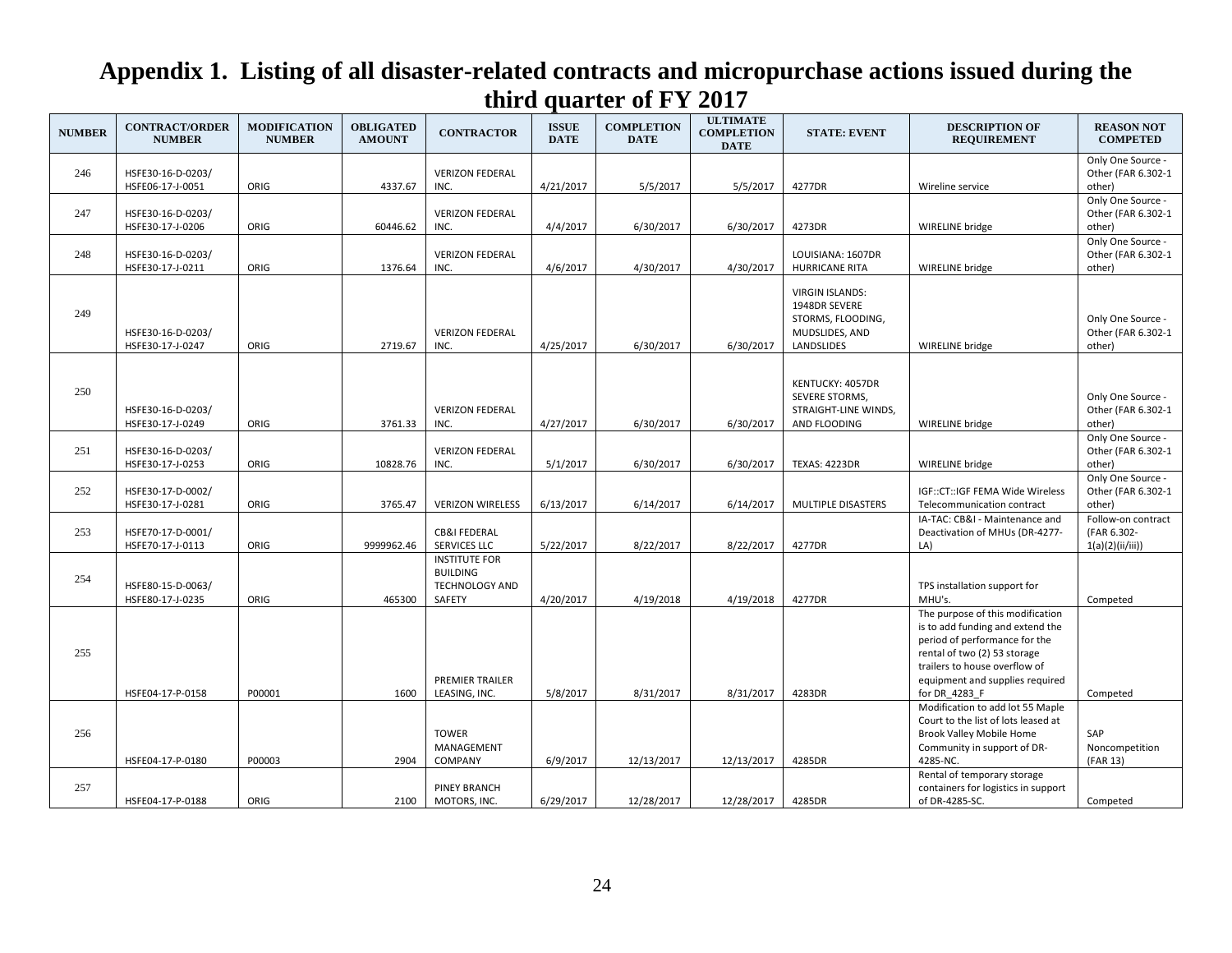| <b>NUMBER</b> | <b>CONTRACT/ORDER</b><br><b>NUMBER</b> | <b>MODIFICATION</b><br><b>NUMBER</b> | <b>OBLIGATED</b><br><b>AMOUNT</b> | <b>CONTRACTOR</b>                                                   | <b>ISSUE</b><br><b>DATE</b> | <b>COMPLETION</b><br><b>DATE</b> | <b>ULTIMATE</b><br><b>COMPLETION</b><br><b>DATE</b> | <b>STATE: EVENT</b>                                                                          | <b>DESCRIPTION OF</b><br><b>REQUIREMENT</b>                                                                                                                                                                                | <b>REASON NOT</b><br><b>COMPETED</b>                  |
|---------------|----------------------------------------|--------------------------------------|-----------------------------------|---------------------------------------------------------------------|-----------------------------|----------------------------------|-----------------------------------------------------|----------------------------------------------------------------------------------------------|----------------------------------------------------------------------------------------------------------------------------------------------------------------------------------------------------------------------------|-------------------------------------------------------|
| 246           | HSFE30-16-D-0203/<br>HSFE06-17-J-0051  | ORIG                                 | 4337.67                           | <b>VERIZON FEDERAL</b><br>INC.                                      | 4/21/2017                   | 5/5/2017                         | 5/5/2017                                            | 4277DR                                                                                       | Wireline service                                                                                                                                                                                                           | Only One Source -<br>Other (FAR 6.302-1<br>other)     |
| 247           | HSFE30-16-D-0203/<br>HSFE30-17-J-0206  | ORIG                                 | 60446.62                          | <b>VERIZON FEDERAL</b><br>INC.                                      | 4/4/2017                    | 6/30/2017                        | 6/30/2017                                           | 4273DR                                                                                       | WIRELINE bridge                                                                                                                                                                                                            | Only One Source -<br>Other (FAR 6.302-1<br>other)     |
| 248           | HSFE30-16-D-0203/<br>HSFE30-17-J-0211  | ORIG                                 | 1376.64                           | <b>VERIZON FEDERAL</b><br>INC.                                      | 4/6/2017                    | 4/30/2017                        | 4/30/2017                                           | LOUISIANA: 1607DR<br><b>HURRICANE RITA</b>                                                   | WIRELINE bridge                                                                                                                                                                                                            | Only One Source -<br>Other (FAR 6.302-1<br>other)     |
| 249           | HSFE30-16-D-0203/<br>HSFE30-17-J-0247  | ORIG                                 | 2719.67                           | <b>VERIZON FEDERAL</b><br>INC.                                      | 4/25/2017                   | 6/30/2017                        | 6/30/2017                                           | <b>VIRGIN ISLANDS:</b><br>1948DR SEVERE<br>STORMS, FLOODING,<br>MUDSLIDES, AND<br>LANDSLIDES | WIRELINE bridge                                                                                                                                                                                                            | Only One Source -<br>Other (FAR 6.302-1<br>other)     |
| 250           | HSFE30-16-D-0203/<br>HSFE30-17-J-0249  | ORIG                                 | 3761.33                           | <b>VERIZON FEDERAL</b><br>INC.                                      | 4/27/2017                   | 6/30/2017                        | 6/30/2017                                           | KENTUCKY: 4057DR<br>SEVERE STORMS,<br>STRAIGHT-LINE WINDS,<br>AND FLOODING                   | WIRELINE bridge                                                                                                                                                                                                            | Only One Source -<br>Other (FAR 6.302-1<br>other)     |
| 251           | HSFE30-16-D-0203/<br>HSFE30-17-J-0253  | ORIG                                 | 10828.76                          | <b>VERIZON FEDERAL</b><br>INC.                                      | 5/1/2017                    | 6/30/2017                        | 6/30/2017                                           | TEXAS: 4223DR                                                                                | WIRELINE bridge                                                                                                                                                                                                            | Only One Source -<br>Other (FAR 6.302-1<br>other)     |
| 252           | HSFE30-17-D-0002/<br>HSFE30-17-J-0281  | ORIG                                 | 3765.47                           | <b>VERIZON WIRELESS</b>                                             | 6/13/2017                   | 6/14/2017                        | 6/14/2017                                           | MULTIPLE DISASTERS                                                                           | IGF::CT::IGF FEMA Wide Wireless<br>Telecommunication contract                                                                                                                                                              | Only One Source -<br>Other (FAR 6.302-1<br>other)     |
| 253           | HSFE70-17-D-0001/<br>HSFE70-17-J-0113  | ORIG                                 | 9999962.46                        | <b>CB&amp;I FEDERAL</b><br>SERVICES LLC                             | 5/22/2017                   | 8/22/2017                        | 8/22/2017                                           | 4277DR                                                                                       | IA-TAC: CB&I - Maintenance and<br>Deactivation of MHUs (DR-4277-<br>LA)                                                                                                                                                    | Follow-on contract<br>(FAR 6.302-<br>1(a)(2)(ii/iii)) |
| 254           | HSFE80-15-D-0063/<br>HSFE80-17-J-0235  | ORIG                                 | 465300                            | <b>INSTITUTE FOR</b><br><b>BUILDING</b><br>TECHNOLOGY AND<br>SAFETY | 4/20/2017                   | 4/19/2018                        | 4/19/2018                                           | 4277DR                                                                                       | TPS installation support for<br>MHU's.                                                                                                                                                                                     | Competed                                              |
| 255           | HSFE04-17-P-0158                       | P00001                               | 1600                              | PREMIER TRAILER<br>LEASING, INC.                                    | 5/8/2017                    | 8/31/2017                        | 8/31/2017                                           | 4283DR                                                                                       | The purpose of this modification<br>is to add funding and extend the<br>period of performance for the<br>rental of two (2) 53 storage<br>trailers to house overflow of<br>equipment and supplies required<br>for DR 4283 F | Competed                                              |
| 256           | HSFE04-17-P-0180                       | P00003                               | 2904                              | <b>TOWER</b><br>MANAGEMENT<br>COMPANY                               | 6/9/2017                    | 12/13/2017                       | 12/13/2017                                          | 4285DR                                                                                       | Modification to add lot 55 Maple<br>Court to the list of lots leased at<br>Brook Valley Mobile Home<br>Community in support of DR-<br>4285-NC.                                                                             | SAP<br>Noncompetition<br>(FAR 13)                     |
| 257           | HSFE04-17-P-0188                       | ORIG                                 | 2100                              | <b>PINEY BRANCH</b><br>MOTORS, INC.                                 | 6/29/2017                   | 12/28/2017                       | 12/28/2017                                          | 4285DR                                                                                       | Rental of temporary storage<br>containers for logistics in support<br>of DR-4285-SC.                                                                                                                                       | Competed                                              |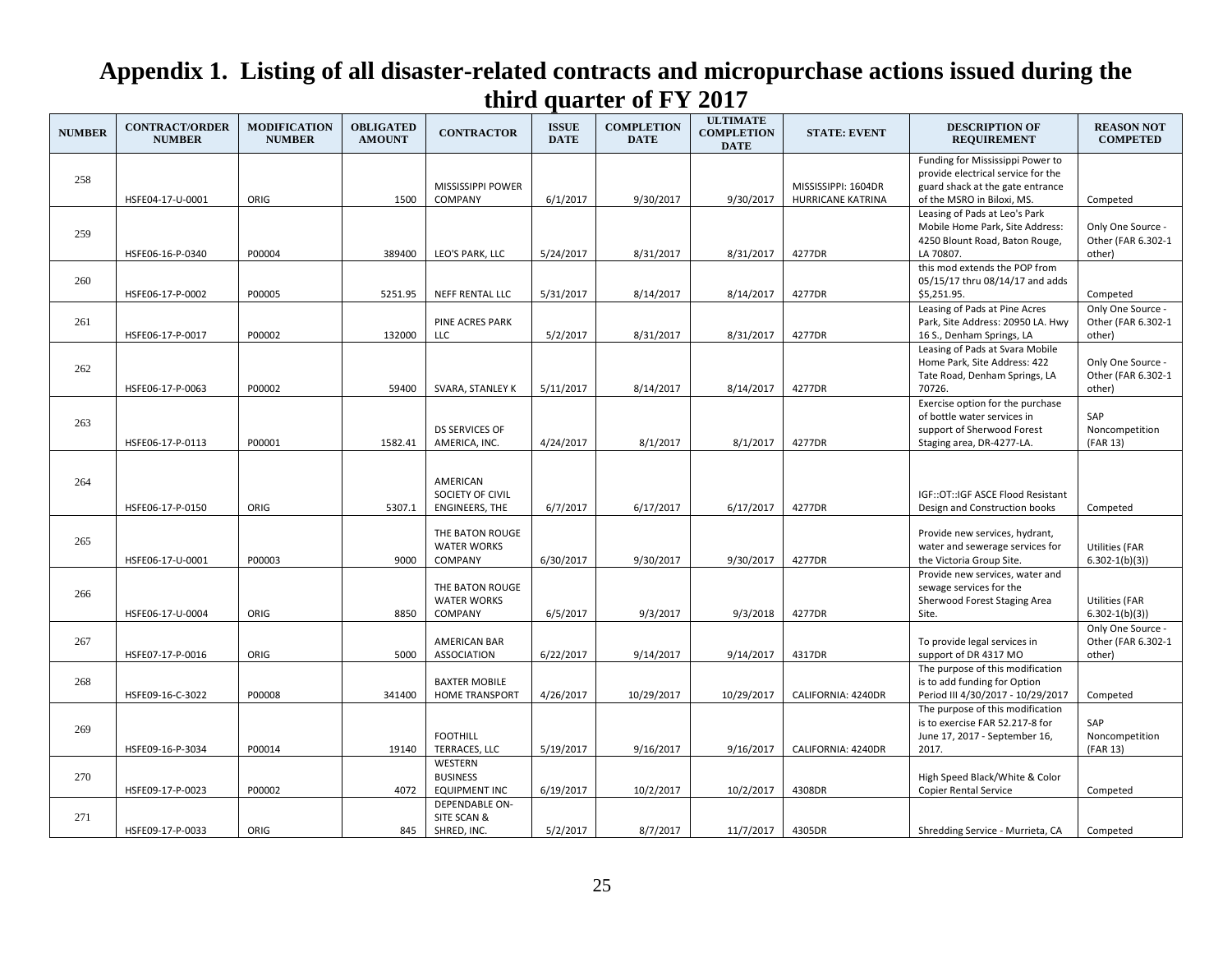| <b>NUMBER</b> | <b>CONTRACT/ORDER</b><br><b>NUMBER</b> | <b>MODIFICATION</b><br><b>NUMBER</b> | <b>OBLIGATED</b><br><b>AMOUNT</b> | <b>CONTRACTOR</b>                     | <b>ISSUE</b><br><b>DATE</b> | <b>COMPLETION</b><br><b>DATE</b> | <b>ULTIMATE</b><br><b>COMPLETION</b><br><b>DATE</b> | <b>STATE: EVENT</b> | <b>DESCRIPTION OF</b><br><b>REQUIREMENT</b>                            | <b>REASON NOT</b><br><b>COMPETED</b>    |
|---------------|----------------------------------------|--------------------------------------|-----------------------------------|---------------------------------------|-----------------------------|----------------------------------|-----------------------------------------------------|---------------------|------------------------------------------------------------------------|-----------------------------------------|
|               |                                        |                                      |                                   |                                       |                             |                                  |                                                     |                     | Funding for Mississippi Power to<br>provide electrical service for the |                                         |
| 258           |                                        |                                      |                                   | <b>MISSISSIPPI POWER</b>              |                             |                                  |                                                     | MISSISSIPPI: 1604DR | guard shack at the gate entrance                                       |                                         |
|               | HSFE04-17-U-0001                       | ORIG                                 | 1500                              | <b>COMPANY</b>                        | 6/1/2017                    | 9/30/2017                        | 9/30/2017                                           | HURRICANE KATRINA   | of the MSRO in Biloxi, MS.                                             | Competed                                |
|               |                                        |                                      |                                   |                                       |                             |                                  |                                                     |                     | Leasing of Pads at Leo's Park                                          |                                         |
| 259           |                                        |                                      |                                   |                                       |                             |                                  |                                                     |                     | Mobile Home Park, Site Address:<br>4250 Blount Road, Baton Rouge,      | Only One Source -<br>Other (FAR 6.302-1 |
|               | HSFE06-16-P-0340                       | P00004                               | 389400                            | LEO'S PARK, LLC                       | 5/24/2017                   | 8/31/2017                        | 8/31/2017                                           | 4277DR              | LA 70807.                                                              | other)                                  |
|               |                                        |                                      |                                   |                                       |                             |                                  |                                                     |                     | this mod extends the POP from                                          |                                         |
| 260           |                                        |                                      |                                   |                                       |                             |                                  |                                                     |                     | 05/15/17 thru 08/14/17 and adds                                        |                                         |
|               | HSFE06-17-P-0002                       | P00005                               | 5251.95                           | <b>NEFF RENTAL LLC</b>                | 5/31/2017                   | 8/14/2017                        | 8/14/2017                                           | 4277DR              | \$5,251.95.                                                            | Competed                                |
| 261           |                                        |                                      |                                   | PINE ACRES PARK                       |                             |                                  |                                                     |                     | Leasing of Pads at Pine Acres<br>Park, Site Address: 20950 LA. Hwy     | Only One Source -<br>Other (FAR 6.302-1 |
|               | HSFE06-17-P-0017                       | P00002                               | 132000                            | LLC                                   | 5/2/2017                    | 8/31/2017                        | 8/31/2017                                           | 4277DR              | 16 S., Denham Springs, LA                                              | other)                                  |
|               |                                        |                                      |                                   |                                       |                             |                                  |                                                     |                     | Leasing of Pads at Svara Mobile                                        |                                         |
| 262           |                                        |                                      |                                   |                                       |                             |                                  |                                                     |                     | Home Park, Site Address: 422                                           | Only One Source -                       |
|               |                                        |                                      |                                   |                                       |                             |                                  |                                                     |                     | Tate Road, Denham Springs, LA                                          | Other (FAR 6.302-1                      |
|               | HSFE06-17-P-0063                       | P00002                               | 59400                             | <b>SVARA, STANLEY K</b>               | 5/11/2017                   | 8/14/2017                        | 8/14/2017                                           | 4277DR              | 70726.                                                                 | other)                                  |
|               |                                        |                                      |                                   |                                       |                             |                                  |                                                     |                     | Exercise option for the purchase<br>of bottle water services in        | SAP                                     |
| 263           |                                        |                                      |                                   | <b>DS SERVICES OF</b>                 |                             |                                  |                                                     |                     | support of Sherwood Forest                                             | Noncompetition                          |
|               | HSFE06-17-P-0113                       | P00001                               | 1582.41                           | AMERICA, INC.                         | 4/24/2017                   | 8/1/2017                         | 8/1/2017                                            | 4277DR              | Staging area, DR-4277-LA.                                              | (FAR 13)                                |
|               |                                        |                                      |                                   |                                       |                             |                                  |                                                     |                     |                                                                        |                                         |
| 264           |                                        |                                      |                                   | AMERICAN                              |                             |                                  |                                                     |                     |                                                                        |                                         |
|               |                                        |                                      |                                   | SOCIETY OF CIVIL                      |                             |                                  |                                                     |                     | IGF::OT::IGF ASCE Flood Resistant                                      |                                         |
|               | HSFE06-17-P-0150                       | ORIG                                 | 5307.1                            | ENGINEERS, THE                        | 6/7/2017                    | 6/17/2017                        | 6/17/2017                                           | 4277DR              | Design and Construction books                                          | Competed                                |
|               |                                        |                                      |                                   |                                       |                             |                                  |                                                     |                     |                                                                        |                                         |
| 265           |                                        |                                      |                                   | THE BATON ROUGE<br><b>WATER WORKS</b> |                             |                                  |                                                     |                     | Provide new services, hydrant,<br>water and sewerage services for      | <b>Utilities (FAR</b>                   |
|               | HSFE06-17-U-0001                       | P00003                               | 9000                              | <b>COMPANY</b>                        | 6/30/2017                   | 9/30/2017                        | 9/30/2017                                           | 4277DR              | the Victoria Group Site.                                               | $6.302 - 1(b)(3)$                       |
|               |                                        |                                      |                                   |                                       |                             |                                  |                                                     |                     | Provide new services, water and                                        |                                         |
| 266           |                                        |                                      |                                   | THE BATON ROUGE                       |                             |                                  |                                                     |                     | sewage services for the                                                |                                         |
|               |                                        |                                      |                                   | <b>WATER WORKS</b>                    |                             |                                  |                                                     |                     | Sherwood Forest Staging Area                                           | Utilities (FAR                          |
|               | HSFE06-17-U-0004                       | ORIG                                 | 8850                              | <b>COMPANY</b>                        | 6/5/2017                    | 9/3/2017                         | 9/3/2018                                            | 4277DR              | Site.                                                                  | $6.302 - 1(b)(3)$                       |
| 267           |                                        |                                      |                                   | <b>AMERICAN BAR</b>                   |                             |                                  |                                                     |                     | To provide legal services in                                           | Only One Source -<br>Other (FAR 6.302-1 |
|               | HSFE07-17-P-0016                       | ORIG                                 | 5000                              | <b>ASSOCIATION</b>                    | 6/22/2017                   | 9/14/2017                        | 9/14/2017                                           | 4317DR              | support of DR 4317 MO                                                  | other)                                  |
|               |                                        |                                      |                                   |                                       |                             |                                  |                                                     |                     | The purpose of this modification                                       |                                         |
| 268           |                                        |                                      |                                   | <b>BAXTER MOBILE</b>                  |                             |                                  |                                                     |                     | is to add funding for Option                                           |                                         |
|               | HSFE09-16-C-3022                       | P00008                               | 341400                            | HOME TRANSPORT                        | 4/26/2017                   | 10/29/2017                       | 10/29/2017                                          | CALIFORNIA: 4240DR  | Period III 4/30/2017 - 10/29/2017                                      | Competed                                |
|               |                                        |                                      |                                   |                                       |                             |                                  |                                                     |                     | The purpose of this modification<br>is to exercise FAR 52.217-8 for    | SAP                                     |
| 269           |                                        |                                      |                                   | <b>FOOTHILL</b>                       |                             |                                  |                                                     |                     | June 17, 2017 - September 16,                                          | Noncompetition                          |
|               | HSFE09-16-P-3034                       | P00014                               | 19140                             | TERRACES, LLC                         | 5/19/2017                   | 9/16/2017                        | 9/16/2017                                           | CALIFORNIA: 4240DR  | 2017.                                                                  | (FAR 13)                                |
|               |                                        |                                      |                                   | WESTERN                               |                             |                                  |                                                     |                     |                                                                        |                                         |
| 270           |                                        |                                      |                                   | <b>BUSINESS</b>                       |                             |                                  |                                                     |                     | High Speed Black/White & Color                                         |                                         |
|               | HSFE09-17-P-0023                       | P00002                               | 4072                              | <b>EQUIPMENT INC</b>                  | 6/19/2017                   | 10/2/2017                        | 10/2/2017                                           | 4308DR              | <b>Copier Rental Service</b>                                           | Competed                                |
| 271           |                                        |                                      |                                   | <b>DEPENDABLE ON-</b><br>SITE SCAN &  |                             |                                  |                                                     |                     |                                                                        |                                         |
|               | HSFE09-17-P-0033                       | ORIG                                 | 845                               | SHRED, INC.                           | 5/2/2017                    | 8/7/2017                         | 11/7/2017                                           | 4305DR              | Shredding Service - Murrieta, CA                                       | Competed                                |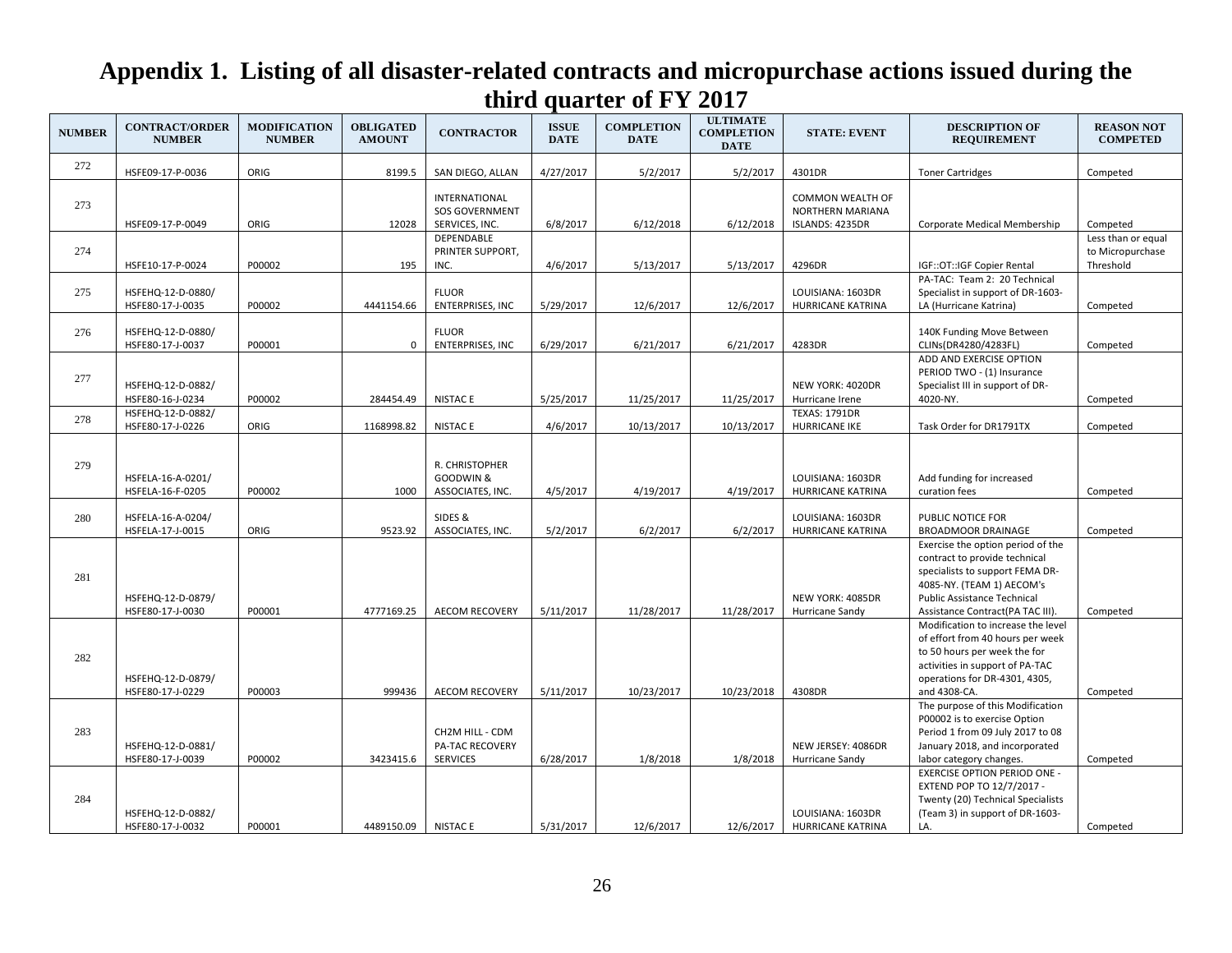| <b>NUMBER</b> | <b>CONTRACT/ORDER</b><br><b>NUMBER</b> | <b>MODIFICATION</b><br><b>NUMBER</b> | <b>OBLIGATED</b><br><b>AMOUNT</b> | <b>CONTRACTOR</b>                                               | <b>ISSUE</b><br><b>DATE</b> | <b>COMPLETION</b><br><b>DATE</b> | <b>ULTIMATE</b><br><b>COMPLETION</b><br><b>DATE</b> | <b>STATE: EVENT</b>                                            | <b>DESCRIPTION OF</b><br><b>REQUIREMENT</b>                                                                                                                                                                  | <b>REASON NOT</b><br><b>COMPETED</b>                |
|---------------|----------------------------------------|--------------------------------------|-----------------------------------|-----------------------------------------------------------------|-----------------------------|----------------------------------|-----------------------------------------------------|----------------------------------------------------------------|--------------------------------------------------------------------------------------------------------------------------------------------------------------------------------------------------------------|-----------------------------------------------------|
| 272           | HSFE09-17-P-0036                       | ORIG                                 | 8199.5                            | SAN DIEGO, ALLAN                                                | 4/27/2017                   | 5/2/2017                         | 5/2/2017                                            | 4301DR                                                         | <b>Toner Cartridges</b>                                                                                                                                                                                      | Competed                                            |
| 273           | HSFE09-17-P-0049                       | ORIG                                 | 12028                             | <b>INTERNATIONAL</b><br><b>SOS GOVERNMENT</b><br>SERVICES, INC. | 6/8/2017                    | 6/12/2018                        | 6/12/2018                                           | <b>COMMON WEALTH OF</b><br>NORTHERN MARIANA<br>ISLANDS: 4235DR | Corporate Medical Membership                                                                                                                                                                                 | Competed                                            |
| 274           | HSFE10-17-P-0024                       | P00002                               | 195                               | <b>DEPENDABLE</b><br>PRINTER SUPPORT,<br>INC.                   | 4/6/2017                    | 5/13/2017                        | 5/13/2017                                           | 4296DR                                                         | IGF::OT::IGF Copier Rental                                                                                                                                                                                   | Less than or equal<br>to Micropurchase<br>Threshold |
| 275           | HSFEHQ-12-D-0880/<br>HSFE80-17-J-0035  | P00002                               | 4441154.66                        | <b>FLUOR</b><br><b>ENTERPRISES, INC</b>                         | 5/29/2017                   | 12/6/2017                        | 12/6/2017                                           | LOUISIANA: 1603DR<br><b>HURRICANE KATRINA</b>                  | PA-TAC: Team 2: 20 Technical<br>Specialist in support of DR-1603-<br>LA (Hurricane Katrina)                                                                                                                  | Competed                                            |
| 276           | HSFEHQ-12-D-0880/<br>HSFE80-17-J-0037  | P00001                               | $\mathbf 0$                       | <b>FLUOR</b><br><b>ENTERPRISES, INC</b>                         | 6/29/2017                   | 6/21/2017                        | 6/21/2017                                           | 4283DR                                                         | 140K Funding Move Between<br>CLINs(DR4280/4283FL)                                                                                                                                                            | Competed                                            |
| 277           | HSFEHQ-12-D-0882/<br>HSFE80-16-J-0234  | P00002                               | 284454.49                         | <b>NISTACE</b>                                                  | 5/25/2017                   | 11/25/2017                       | 11/25/2017                                          | NEW YORK: 4020DR<br>Hurricane Irene                            | ADD AND EXERCISE OPTION<br>PERIOD TWO - (1) Insurance<br>Specialist III in support of DR-<br>4020-NY.                                                                                                        | Competed                                            |
| 278           | HSFEHQ-12-D-0882/<br>HSFE80-17-J-0226  | ORIG                                 | 1168998.82                        | <b>NISTACE</b>                                                  | 4/6/2017                    | 10/13/2017                       | 10/13/2017                                          | <b>TEXAS: 1791DR</b><br><b>HURRICANE IKE</b>                   | Task Order for DR1791TX                                                                                                                                                                                      | Competed                                            |
| 279           | HSFELA-16-A-0201/<br>HSFELA-16-F-0205  | P00002                               | 1000                              | R. CHRISTOPHER<br>GOODWIN &<br>ASSOCIATES, INC.                 | 4/5/2017                    | 4/19/2017                        | 4/19/2017                                           | LOUISIANA: 1603DR<br>HURRICANE KATRINA                         | Add funding for increased<br>curation fees                                                                                                                                                                   | Competed                                            |
| 280           | HSFELA-16-A-0204/<br>HSFELA-17-J-0015  | ORIG                                 | 9523.92                           | SIDES &<br>ASSOCIATES, INC.                                     | 5/2/2017                    | 6/2/2017                         | 6/2/2017                                            | LOUISIANA: 1603DR<br><b>HURRICANE KATRINA</b>                  | PUBLIC NOTICE FOR<br><b>BROADMOOR DRAINAGE</b>                                                                                                                                                               | Competed                                            |
| 281           | HSFEHQ-12-D-0879/<br>HSFE80-17-J-0030  | P00001                               | 4777169.25                        | <b>AECOM RECOVERY</b>                                           | 5/11/2017                   | 11/28/2017                       | 11/28/2017                                          | NEW YORK: 4085DR<br>Hurricane Sandy                            | Exercise the option period of the<br>contract to provide technical<br>specialists to support FEMA DR-<br>4085-NY. (TEAM 1) AECOM's<br><b>Public Assistance Technical</b><br>Assistance Contract(PA TAC III). | Competed                                            |
| 282           | HSFEHQ-12-D-0879/<br>HSFE80-17-J-0229  | P00003                               | 999436                            | <b>AECOM RECOVERY</b>                                           | 5/11/2017                   | 10/23/2017                       | 10/23/2018                                          | 4308DR                                                         | Modification to increase the level<br>of effort from 40 hours per week<br>to 50 hours per week the for<br>activities in support of PA-TAC<br>operations for DR-4301, 4305,<br>and 4308-CA.                   | Competed                                            |
| 283           | HSFEHQ-12-D-0881/<br>HSFE80-17-J-0039  | P00002                               | 3423415.6                         | CH2M HILL - CDM<br><b>PA-TAC RECOVERY</b><br><b>SERVICES</b>    | 6/28/2017                   | 1/8/2018                         | 1/8/2018                                            | NEW JERSEY: 4086DR<br>Hurricane Sandy                          | The purpose of this Modification<br>P00002 is to exercise Option<br>Period 1 from 09 July 2017 to 08<br>January 2018, and incorporated<br>labor category changes.                                            | Competed                                            |
| 284           | HSFEHQ-12-D-0882/<br>HSFE80-17-J-0032  | P00001                               | 4489150.09                        | <b>NISTAC E</b>                                                 | 5/31/2017                   | 12/6/2017                        | 12/6/2017                                           | LOUISIANA: 1603DR<br><b>HURRICANE KATRINA</b>                  | <b>EXERCISE OPTION PERIOD ONE -</b><br>EXTEND POP TO 12/7/2017 -<br>Twenty (20) Technical Specialists<br>(Team 3) in support of DR-1603-<br>LA.                                                              | Competed                                            |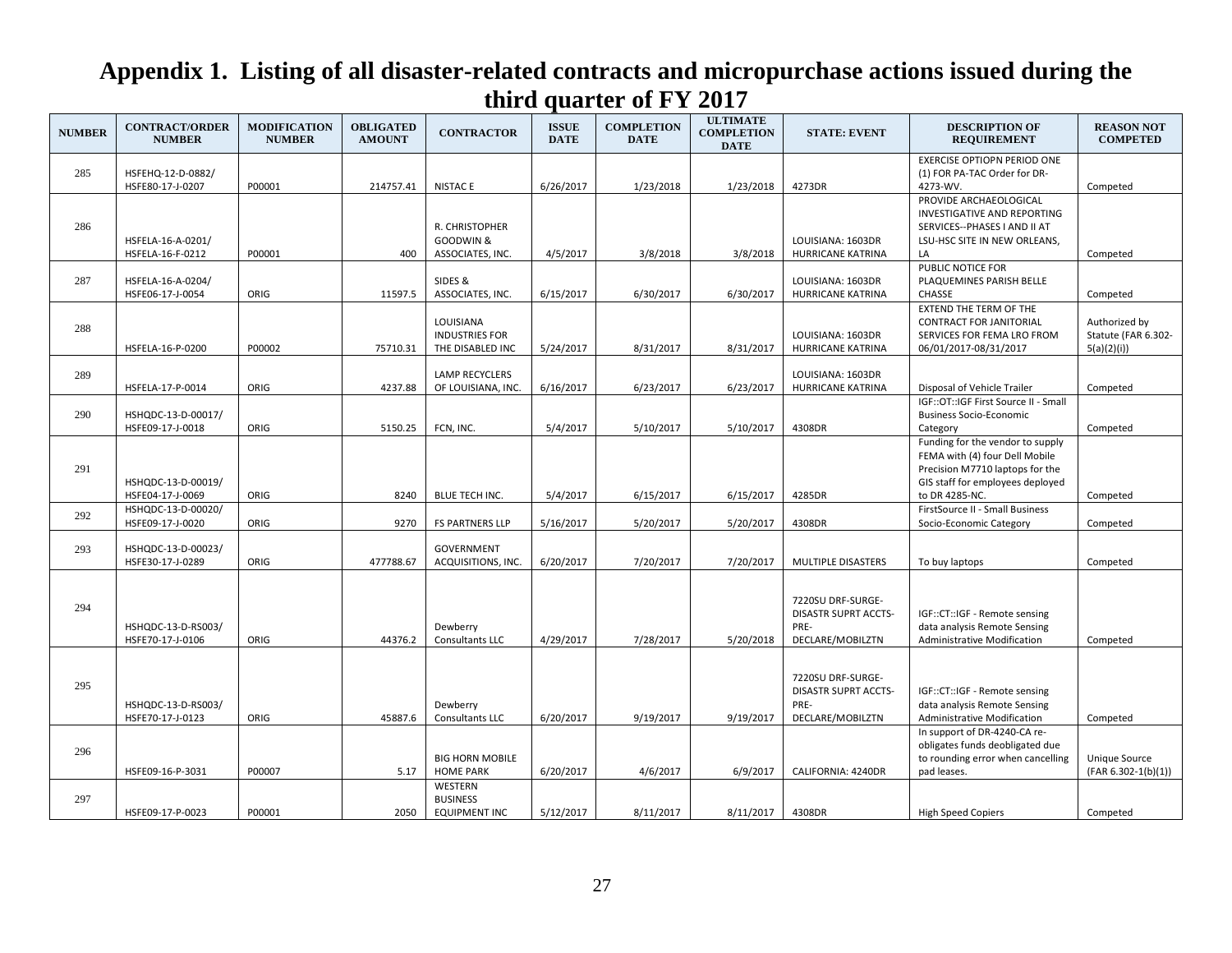| <b>NUMBER</b> | <b>CONTRACT/ORDER</b><br><b>NUMBER</b> | <b>MODIFICATION</b><br><b>NUMBER</b> | <b>OBLIGATED</b><br><b>AMOUNT</b> | <b>CONTRACTOR</b>                                      | <b>ISSUE</b><br><b>DATE</b> | <b>COMPLETION</b><br><b>DATE</b> | <b>ULTIMATE</b><br><b>COMPLETION</b><br><b>DATE</b> | <b>STATE: EVENT</b>                                                          | <b>DESCRIPTION OF</b><br><b>REQUIREMENT</b>                                                                                                                 | <b>REASON NOT</b><br><b>COMPETED</b>               |
|---------------|----------------------------------------|--------------------------------------|-----------------------------------|--------------------------------------------------------|-----------------------------|----------------------------------|-----------------------------------------------------|------------------------------------------------------------------------------|-------------------------------------------------------------------------------------------------------------------------------------------------------------|----------------------------------------------------|
| 285           | HSFEHQ-12-D-0882/<br>HSFE80-17-J-0207  | P00001                               | 214757.41                         | <b>NISTACE</b>                                         | 6/26/2017                   | 1/23/2018                        | 1/23/2018                                           | 4273DR                                                                       | <b>EXERCISE OPTIOPN PERIOD ONE</b><br>(1) FOR PA-TAC Order for DR-<br>4273-WV.                                                                              | Competed                                           |
| 286           | HSFELA-16-A-0201/<br>HSFELA-16-F-0212  | P00001                               | 400                               | R. CHRISTOPHER<br>GOODWIN &<br>ASSOCIATES, INC.        | 4/5/2017                    | 3/8/2018                         | 3/8/2018                                            | LOUISIANA: 1603DR<br>HURRICANE KATRINA                                       | PROVIDE ARCHAEOLOGICAL<br>INVESTIGATIVE AND REPORTING<br>SERVICES--PHASES I AND II AT<br>LSU-HSC SITE IN NEW ORLEANS,<br>LA                                 | Competed                                           |
| 287           | HSFELA-16-A-0204/<br>HSFE06-17-J-0054  | ORIG                                 | 11597.5                           | SIDES &<br>ASSOCIATES, INC.                            | 6/15/2017                   | 6/30/2017                        | 6/30/2017                                           | LOUISIANA: 1603DR<br>HURRICANE KATRINA                                       | PUBLIC NOTICE FOR<br>PLAQUEMINES PARISH BELLE<br><b>CHASSE</b>                                                                                              | Competed                                           |
| 288           | HSFELA-16-P-0200                       | P00002                               | 75710.31                          | LOUISIANA<br><b>INDUSTRIES FOR</b><br>THE DISABLED INC | 5/24/2017                   | 8/31/2017                        | 8/31/2017                                           | LOUISIANA: 1603DR<br><b>HURRICANE KATRINA</b>                                | EXTEND THE TERM OF THE<br><b>CONTRACT FOR JANITORIAL</b><br>SERVICES FOR FEMA LRO FROM<br>06/01/2017-08/31/2017                                             | Authorized by<br>Statute (FAR 6.302-<br>5(a)(2)(i) |
| 289           | HSFELA-17-P-0014                       | ORIG                                 | 4237.88                           | <b>LAMP RECYCLERS</b><br>OF LOUISIANA, INC.            | 6/16/2017                   | 6/23/2017                        | 6/23/2017                                           | LOUISIANA: 1603DR<br>HURRICANE KATRINA                                       | Disposal of Vehicle Trailer                                                                                                                                 | Competed                                           |
| 290           | HSHQDC-13-D-00017/<br>HSFE09-17-J-0018 | ORIG                                 | 5150.25                           | FCN, INC.                                              | 5/4/2017                    | 5/10/2017                        | 5/10/2017                                           | 4308DR                                                                       | IGF::OT::IGF First Source II - Small<br><b>Business Socio-Economic</b><br>Category                                                                          | Competed                                           |
| 291           | HSHQDC-13-D-00019/<br>HSFE04-17-J-0069 | ORIG                                 | 8240                              | BLUE TECH INC.                                         | 5/4/2017                    | 6/15/2017                        | 6/15/2017                                           | 4285DR                                                                       | Funding for the vendor to supply<br>FEMA with (4) four Dell Mobile<br>Precision M7710 laptops for the<br>GIS staff for employees deployed<br>to DR 4285-NC. | Competed                                           |
| 292           | HSHQDC-13-D-00020/<br>HSFE09-17-J-0020 | ORIG                                 | 9270                              | <b>FS PARTNERS LLP</b>                                 | 5/16/2017                   | 5/20/2017                        | 5/20/2017                                           | 4308DR                                                                       | FirstSource II - Small Business<br>Socio-Economic Category                                                                                                  | Competed                                           |
| 293           | HSHQDC-13-D-00023/<br>HSFE30-17-J-0289 | ORIG                                 | 477788.67                         | <b>GOVERNMENT</b><br>ACQUISITIONS, INC.                | 6/20/2017                   | 7/20/2017                        | 7/20/2017                                           | MULTIPLE DISASTERS                                                           | To buy laptops                                                                                                                                              | Competed                                           |
| 294           | HSHQDC-13-D-RS003/<br>HSFE70-17-J-0106 | ORIG                                 | 44376.2                           | Dewberry<br>Consultants LLC                            | 4/29/2017                   | 7/28/2017                        | 5/20/2018                                           | 7220SU DRF-SURGE-<br><b>DISASTR SUPRT ACCTS-</b><br>PRE-<br>DECLARE/MOBILZTN | IGF::CT::IGF - Remote sensing<br>data analysis Remote Sensing<br>Administrative Modification                                                                | Competed                                           |
| 295           | HSHQDC-13-D-RS003/<br>HSFE70-17-J-0123 | ORIG                                 | 45887.6                           | Dewberry<br>Consultants LLC                            | 6/20/2017                   | 9/19/2017                        | 9/19/2017                                           | 7220SU DRF-SURGE-<br><b>DISASTR SUPRT ACCTS-</b><br>PRE-<br>DECLARE/MOBILZTN | IGF::CT::IGF - Remote sensing<br>data analysis Remote Sensing<br>Administrative Modification                                                                | Competed                                           |
| 296           | HSFE09-16-P-3031                       | P00007                               | 5.17                              | <b>BIG HORN MOBILE</b><br><b>HOME PARK</b>             | 6/20/2017                   | 4/6/2017                         | 6/9/2017                                            | CALIFORNIA: 4240DR                                                           | In support of DR-4240-CA re-<br>obligates funds deobligated due<br>to rounding error when cancelling<br>pad leases.                                         | Unique Source<br>$(FAR 6.302-1(b)(1))$             |
| 297           | HSFE09-17-P-0023                       | P00001                               | 2050                              | WESTERN<br><b>BUSINESS</b><br><b>EQUIPMENT INC</b>     | 5/12/2017                   | 8/11/2017                        | 8/11/2017                                           | 4308DR                                                                       | <b>High Speed Copiers</b>                                                                                                                                   | Competed                                           |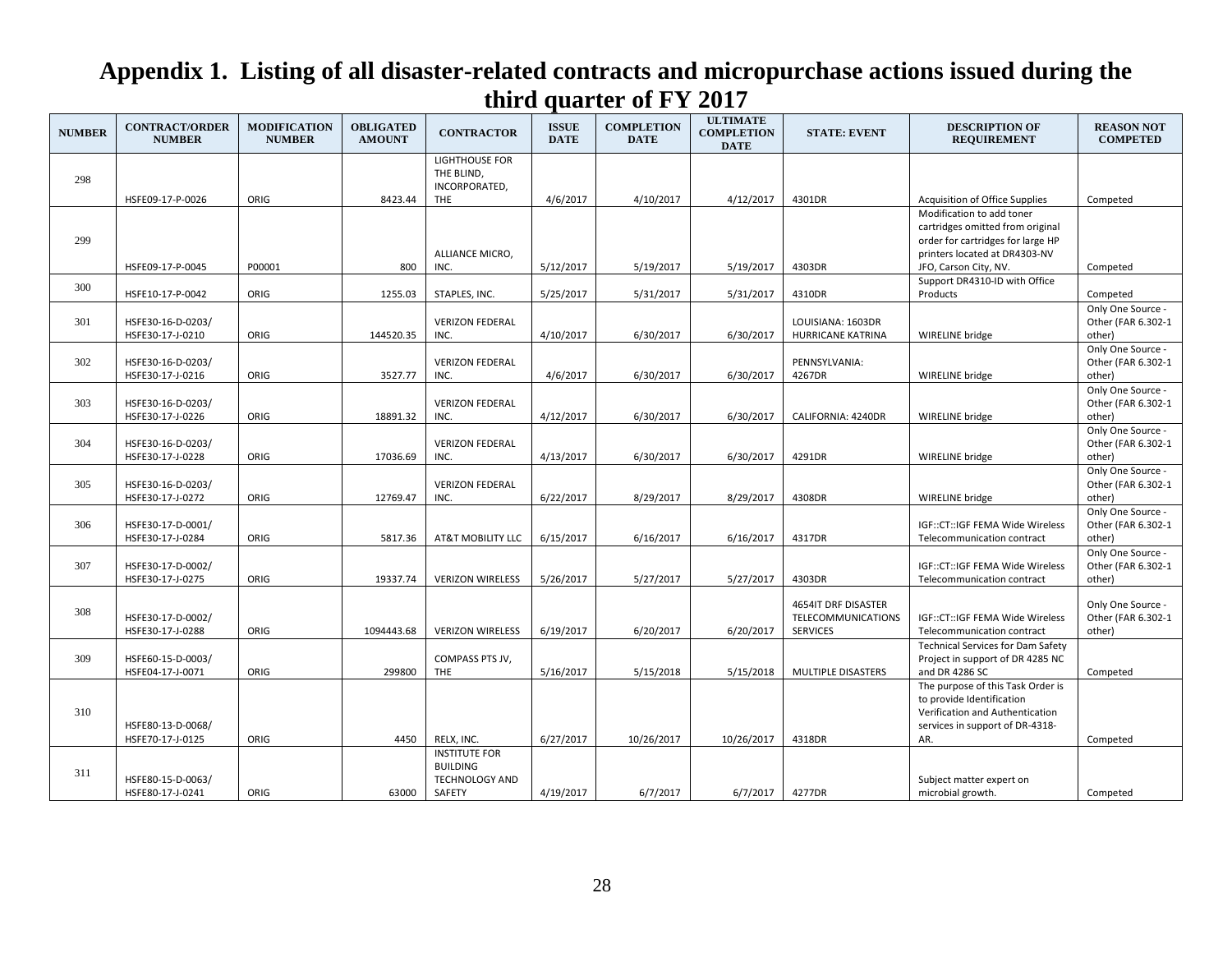| <b>NUMBER</b> | <b>CONTRACT/ORDER</b><br><b>NUMBER</b> | <b>MODIFICATION</b><br><b>NUMBER</b> | <b>OBLIGATED</b><br><b>AMOUNT</b> | <b>CONTRACTOR</b>                                                          | <b>ISSUE</b><br><b>DATE</b> | <b>COMPLETION</b><br><b>DATE</b> | <b>ULTIMATE</b><br><b>COMPLETION</b><br><b>DATE</b> | <b>STATE: EVENT</b>                                          | <b>DESCRIPTION OF</b><br><b>REQUIREMENT</b>                                                                                                                  | <b>REASON NOT</b><br><b>COMPETED</b>              |
|---------------|----------------------------------------|--------------------------------------|-----------------------------------|----------------------------------------------------------------------------|-----------------------------|----------------------------------|-----------------------------------------------------|--------------------------------------------------------------|--------------------------------------------------------------------------------------------------------------------------------------------------------------|---------------------------------------------------|
| 298           | HSFE09-17-P-0026                       | ORIG                                 | 8423.44                           | LIGHTHOUSE FOR<br>THE BLIND,<br>INCORPORATED,<br>THE                       | 4/6/2017                    | 4/10/2017                        | 4/12/2017                                           | 4301DR                                                       | <b>Acquisition of Office Supplies</b>                                                                                                                        | Competed                                          |
| 299           | HSFE09-17-P-0045                       | P00001                               | 800                               | ALLIANCE MICRO,<br>INC.                                                    | 5/12/2017                   | 5/19/2017                        | 5/19/2017                                           | 4303DR                                                       | Modification to add toner<br>cartridges omitted from original<br>order for cartridges for large HP<br>printers located at DR4303-NV<br>JFO, Carson City, NV. | Competed                                          |
| 300           |                                        |                                      |                                   |                                                                            |                             |                                  |                                                     |                                                              | Support DR4310-ID with Office                                                                                                                                |                                                   |
|               | HSFE10-17-P-0042                       | ORIG                                 | 1255.03                           | STAPLES, INC.                                                              | 5/25/2017                   | 5/31/2017                        | 5/31/2017                                           | 4310DR                                                       | Products                                                                                                                                                     | Competed                                          |
| 301           | HSFE30-16-D-0203/<br>HSFE30-17-J-0210  | ORIG                                 | 144520.35                         | <b>VERIZON FEDERAL</b><br>INC.                                             | 4/10/2017                   | 6/30/2017                        | 6/30/2017                                           | LOUISIANA: 1603DR<br>HURRICANE KATRINA                       | WIRELINE bridge                                                                                                                                              | Only One Source -<br>Other (FAR 6.302-1<br>other) |
| 302           | HSFE30-16-D-0203/<br>HSFE30-17-J-0216  | ORIG                                 | 3527.77                           | <b>VERIZON FEDERAL</b><br>INC.                                             | 4/6/2017                    | 6/30/2017                        | 6/30/2017                                           | PENNSYLVANIA:<br>4267DR                                      | WIRELINE bridge                                                                                                                                              | Only One Source -<br>Other (FAR 6.302-1<br>other) |
| 303           | HSFE30-16-D-0203/<br>HSFE30-17-J-0226  | ORIG                                 | 18891.32                          | <b>VERIZON FEDERAL</b><br>INC.                                             | 4/12/2017                   | 6/30/2017                        | 6/30/2017                                           | CALIFORNIA: 4240DR                                           | WIRELINE bridge                                                                                                                                              | Only One Source -<br>Other (FAR 6.302-1<br>other) |
| 304           | HSFE30-16-D-0203/<br>HSFE30-17-J-0228  | ORIG                                 | 17036.69                          | <b>VERIZON FEDERAL</b><br>INC.                                             | 4/13/2017                   | 6/30/2017                        | 6/30/2017                                           | 4291DR                                                       | WIRELINE bridge                                                                                                                                              | Only One Source -<br>Other (FAR 6.302-1<br>other) |
| 305           | HSFE30-16-D-0203/<br>HSFE30-17-J-0272  | ORIG                                 | 12769.47                          | <b>VERIZON FEDERAL</b><br>INC.                                             | 6/22/2017                   | 8/29/2017                        | 8/29/2017                                           | 4308DR                                                       | WIRELINE bridge                                                                                                                                              | Only One Source -<br>Other (FAR 6.302-1<br>other) |
| 306           | HSFE30-17-D-0001/<br>HSFE30-17-J-0284  | ORIG                                 | 5817.36                           | AT&T MOBILITY LLC                                                          | 6/15/2017                   | 6/16/2017                        | 6/16/2017                                           | 4317DR                                                       | IGF::CT::IGF FEMA Wide Wireless<br>Telecommunication contract                                                                                                | Only One Source -<br>Other (FAR 6.302-1<br>other) |
| 307           | HSFE30-17-D-0002/<br>HSFE30-17-J-0275  | ORIG                                 | 19337.74                          | <b>VERIZON WIRELESS</b>                                                    | 5/26/2017                   | 5/27/2017                        | 5/27/2017                                           | 4303DR                                                       | IGF::CT::IGF FEMA Wide Wireless<br>Telecommunication contract                                                                                                | Only One Source -<br>Other (FAR 6.302-1<br>other) |
| 308           | HSFE30-17-D-0002/<br>HSFE30-17-J-0288  | ORIG                                 | 1094443.68                        | <b>VERIZON WIRELESS</b>                                                    | 6/19/2017                   | 6/20/2017                        | 6/20/2017                                           | 4654IT DRF DISASTER<br>TELECOMMUNICATIONS<br><b>SERVICES</b> | IGF::CT::IGF FEMA Wide Wireless<br>Telecommunication contract                                                                                                | Only One Source -<br>Other (FAR 6.302-1<br>other) |
| 309           | HSFE60-15-D-0003/<br>HSFE04-17-J-0071  | ORIG                                 | 299800                            | COMPASS PTS JV,<br>THE                                                     | 5/16/2017                   | 5/15/2018                        | 5/15/2018                                           | MULTIPLE DISASTERS                                           | <b>Technical Services for Dam Safety</b><br>Project in support of DR 4285 NC<br>and DR 4286 SC                                                               | Competed                                          |
| 310           | HSFE80-13-D-0068/<br>HSFE70-17-J-0125  | ORIG                                 | 4450                              | RELX, INC.                                                                 | 6/27/2017                   | 10/26/2017                       | 10/26/2017                                          | 4318DR                                                       | The purpose of this Task Order is<br>to provide Identification<br>Verification and Authentication<br>services in support of DR-4318-<br>AR.                  | Competed                                          |
| 311           | HSFE80-15-D-0063/<br>HSFE80-17-J-0241  | ORIG                                 | 63000                             | <b>INSTITUTE FOR</b><br><b>BUILDING</b><br><b>TECHNOLOGY AND</b><br>SAFETY | 4/19/2017                   | 6/7/2017                         | 6/7/2017                                            | 4277DR                                                       | Subject matter expert on<br>microbial growth.                                                                                                                | Competed                                          |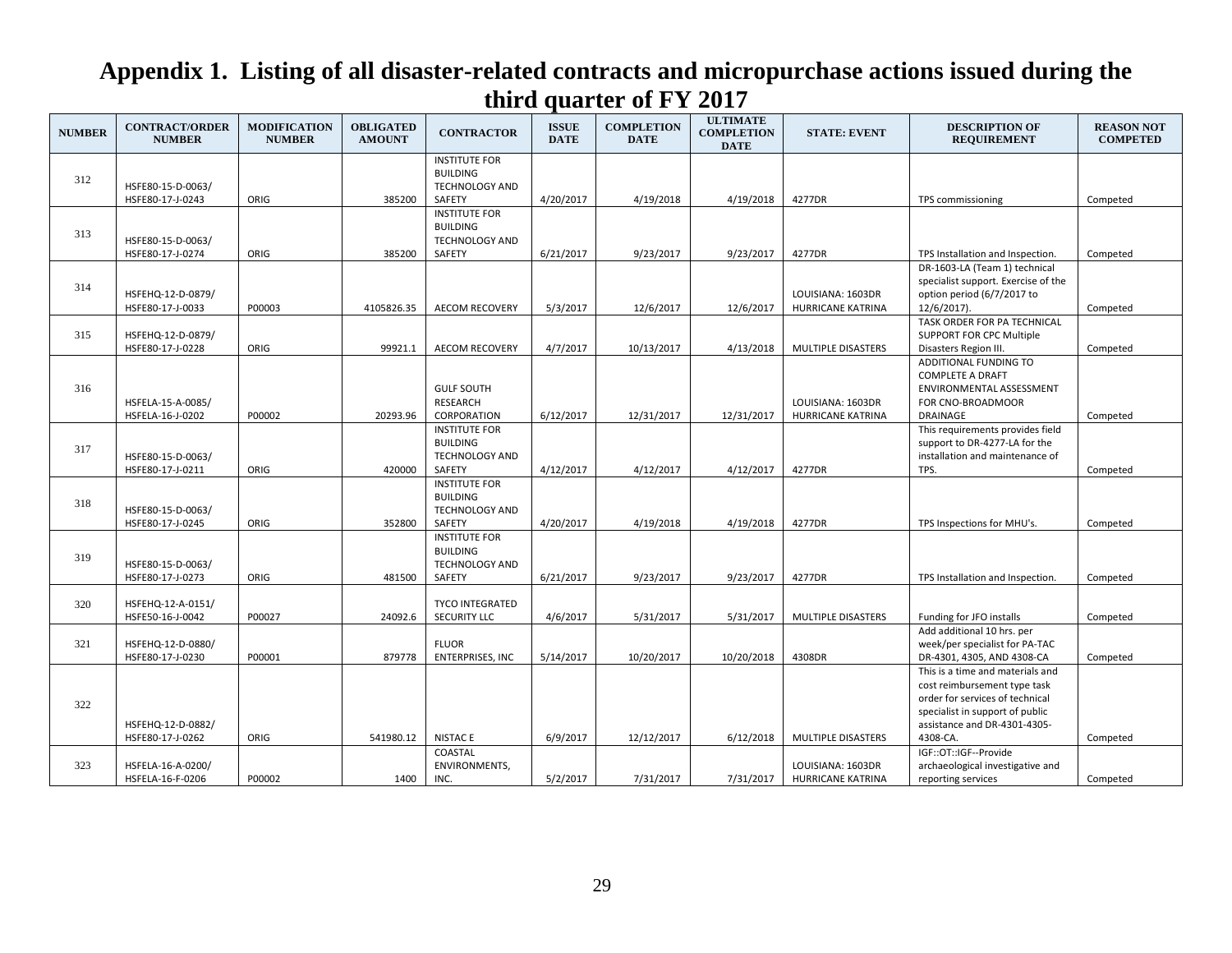| <b>NUMBER</b> | <b>CONTRACT/ORDER</b><br><b>NUMBER</b> | <b>MODIFICATION</b><br><b>NUMBER</b> | <b>OBLIGATED</b><br><b>AMOUNT</b> | <b>CONTRACTOR</b>                                                          | <b>ISSUE</b><br><b>DATE</b> | <b>COMPLETION</b><br><b>DATE</b> | <b>ULTIMATE</b><br><b>COMPLETION</b><br><b>DATE</b> | <b>STATE: EVENT</b>                    | <b>DESCRIPTION OF</b><br><b>REQUIREMENT</b>                                                                                                                                        | <b>REASON NOT</b><br><b>COMPETED</b> |
|---------------|----------------------------------------|--------------------------------------|-----------------------------------|----------------------------------------------------------------------------|-----------------------------|----------------------------------|-----------------------------------------------------|----------------------------------------|------------------------------------------------------------------------------------------------------------------------------------------------------------------------------------|--------------------------------------|
| 312           | HSFE80-15-D-0063/<br>HSFE80-17-J-0243  | ORIG                                 | 385200                            | <b>INSTITUTE FOR</b><br><b>BUILDING</b><br><b>TECHNOLOGY AND</b><br>SAFETY | 4/20/2017                   | 4/19/2018                        | 4/19/2018                                           | 4277DR                                 | TPS commissioning                                                                                                                                                                  | Competed                             |
| 313           | HSFE80-15-D-0063/<br>HSFE80-17-J-0274  | ORIG                                 | 385200                            | <b>INSTITUTE FOR</b><br><b>BUILDING</b><br><b>TECHNOLOGY AND</b><br>SAFETY | 6/21/2017                   | 9/23/2017                        | 9/23/2017                                           | 4277DR                                 | TPS Installation and Inspection.                                                                                                                                                   | Competed                             |
| 314           | HSFEHQ-12-D-0879/<br>HSFE80-17-J-0033  | P00003                               | 4105826.35                        | <b>AECOM RECOVERY</b>                                                      | 5/3/2017                    | 12/6/2017                        | 12/6/2017                                           | LOUISIANA: 1603DR<br>HURRICANE KATRINA | DR-1603-LA (Team 1) technical<br>specialist support. Exercise of the<br>option period (6/7/2017 to<br>12/6/2017).                                                                  | Competed                             |
| 315           | HSFEHQ-12-D-0879/<br>HSFE80-17-J-0228  | ORIG                                 | 99921.1                           | <b>AECOM RECOVERY</b>                                                      | 4/7/2017                    | 10/13/2017                       | 4/13/2018                                           | MULTIPLE DISASTERS                     | TASK ORDER FOR PA TECHNICAL<br><b>SUPPORT FOR CPC Multiple</b><br>Disasters Region III.                                                                                            | Competed                             |
| 316           | HSFELA-15-A-0085/<br>HSFELA-16-J-0202  | P00002                               | 20293.96                          | <b>GULF SOUTH</b><br><b>RESEARCH</b><br>CORPORATION                        | 6/12/2017                   | 12/31/2017                       | 12/31/2017                                          | LOUISIANA: 1603DR<br>HURRICANE KATRINA | ADDITIONAL FUNDING TO<br><b>COMPLETE A DRAFT</b><br>ENVIRONMENTAL ASSESSMENT<br>FOR CNO-BROADMOOR<br><b>DRAINAGE</b>                                                               | Competed                             |
| 317           | HSFE80-15-D-0063/<br>HSFE80-17-J-0211  | ORIG                                 | 420000                            | <b>INSTITUTE FOR</b><br><b>BUILDING</b><br>TECHNOLOGY AND<br>SAFETY        | 4/12/2017                   | 4/12/2017                        | 4/12/2017                                           | 4277DR                                 | This requirements provides field<br>support to DR-4277-LA for the<br>installation and maintenance of<br>TPS.                                                                       | Competed                             |
| 318           | HSFE80-15-D-0063/<br>HSFE80-17-J-0245  | ORIG                                 | 352800                            | <b>INSTITUTE FOR</b><br><b>BUILDING</b><br><b>TECHNOLOGY AND</b><br>SAFETY | 4/20/2017                   | 4/19/2018                        | 4/19/2018                                           | 4277DR                                 | TPS Inspections for MHU's.                                                                                                                                                         | Competed                             |
| 319           | HSFE80-15-D-0063/<br>HSFE80-17-J-0273  | ORIG                                 | 481500                            | <b>INSTITUTE FOR</b><br><b>BUILDING</b><br><b>TECHNOLOGY AND</b><br>SAFETY | 6/21/2017                   | 9/23/2017                        | 9/23/2017                                           | 4277DR                                 | TPS Installation and Inspection.                                                                                                                                                   | Competed                             |
| 320           | HSFEHQ-12-A-0151/<br>HSFE50-16-J-0042  | P00027                               | 24092.6                           | <b>TYCO INTEGRATED</b><br><b>SECURITY LLC</b>                              | 4/6/2017                    | 5/31/2017                        | 5/31/2017                                           | <b>MULTIPLE DISASTERS</b>              | Funding for JFO installs                                                                                                                                                           | Competed                             |
| 321           | HSFEHQ-12-D-0880/<br>HSFE80-17-J-0230  | P00001                               | 879778                            | <b>FLUOR</b><br><b>ENTERPRISES, INC</b>                                    | 5/14/2017                   | 10/20/2017                       | 10/20/2018                                          | 4308DR                                 | Add additional 10 hrs. per<br>week/per specialist for PA-TAC<br>DR-4301, 4305, AND 4308-CA                                                                                         | Competed                             |
| 322           | HSFEHQ-12-D-0882/<br>HSFE80-17-J-0262  | ORIG                                 | 541980.12                         | <b>NISTAC E</b>                                                            | 6/9/2017                    | 12/12/2017                       | 6/12/2018                                           | MULTIPLE DISASTERS                     | This is a time and materials and<br>cost reimbursement type task<br>order for services of technical<br>specialist in support of public<br>assistance and DR-4301-4305-<br>4308-CA. | Competed                             |
| 323           | HSFELA-16-A-0200/<br>HSFELA-16-F-0206  | P00002                               | 1400                              | COASTAL<br><b>ENVIRONMENTS,</b><br>INC.                                    | 5/2/2017                    | 7/31/2017                        | 7/31/2017                                           | LOUISIANA: 1603DR<br>HURRICANE KATRINA | IGF::OT::IGF--Provide<br>archaeological investigative and<br>reporting services                                                                                                    | Competed                             |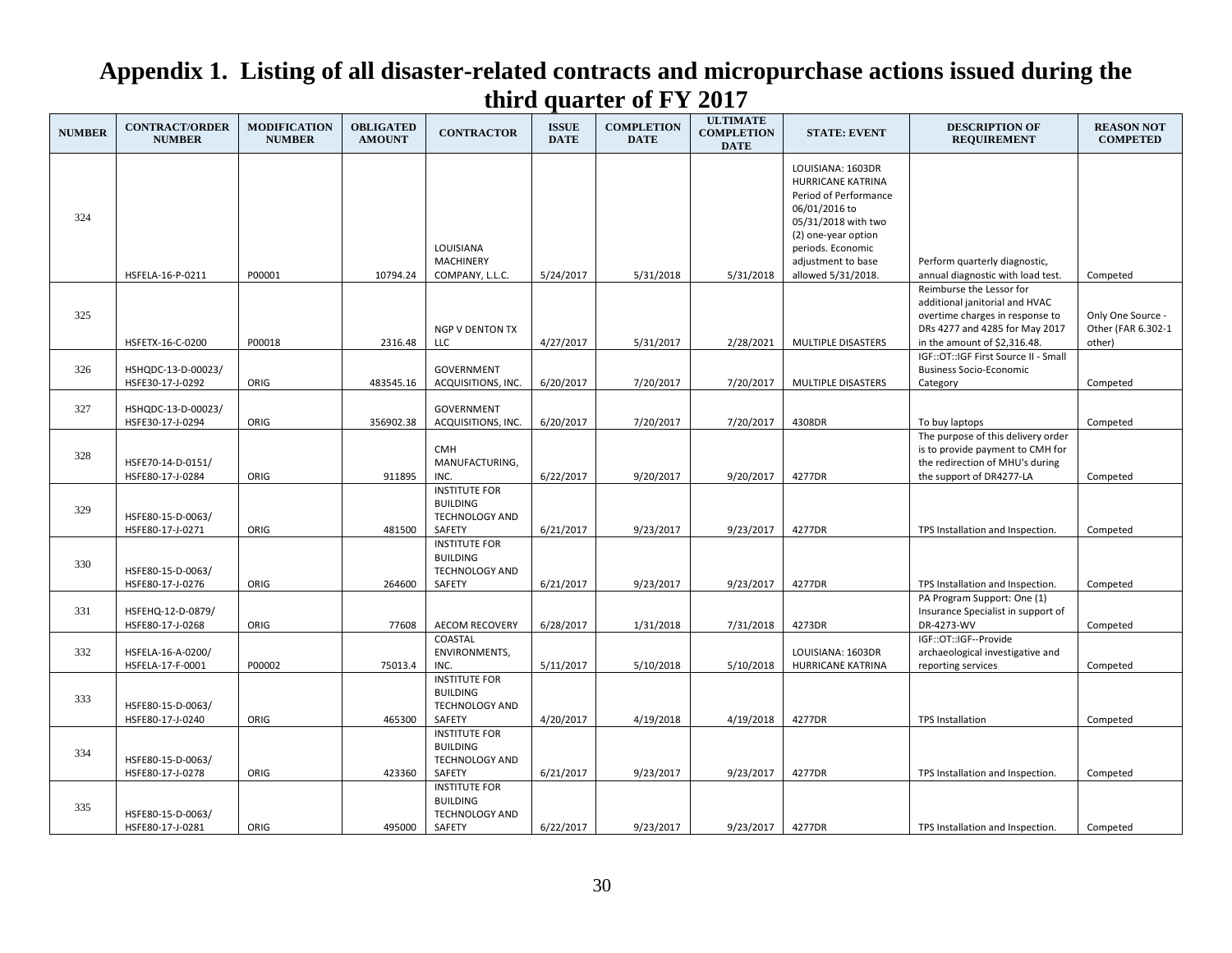| <b>NUMBER</b> | <b>CONTRACT/ORDER</b><br><b>NUMBER</b> | <b>MODIFICATION</b><br><b>NUMBER</b> | <b>OBLIGATED</b><br><b>AMOUNT</b> | <b>CONTRACTOR</b>                                                          | <b>ISSUE</b><br><b>DATE</b> | <b>COMPLETION</b><br><b>DATE</b> | <b>ULTIMATE</b><br><b>COMPLETION</b><br><b>DATE</b> | <b>STATE: EVENT</b>                                                                                                                                                                             | <b>DESCRIPTION OF</b><br><b>REQUIREMENT</b>                                                                                                                     | <b>REASON NOT</b><br><b>COMPETED</b>              |
|---------------|----------------------------------------|--------------------------------------|-----------------------------------|----------------------------------------------------------------------------|-----------------------------|----------------------------------|-----------------------------------------------------|-------------------------------------------------------------------------------------------------------------------------------------------------------------------------------------------------|-----------------------------------------------------------------------------------------------------------------------------------------------------------------|---------------------------------------------------|
| 324           | HSFELA-16-P-0211                       | P00001                               | 10794.24                          | LOUISIANA<br><b>MACHINERY</b><br>COMPANY, L.L.C.                           | 5/24/2017                   | 5/31/2018                        | 5/31/2018                                           | LOUISIANA: 1603DR<br>HURRICANE KATRINA<br>Period of Performance<br>06/01/2016 to<br>05/31/2018 with two<br>(2) one-year option<br>periods. Economic<br>adjustment to base<br>allowed 5/31/2018. | Perform quarterly diagnostic,<br>annual diagnostic with load test.                                                                                              | Competed                                          |
| 325           | HSFETX-16-C-0200                       | P00018                               | 2316.48                           | NGP V DENTON TX<br>LLC                                                     | 4/27/2017                   | 5/31/2017                        | 2/28/2021                                           | MULTIPLE DISASTERS                                                                                                                                                                              | Reimburse the Lessor for<br>additional janitorial and HVAC<br>overtime charges in response to<br>DRs 4277 and 4285 for May 2017<br>in the amount of \$2,316.48. | Only One Source -<br>Other (FAR 6.302-1<br>other) |
| 326           | HSHQDC-13-D-00023/<br>HSFE30-17-J-0292 | ORIG                                 | 483545.16                         | <b>GOVERNMENT</b><br>ACQUISITIONS, INC.                                    | 6/20/2017                   | 7/20/2017                        | 7/20/2017                                           | MULTIPLE DISASTERS                                                                                                                                                                              | IGF::OT::IGF First Source II - Small<br><b>Business Socio-Economic</b><br>Category                                                                              | Competed                                          |
| 327           | HSHQDC-13-D-00023/<br>HSFE30-17-J-0294 | ORIG                                 | 356902.38                         | GOVERNMENT<br>ACQUISITIONS, INC.                                           | 6/20/2017                   | 7/20/2017                        | 7/20/2017                                           | 4308DR                                                                                                                                                                                          | To buy laptops                                                                                                                                                  | Competed                                          |
| 328           | HSFE70-14-D-0151/<br>HSFE80-17-J-0284  | ORIG                                 | 911895                            | <b>CMH</b><br>MANUFACTURING,<br>INC.                                       | 6/22/2017                   | 9/20/2017                        | 9/20/2017                                           | 4277DR                                                                                                                                                                                          | The purpose of this delivery order<br>is to provide payment to CMH for<br>the redirection of MHU's during<br>the support of DR4277-LA                           | Competed                                          |
| 329           | HSFE80-15-D-0063/<br>HSFE80-17-J-0271  | ORIG                                 | 481500                            | <b>INSTITUTE FOR</b><br><b>BUILDING</b><br><b>TECHNOLOGY AND</b><br>SAFETY | 6/21/2017                   | 9/23/2017                        | 9/23/2017                                           | 4277DR                                                                                                                                                                                          | TPS Installation and Inspection.                                                                                                                                | Competed                                          |
| 330           | HSFE80-15-D-0063/<br>HSFE80-17-J-0276  | ORIG                                 | 264600                            | <b>INSTITUTE FOR</b><br><b>BUILDING</b><br><b>TECHNOLOGY AND</b><br>SAFETY | 6/21/2017                   | 9/23/2017                        | 9/23/2017                                           | 4277DR                                                                                                                                                                                          | TPS Installation and Inspection.                                                                                                                                | Competed                                          |
| 331           | HSFEHQ-12-D-0879/<br>HSFE80-17-J-0268  | ORIG                                 | 77608                             | <b>AECOM RECOVERY</b>                                                      | 6/28/2017                   | 1/31/2018                        | 7/31/2018                                           | 4273DR                                                                                                                                                                                          | PA Program Support: One (1)<br>Insurance Specialist in support of<br>DR-4273-WV                                                                                 | Competed                                          |
| 332           | HSFELA-16-A-0200/<br>HSFELA-17-F-0001  | P00002                               | 75013.4                           | COASTAL<br>ENVIRONMENTS,<br>INC.                                           | 5/11/2017                   | 5/10/2018                        | 5/10/2018                                           | LOUISIANA: 1603DR<br>HURRICANE KATRINA                                                                                                                                                          | IGF::OT::IGF--Provide<br>archaeological investigative and<br>reporting services                                                                                 | Competed                                          |
| 333           | HSFE80-15-D-0063/<br>HSFE80-17-J-0240  | ORIG                                 | 465300                            | <b>INSTITUTE FOR</b><br><b>BUILDING</b><br><b>TECHNOLOGY AND</b><br>SAFETY | 4/20/2017                   | 4/19/2018                        | 4/19/2018                                           | 4277DR                                                                                                                                                                                          | <b>TPS Installation</b>                                                                                                                                         | Competed                                          |
| 334           | HSFE80-15-D-0063/<br>HSFE80-17-J-0278  | ORIG                                 | 423360                            | <b>INSTITUTE FOR</b><br><b>BUILDING</b><br><b>TECHNOLOGY AND</b><br>SAFETY | 6/21/2017                   | 9/23/2017                        | 9/23/2017                                           | 4277DR                                                                                                                                                                                          | TPS Installation and Inspection.                                                                                                                                | Competed                                          |
| 335           | HSFE80-15-D-0063/<br>HSFE80-17-J-0281  | ORIG                                 | 495000                            | <b>INSTITUTE FOR</b><br><b>BUILDING</b><br><b>TECHNOLOGY AND</b><br>SAFETY | 6/22/2017                   | 9/23/2017                        | 9/23/2017                                           | 4277DR                                                                                                                                                                                          | TPS Installation and Inspection.                                                                                                                                | Competed                                          |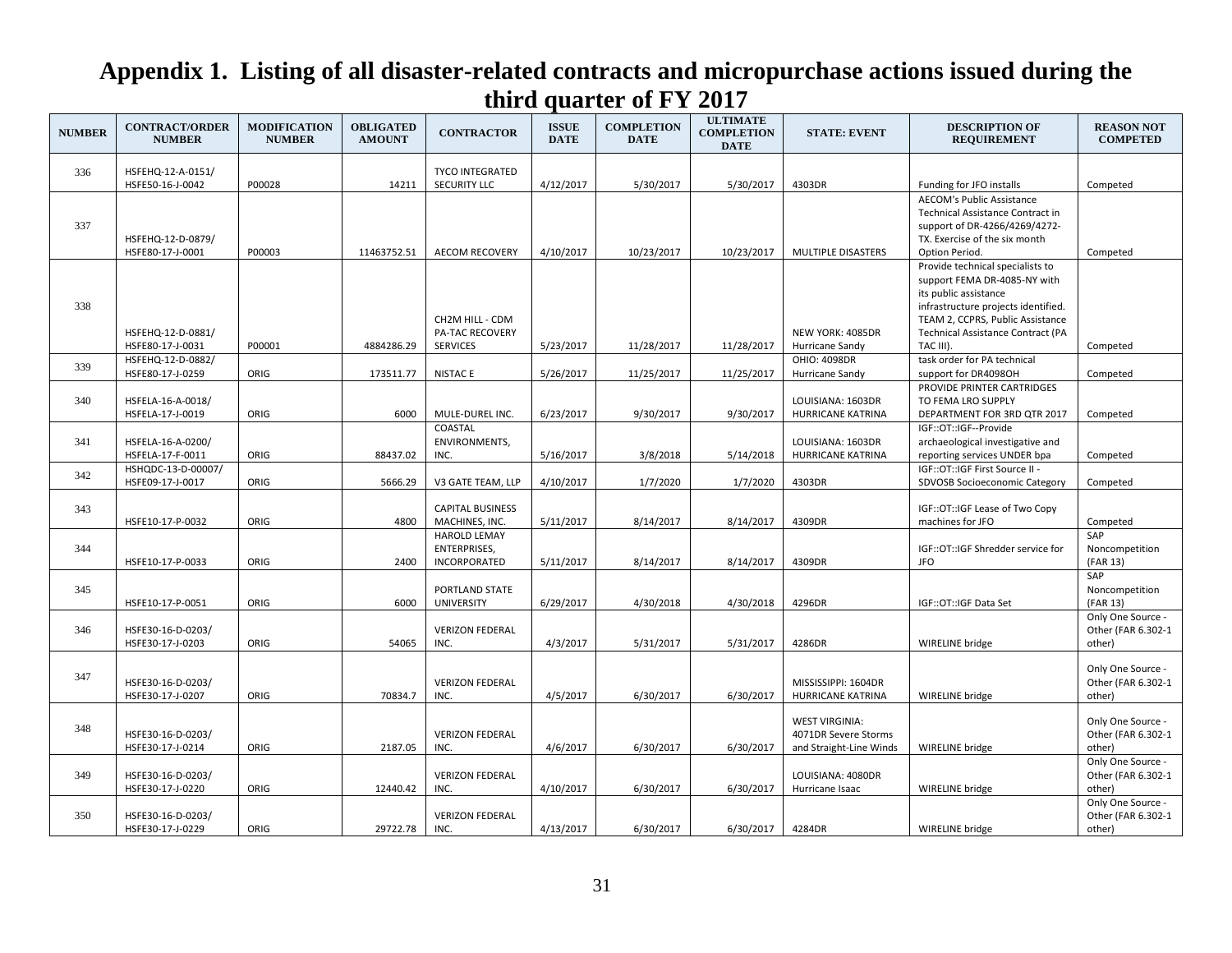| <b>NUMBER</b> | <b>CONTRACT/ORDER</b><br><b>NUMBER</b> | <b>MODIFICATION</b><br><b>NUMBER</b> | <b>OBLIGATED</b><br><b>AMOUNT</b> | <b>CONTRACTOR</b>                                          | <b>ISSUE</b><br><b>DATE</b> | <b>COMPLETION</b><br><b>DATE</b> | <b>ULTIMATE</b><br><b>COMPLETION</b><br><b>DATE</b> | <b>STATE: EVENT</b>                                                      | <b>DESCRIPTION OF</b><br><b>REQUIREMENT</b>                                                                                                                                                                      | <b>REASON NOT</b><br><b>COMPETED</b>              |
|---------------|----------------------------------------|--------------------------------------|-----------------------------------|------------------------------------------------------------|-----------------------------|----------------------------------|-----------------------------------------------------|--------------------------------------------------------------------------|------------------------------------------------------------------------------------------------------------------------------------------------------------------------------------------------------------------|---------------------------------------------------|
|               |                                        |                                      |                                   | <b>TYCO INTEGRATED</b>                                     |                             |                                  |                                                     |                                                                          |                                                                                                                                                                                                                  |                                                   |
| 336           | HSFEHQ-12-A-0151/<br>HSFE50-16-J-0042  | P00028                               | 14211                             | <b>SECURITY LLC</b>                                        | 4/12/2017                   | 5/30/2017                        | 5/30/2017                                           | 4303DR                                                                   | Funding for JFO installs                                                                                                                                                                                         | Competed                                          |
| 337           | HSFEHQ-12-D-0879/<br>HSFE80-17-J-0001  | P00003                               | 11463752.51                       | <b>AECOM RECOVERY</b>                                      | 4/10/2017                   | 10/23/2017                       | 10/23/2017                                          | MULTIPLE DISASTERS                                                       | <b>AECOM's Public Assistance</b><br>Technical Assistance Contract in<br>support of DR-4266/4269/4272-<br>TX. Exercise of the six month<br>Option Period.                                                         | Competed                                          |
| 338           | HSFEHQ-12-D-0881/                      |                                      |                                   | CH2M HILL - CDM<br><b>PA-TAC RECOVERY</b>                  |                             |                                  |                                                     | NEW YORK: 4085DR                                                         | Provide technical specialists to<br>support FEMA DR-4085-NY with<br>its public assistance<br>infrastructure projects identified.<br>TEAM 2, CCPRS, Public Assistance<br><b>Technical Assistance Contract (PA</b> |                                                   |
|               | HSFE80-17-J-0031<br>HSFEHQ-12-D-0882/  | P00001                               | 4884286.29                        | <b>SERVICES</b>                                            | 5/23/2017                   | 11/28/2017                       | 11/28/2017                                          | Hurricane Sandy<br>OHIO: 4098DR                                          | TAC III).<br>task order for PA technical                                                                                                                                                                         | Competed                                          |
| 339           | HSFE80-17-J-0259                       | ORIG                                 | 173511.77                         | <b>NISTACE</b>                                             | 5/26/2017                   | 11/25/2017                       | 11/25/2017                                          | Hurricane Sandy                                                          | support for DR4098OH                                                                                                                                                                                             | Competed                                          |
| 340           | HSFELA-16-A-0018/<br>HSFELA-17-J-0019  | ORIG                                 | 6000                              | MULE-DUREL INC.                                            | 6/23/2017                   | 9/30/2017                        | 9/30/2017                                           | LOUISIANA: 1603DR<br>HURRICANE KATRINA                                   | PROVIDE PRINTER CARTRIDGES<br>TO FEMA LRO SUPPLY<br>DEPARTMENT FOR 3RD QTR 2017                                                                                                                                  | Competed                                          |
| 341           | HSFELA-16-A-0200/<br>HSFELA-17-F-0011  | ORIG                                 | 88437.02                          | COASTAL<br>ENVIRONMENTS,<br>INC.                           | 5/16/2017                   | 3/8/2018                         | 5/14/2018                                           | LOUISIANA: 1603DR<br>HURRICANE KATRINA                                   | IGF::OT::IGF--Provide<br>archaeological investigative and<br>reporting services UNDER bpa                                                                                                                        | Competed                                          |
| 342           | HSHQDC-13-D-00007/<br>HSFE09-17-J-0017 | ORIG                                 | 5666.29                           | V3 GATE TEAM, LLP                                          | 4/10/2017                   | 1/7/2020                         | 1/7/2020                                            | 4303DR                                                                   | IGF::OT::IGF First Source II -<br>SDVOSB Socioeconomic Category                                                                                                                                                  | Competed                                          |
| 343           | HSFE10-17-P-0032                       | ORIG                                 | 4800                              | <b>CAPITAL BUSINESS</b><br>MACHINES, INC.                  | 5/11/2017                   | 8/14/2017                        | 8/14/2017                                           | 4309DR                                                                   | IGF::OT::IGF Lease of Two Copy<br>machines for JFO                                                                                                                                                               | Competed                                          |
| 344           | HSFE10-17-P-0033                       | ORIG                                 | 2400                              | <b>HAROLD LEMAY</b><br><b>ENTERPRISES,</b><br>INCORPORATED | 5/11/2017                   | 8/14/2017                        | 8/14/2017                                           | 4309DR                                                                   | IGF::OT::IGF Shredder service for<br><b>JFO</b>                                                                                                                                                                  | SAP<br>Noncompetition<br>(FAR 13)                 |
| 345           | HSFE10-17-P-0051                       | ORIG                                 | 6000                              | PORTLAND STATE<br><b>UNIVERSITY</b>                        | 6/29/2017                   | 4/30/2018                        | 4/30/2018                                           | 4296DR                                                                   | IGF::OT::IGF Data Set                                                                                                                                                                                            | SAP<br>Noncompetition<br>(FAR 13)                 |
| 346           | HSFE30-16-D-0203/<br>HSFE30-17-J-0203  | ORIG                                 | 54065                             | <b>VERIZON FEDERAL</b><br>INC.                             | 4/3/2017                    | 5/31/2017                        | 5/31/2017                                           | 4286DR                                                                   | WIRELINE bridge                                                                                                                                                                                                  | Only One Source -<br>Other (FAR 6.302-1<br>other) |
| 347           | HSFE30-16-D-0203/<br>HSFE30-17-J-0207  | ORIG                                 | 70834.7                           | <b>VERIZON FEDERAL</b><br>INC.                             | 4/5/2017                    | 6/30/2017                        | 6/30/2017                                           | MISSISSIPPI: 1604DR<br>HURRICANE KATRINA                                 | WIRELINE bridge                                                                                                                                                                                                  | Only One Source -<br>Other (FAR 6.302-1<br>other) |
| 348           | HSFE30-16-D-0203/<br>HSFE30-17-J-0214  | ORIG                                 | 2187.05                           | <b>VERIZON FEDERAL</b><br>INC.                             | 4/6/2017                    | 6/30/2017                        | 6/30/2017                                           | <b>WEST VIRGINIA:</b><br>4071DR Severe Storms<br>and Straight-Line Winds | <b>WIRELINE</b> bridge                                                                                                                                                                                           | Only One Source -<br>Other (FAR 6.302-1<br>other) |
| 349           | HSFE30-16-D-0203/<br>HSFE30-17-J-0220  | ORIG                                 | 12440.42                          | <b>VERIZON FEDERAL</b><br>INC.                             | 4/10/2017                   | 6/30/2017                        | 6/30/2017                                           | LOUISIANA: 4080DR<br>Hurricane Isaac                                     | WIRELINE bridge                                                                                                                                                                                                  | Only One Source -<br>Other (FAR 6.302-1<br>other) |
| 350           | HSFE30-16-D-0203/<br>HSFE30-17-J-0229  | ORIG                                 | 29722.78                          | <b>VERIZON FEDERAL</b><br>INC.                             | 4/13/2017                   | 6/30/2017                        | 6/30/2017                                           | 4284DR                                                                   | WIRELINE bridge                                                                                                                                                                                                  | Only One Source -<br>Other (FAR 6.302-1<br>other) |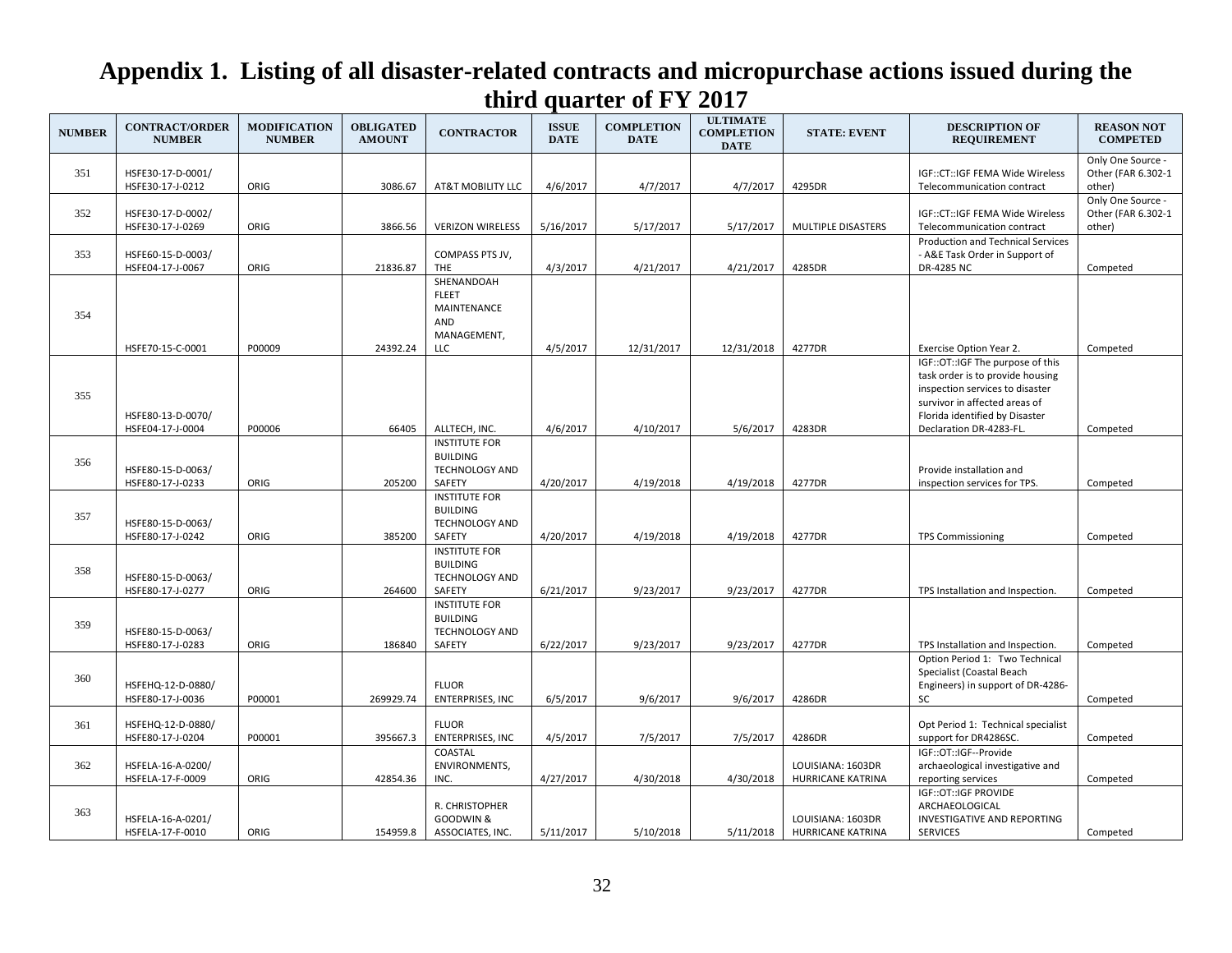| <b>NUMBER</b> | <b>CONTRACT/ORDER</b><br><b>NUMBER</b>                    | <b>MODIFICATION</b><br><b>NUMBER</b> | <b>OBLIGATED</b><br><b>AMOUNT</b> | <b>CONTRACTOR</b>                                                          | <b>ISSUE</b><br><b>DATE</b> | <b>COMPLETION</b><br><b>DATE</b> | <b>ULTIMATE</b><br><b>COMPLETION</b><br><b>DATE</b> | <b>STATE: EVENT</b>                    | <b>DESCRIPTION OF</b><br><b>REQUIREMENT</b>                                                                                                                                                                                      | <b>REASON NOT</b><br><b>COMPETED</b>              |
|---------------|-----------------------------------------------------------|--------------------------------------|-----------------------------------|----------------------------------------------------------------------------|-----------------------------|----------------------------------|-----------------------------------------------------|----------------------------------------|----------------------------------------------------------------------------------------------------------------------------------------------------------------------------------------------------------------------------------|---------------------------------------------------|
| 351           | HSFE30-17-D-0001/<br>HSFE30-17-J-0212                     | ORIG                                 | 3086.67                           | AT&T MOBILITY LLC                                                          | 4/6/2017                    | 4/7/2017                         | 4/7/2017                                            | 4295DR                                 | IGF::CT::IGF FEMA Wide Wireless<br>Telecommunication contract                                                                                                                                                                    | Only One Source -<br>Other (FAR 6.302-1<br>other) |
| 352           | HSFE30-17-D-0002/<br>HSFE30-17-J-0269                     | ORIG                                 | 3866.56                           | <b>VERIZON WIRELESS</b>                                                    | 5/16/2017                   | 5/17/2017                        | 5/17/2017                                           | MULTIPLE DISASTERS                     | IGF::CT::IGF FEMA Wide Wireless<br>Telecommunication contract                                                                                                                                                                    | Only One Source -<br>Other (FAR 6.302-1<br>other) |
| 353           | HSFE60-15-D-0003/<br>HSFE04-17-J-0067                     | ORIG                                 | 21836.87                          | COMPASS PTS JV,<br><b>THE</b>                                              | 4/3/2017                    | 4/21/2017                        | 4/21/2017                                           | 4285DR                                 | Production and Technical Services<br>- A&E Task Order in Support of<br>DR-4285 NC                                                                                                                                                | Competed                                          |
| 354           |                                                           |                                      |                                   | SHENANDOAH<br><b>FLEET</b><br>MAINTENANCE<br>AND<br>MANAGEMENT,            |                             |                                  |                                                     |                                        |                                                                                                                                                                                                                                  |                                                   |
| 355           | HSFE70-15-C-0001<br>HSFE80-13-D-0070/<br>HSFE04-17-J-0004 | P00009<br>P00006                     | 24392.24<br>66405                 | LLC<br>ALLTECH, INC.                                                       | 4/5/2017<br>4/6/2017        | 12/31/2017<br>4/10/2017          | 12/31/2018<br>5/6/2017                              | 4277DR<br>4283DR                       | Exercise Option Year 2.<br>IGF::OT::IGF The purpose of this<br>task order is to provide housing<br>inspection services to disaster<br>survivor in affected areas of<br>Florida identified by Disaster<br>Declaration DR-4283-FL. | Competed<br>Competed                              |
| 356           | HSFE80-15-D-0063/<br>HSFE80-17-J-0233                     | ORIG                                 | 205200                            | <b>INSTITUTE FOR</b><br><b>BUILDING</b><br><b>TECHNOLOGY AND</b><br>SAFETY | 4/20/2017                   | 4/19/2018                        | 4/19/2018                                           | 4277DR                                 | Provide installation and<br>inspection services for TPS.                                                                                                                                                                         | Competed                                          |
| 357           | HSFE80-15-D-0063/<br>HSFE80-17-J-0242                     | ORIG                                 | 385200                            | <b>INSTITUTE FOR</b><br><b>BUILDING</b><br><b>TECHNOLOGY AND</b><br>SAFETY | 4/20/2017                   | 4/19/2018                        | 4/19/2018                                           | 4277DR                                 | <b>TPS Commissioning</b>                                                                                                                                                                                                         | Competed                                          |
| 358           | HSFE80-15-D-0063/<br>HSFE80-17-J-0277                     | ORIG                                 | 264600                            | <b>INSTITUTE FOR</b><br><b>BUILDING</b><br><b>TECHNOLOGY AND</b><br>SAFETY | 6/21/2017                   | 9/23/2017                        | 9/23/2017                                           | 4277DR                                 | TPS Installation and Inspection.                                                                                                                                                                                                 | Competed                                          |
| 359           | HSFE80-15-D-0063/<br>HSFE80-17-J-0283                     | ORIG                                 | 186840                            | <b>INSTITUTE FOR</b><br><b>BUILDING</b><br>TECHNOLOGY AND<br>SAFETY        | 6/22/2017                   | 9/23/2017                        | 9/23/2017                                           | 4277DR                                 | TPS Installation and Inspection.                                                                                                                                                                                                 | Competed                                          |
| 360           | HSFEHQ-12-D-0880/<br>HSFE80-17-J-0036                     | P00001                               | 269929.74                         | <b>FLUOR</b><br><b>ENTERPRISES, INC</b>                                    | 6/5/2017                    | 9/6/2017                         | 9/6/2017                                            | 4286DR                                 | Option Period 1: Two Technical<br>Specialist (Coastal Beach<br>Engineers) in support of DR-4286-<br>SC                                                                                                                           | Competed                                          |
| 361           | HSFEHQ-12-D-0880/<br>HSFE80-17-J-0204                     | P00001                               | 395667.3                          | <b>FLUOR</b><br><b>ENTERPRISES, INC</b>                                    | 4/5/2017                    | 7/5/2017                         | 7/5/2017                                            | 4286DR                                 | Opt Period 1: Technical specialist<br>support for DR4286SC.                                                                                                                                                                      | Competed                                          |
| 362           | HSFELA-16-A-0200/<br>HSFELA-17-F-0009                     | ORIG                                 | 42854.36                          | COASTAL<br>ENVIRONMENTS,<br>INC.                                           | 4/27/2017                   | 4/30/2018                        | 4/30/2018                                           | LOUISIANA: 1603DR<br>HURRICANE KATRINA | IGF::OT::IGF--Provide<br>archaeological investigative and<br>reporting services                                                                                                                                                  | Competed                                          |
| 363           | HSFELA-16-A-0201/<br>HSFELA-17-F-0010                     | ORIG                                 | 154959.8                          | R. CHRISTOPHER<br>GOODWIN &<br>ASSOCIATES, INC.                            | 5/11/2017                   | 5/10/2018                        | 5/11/2018                                           | LOUISIANA: 1603DR<br>HURRICANE KATRINA | IGF::OT::IGF PROVIDE<br>ARCHAEOLOGICAL<br>INVESTIGATIVE AND REPORTING<br><b>SERVICES</b>                                                                                                                                         | Competed                                          |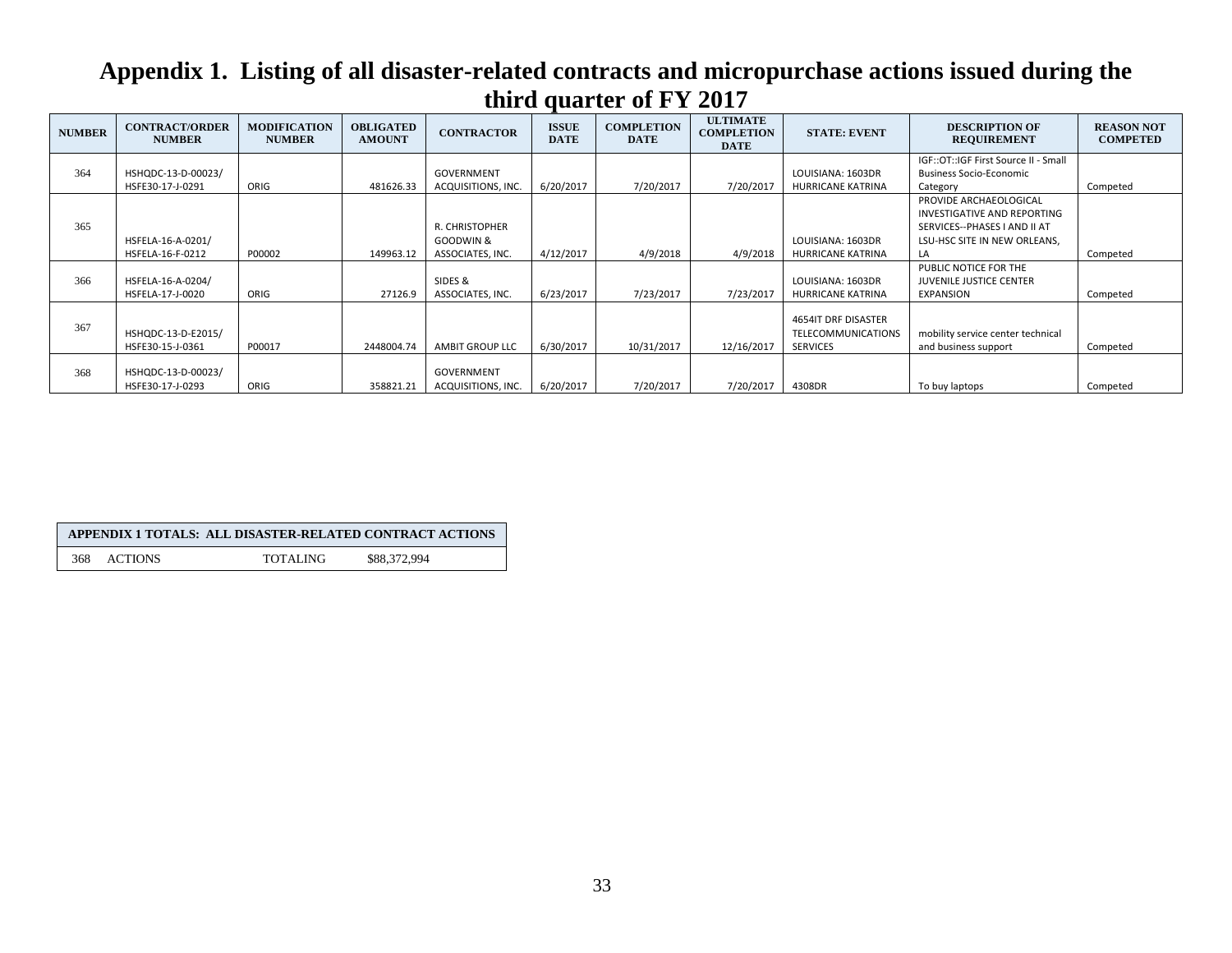| <b>NUMBER</b> | <b>CONTRACT/ORDER</b><br><b>NUMBER</b> | <b>MODIFICATION</b><br><b>NUMBER</b> | <b>OBLIGATED</b><br><b>AMOUNT</b> | <b>CONTRACTOR</b>                               | <b>ISSUE</b><br><b>DATE</b> | <b>COMPLETION</b><br><b>DATE</b> | <b>ULTIMATE</b><br><b>COMPLETION</b><br><b>DATE</b> | <b>STATE: EVENT</b>                                                 | <b>DESCRIPTION OF</b><br><b>REQUIREMENT</b>                                                                                 | <b>REASON NOT</b><br><b>COMPETED</b> |
|---------------|----------------------------------------|--------------------------------------|-----------------------------------|-------------------------------------------------|-----------------------------|----------------------------------|-----------------------------------------------------|---------------------------------------------------------------------|-----------------------------------------------------------------------------------------------------------------------------|--------------------------------------|
| 364           | HSHQDC-13-D-00023/                     |                                      |                                   | <b>GOVERNMENT</b>                               |                             |                                  |                                                     | LOUISIANA: 1603DR                                                   | IGF::OT::IGF First Source II - Small<br><b>Business Socio-Economic</b>                                                      |                                      |
|               | HSFE30-17-J-0291                       | ORIG                                 | 481626.33                         | ACQUISITIONS, INC.                              | 6/20/2017                   | 7/20/2017                        | 7/20/2017                                           | HURRICANE KATRINA                                                   | Category                                                                                                                    | Competed                             |
| 365           | HSFELA-16-A-0201/<br>HSFELA-16-F-0212  | P00002                               | 149963.12                         | R. CHRISTOPHER<br>GOODWIN &<br>ASSOCIATES, INC. | 4/12/2017                   | 4/9/2018                         | 4/9/2018                                            | LOUISIANA: 1603DR<br><b>HURRICANE KATRINA</b>                       | PROVIDE ARCHAEOLOGICAL<br>INVESTIGATIVE AND REPORTING<br>SERVICES--PHASES I AND II AT<br>LSU-HSC SITE IN NEW ORLEANS,<br>LA | Competed                             |
| 366           | HSFELA-16-A-0204/<br>HSFELA-17-J-0020  | ORIG                                 | 27126.9                           | SIDES &<br>ASSOCIATES, INC.                     | 6/23/2017                   | 7/23/2017                        | 7/23/2017                                           | LOUISIANA: 1603DR<br>HURRICANE KATRINA                              | PUBLIC NOTICE FOR THE<br><b>JUVENILE JUSTICE CENTER</b><br><b>EXPANSION</b>                                                 | Competed                             |
| 367           | HSHQDC-13-D-E2015/<br>HSFE30-15-J-0361 | P00017                               | 2448004.74                        | <b>AMBIT GROUP LLC</b>                          | 6/30/2017                   | 10/31/2017                       | 12/16/2017                                          | 4654IT DRF DISASTER<br><b>TELECOMMUNICATIONS</b><br><b>SERVICES</b> | mobility service center technical<br>and business support                                                                   | Competed                             |
| 368           | HSHQDC-13-D-00023/<br>HSFE30-17-J-0293 | ORIG                                 | 358821.21                         | <b>GOVERNMENT</b><br>ACQUISITIONS, INC.         | 6/20/2017                   | 7/20/2017                        | 7/20/2017                                           | 4308DR                                                              | To buy laptops                                                                                                              | Competed                             |

|     |                | APPENDIX 1 TOTALS: ALL DISASTER-RELATED CONTRACT ACTIONS |              |
|-----|----------------|----------------------------------------------------------|--------------|
| 368 | <b>ACTIONS</b> | <b>TOTALING</b>                                          | \$88.372.994 |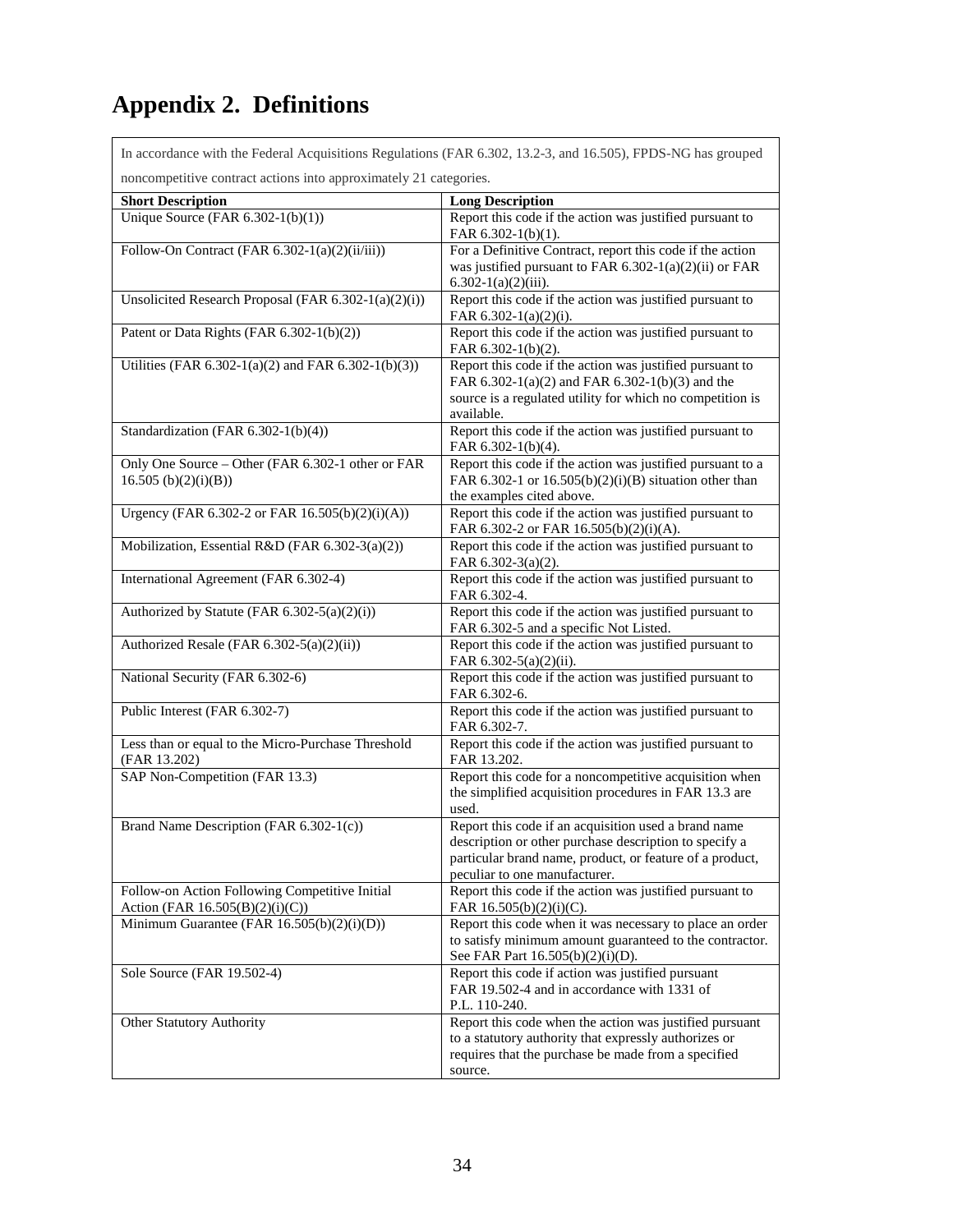# <span id="page-38-0"></span>**Appendix 2. Definitions**

 $\mathsf{r}$ 

|                                                                                   | In accordance with the Federal Acquisitions Regulations (FAR 6.302, 13.2-3, and 16.505), FPDS-NG has grouped                                                                                                |  |  |  |  |  |  |
|-----------------------------------------------------------------------------------|-------------------------------------------------------------------------------------------------------------------------------------------------------------------------------------------------------------|--|--|--|--|--|--|
| noncompetitive contract actions into approximately 21 categories.                 |                                                                                                                                                                                                             |  |  |  |  |  |  |
| <b>Short Description</b>                                                          | <b>Long Description</b>                                                                                                                                                                                     |  |  |  |  |  |  |
| Unique Source (FAR $6.302-1(b)(1)$ )                                              | Report this code if the action was justified pursuant to<br>FAR 6.302-1(b)(1).                                                                                                                              |  |  |  |  |  |  |
| Follow-On Contract (FAR 6.302-1(a)(2)(ii/iii))                                    | For a Definitive Contract, report this code if the action<br>was justified pursuant to FAR 6.302-1(a)(2)(ii) or FAR<br>$6.302-1(a)(2)(iii)$ .                                                               |  |  |  |  |  |  |
| Unsolicited Research Proposal (FAR 6.302-1(a)(2)(i))                              | Report this code if the action was justified pursuant to<br>FAR 6.302-1(a)(2)(i).                                                                                                                           |  |  |  |  |  |  |
| Patent or Data Rights (FAR 6.302-1(b)(2))                                         | Report this code if the action was justified pursuant to<br>FAR $6.302-1(b)(2)$ .                                                                                                                           |  |  |  |  |  |  |
| Utilities (FAR 6.302-1(a)(2) and FAR 6.302-1(b)(3))                               | Report this code if the action was justified pursuant to<br>FAR 6.302-1(a)(2) and FAR 6.302-1(b)(3) and the<br>source is a regulated utility for which no competition is<br>available.                      |  |  |  |  |  |  |
| Standardization (FAR 6.302-1(b)(4))                                               | Report this code if the action was justified pursuant to<br>FAR 6.302-1(b)(4).                                                                                                                              |  |  |  |  |  |  |
| Only One Source - Other (FAR 6.302-1 other or FAR<br>16.505 (b)(2)(i)(B))         | Report this code if the action was justified pursuant to a<br>FAR 6.302-1 or $16.505(b)(2)(i)(B)$ situation other than<br>the examples cited above.                                                         |  |  |  |  |  |  |
| Urgency (FAR 6.302-2 or FAR 16.505(b)(2)(i)(A))                                   | Report this code if the action was justified pursuant to<br>FAR 6.302-2 or FAR 16.505(b)(2)(i)(A).                                                                                                          |  |  |  |  |  |  |
| Mobilization, Essential R&D (FAR 6.302-3(a)(2))                                   | Report this code if the action was justified pursuant to<br>FAR 6.302-3(a)(2).                                                                                                                              |  |  |  |  |  |  |
| International Agreement (FAR 6.302-4)                                             | Report this code if the action was justified pursuant to<br>FAR 6.302-4.                                                                                                                                    |  |  |  |  |  |  |
| Authorized by Statute (FAR 6.302-5(a)(2)(i))                                      | Report this code if the action was justified pursuant to<br>FAR 6.302-5 and a specific Not Listed.                                                                                                          |  |  |  |  |  |  |
| Authorized Resale (FAR 6.302-5(a)(2)(ii))                                         | Report this code if the action was justified pursuant to<br>FAR 6.302-5(a)(2)(ii).                                                                                                                          |  |  |  |  |  |  |
| National Security (FAR 6.302-6)                                                   | Report this code if the action was justified pursuant to<br>FAR 6.302-6.                                                                                                                                    |  |  |  |  |  |  |
| Public Interest (FAR 6.302-7)                                                     | Report this code if the action was justified pursuant to<br>FAR 6.302-7.                                                                                                                                    |  |  |  |  |  |  |
| Less than or equal to the Micro-Purchase Threshold<br>(FAR 13.202)                | Report this code if the action was justified pursuant to<br>FAR 13.202.                                                                                                                                     |  |  |  |  |  |  |
| SAP Non-Competition (FAR 13.3)                                                    | Report this code for a noncompetitive acquisition when<br>the simplified acquisition procedures in FAR 13.3 are<br>used.                                                                                    |  |  |  |  |  |  |
| Brand Name Description (FAR 6.302-1(c))                                           | Report this code if an acquisition used a brand name<br>description or other purchase description to specify a<br>particular brand name, product, or feature of a product,<br>peculiar to one manufacturer. |  |  |  |  |  |  |
| Follow-on Action Following Competitive Initial<br>Action (FAR 16.505(B)(2)(i)(C)) | Report this code if the action was justified pursuant to<br>FAR $16.505(b)(2)(i)(C)$ .                                                                                                                      |  |  |  |  |  |  |
| Minimum Guarantee (FAR 16.505(b)(2)(i)(D))                                        | Report this code when it was necessary to place an order<br>to satisfy minimum amount guaranteed to the contractor.<br>See FAR Part 16.505(b)(2)(i)(D).                                                     |  |  |  |  |  |  |
| Sole Source (FAR 19.502-4)                                                        | Report this code if action was justified pursuant<br>FAR 19.502-4 and in accordance with 1331 of<br>P.L. 110-240.                                                                                           |  |  |  |  |  |  |
| Other Statutory Authority                                                         | Report this code when the action was justified pursuant<br>to a statutory authority that expressly authorizes or<br>requires that the purchase be made from a specified<br>source.                          |  |  |  |  |  |  |